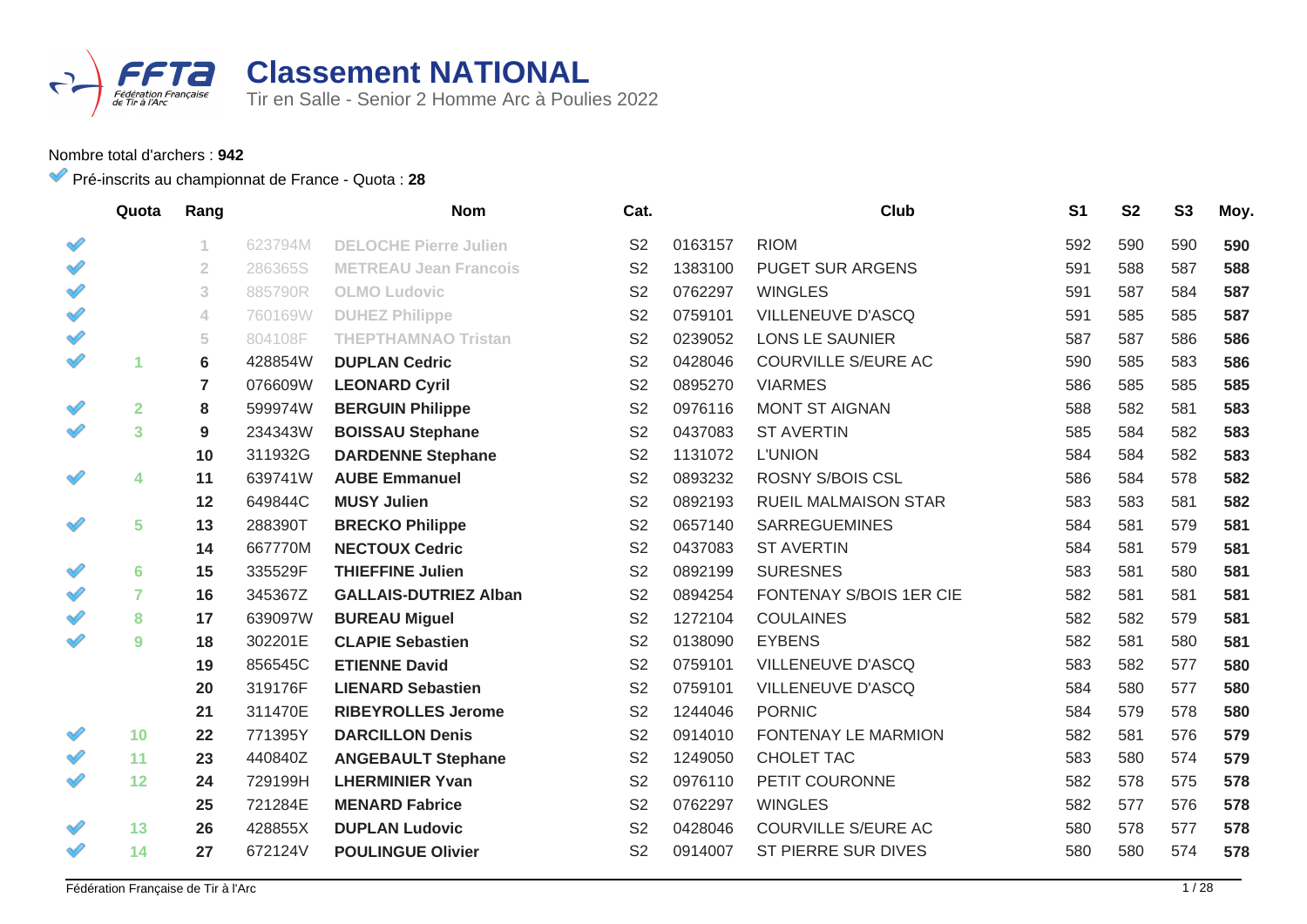

## **Classement NATIONAL**

Tir en Salle - Senior 2 Homme Arc à Poulies 2022

## Nombre total d'archers : **942**

## Pré-inscrits au championnat de France - Quota : **28**

|   | Quota          | Rang           |         | <b>Nom</b>                   | Cat.           |         | Club                        | S <sub>1</sub> | S <sub>2</sub> | <b>S3</b> | Moy. |
|---|----------------|----------------|---------|------------------------------|----------------|---------|-----------------------------|----------------|----------------|-----------|------|
|   |                | 1              | 623794M | <b>DELOCHE Pierre Julien</b> | S <sub>2</sub> | 0163157 | <b>RIOM</b>                 | 592            | 590            | 590       | 590  |
|   |                | $\overline{2}$ | 286365S | <b>METREAU Jean Francois</b> | S <sub>2</sub> | 1383100 | PUGET SUR ARGENS            | 591            | 588            | 587       | 588  |
|   |                | 3              | 885790R | <b>OLMO Ludovic</b>          | S <sub>2</sub> | 0762297 | <b>WINGLES</b>              | 591            | 587            | 584       | 587  |
|   |                | 4              | 760169W | <b>DUHEZ Philippe</b>        | S <sub>2</sub> | 0759101 | <b>VILLENEUVE D'ASCQ</b>    | 591            | 585            | 585       | 587  |
|   |                | 5              | 804108F | <b>THEPTHAMNAO Tristan</b>   | S <sub>2</sub> | 0239052 | <b>LONS LE SAUNIER</b>      | 587            | 587            | 586       | 586  |
|   |                | 6              | 428854W | <b>DUPLAN Cedric</b>         | S <sub>2</sub> | 0428046 | <b>COURVILLE S/EURE AC</b>  | 590            | 585            | 583       | 586  |
|   |                | 7              | 076609W | <b>LEONARD Cyril</b>         | S <sub>2</sub> | 0895270 | <b>VIARMES</b>              | 586            | 585            | 585       | 585  |
|   | $\overline{2}$ | 8              | 599974W | <b>BERGUIN Philippe</b>      | S <sub>2</sub> | 0976116 | <b>MONT ST AIGNAN</b>       | 588            | 582            | 581       | 583  |
|   | 3              | 9              | 234343W | <b>BOISSAU Stephane</b>      | S <sub>2</sub> | 0437083 | <b>ST AVERTIN</b>           | 585            | 584            | 582       | 583  |
|   |                | 10             | 311932G | <b>DARDENNE Stephane</b>     | S <sub>2</sub> | 1131072 | <b>L'UNION</b>              | 584            | 584            | 582       | 583  |
|   | 4              | 11             | 639741W | <b>AUBE Emmanuel</b>         | S <sub>2</sub> | 0893232 | <b>ROSNY S/BOIS CSL</b>     | 586            | 584            | 578       | 582  |
|   |                | 12             | 649844C | <b>MUSY Julien</b>           | S <sub>2</sub> | 0892193 | <b>RUEIL MALMAISON STAR</b> | 583            | 583            | 581       | 582  |
|   | 5              | 13             | 288390T | <b>BRECKO Philippe</b>       | S <sub>2</sub> | 0657140 | <b>SARREGUEMINES</b>        | 584            | 581            | 579       | 581  |
|   |                | 14             | 667770M | <b>NECTOUX Cedric</b>        | S <sub>2</sub> | 0437083 | <b>ST AVERTIN</b>           | 584            | 581            | 579       | 581  |
|   | 6              | 15             | 335529F | <b>THIEFFINE Julien</b>      | S <sub>2</sub> | 0892199 | <b>SURESNES</b>             | 583            | 581            | 580       | 581  |
|   | 7              | 16             | 345367Z | <b>GALLAIS-DUTRIEZ Alban</b> | S <sub>2</sub> | 0894254 | FONTENAY S/BOIS 1ER CIE     | 582            | 581            | 581       | 581  |
|   | 8              | 17             | 639097W | <b>BUREAU Miguel</b>         | S <sub>2</sub> | 1272104 | <b>COULAINES</b>            | 582            | 582            | 579       | 581  |
|   | 9              | 18             | 302201E | <b>CLAPIE Sebastien</b>      | S <sub>2</sub> | 0138090 | <b>EYBENS</b>               | 582            | 581            | 580       | 581  |
|   |                | 19             | 856545C | <b>ETIENNE David</b>         | S <sub>2</sub> | 0759101 | <b>VILLENEUVE D'ASCQ</b>    | 583            | 582            | 577       | 580  |
|   |                | 20             | 319176F | <b>LIENARD Sebastien</b>     | S <sub>2</sub> | 0759101 | VILLENEUVE D'ASCQ           | 584            | 580            | 577       | 580  |
|   |                | 21             | 311470E | <b>RIBEYROLLES Jerome</b>    | S <sub>2</sub> | 1244046 | <b>PORNIC</b>               | 584            | 579            | 578       | 580  |
|   | 10             | 22             | 771395Y | <b>DARCILLON Denis</b>       | S <sub>2</sub> | 0914010 | FONTENAY LE MARMION         | 582            | 581            | 576       | 579  |
| Í | 11             | 23             | 440840Z | <b>ANGEBAULT Stephane</b>    | S <sub>2</sub> | 1249050 | CHOLET TAC                  | 583            | 580            | 574       | 579  |
| Î | 12             | 24             | 729199H | <b>LHERMINIER Yvan</b>       | S <sub>2</sub> | 0976110 | PETIT COURONNE              | 582            | 578            | 575       | 578  |
|   |                | 25             | 721284E | <b>MENARD Fabrice</b>        | S <sub>2</sub> | 0762297 | <b>WINGLES</b>              | 582            | 577            | 576       | 578  |
|   | 13             | 26             | 428855X | <b>DUPLAN Ludovic</b>        | S <sub>2</sub> | 0428046 | <b>COURVILLE S/EURE AC</b>  | 580            | 578            | 577       | 578  |
|   | 14             | 27             | 672124V | <b>POULINGUE Olivier</b>     | S <sub>2</sub> | 0914007 | ST PIERRE SUR DIVES         | 580            | 580            | 574       | 578  |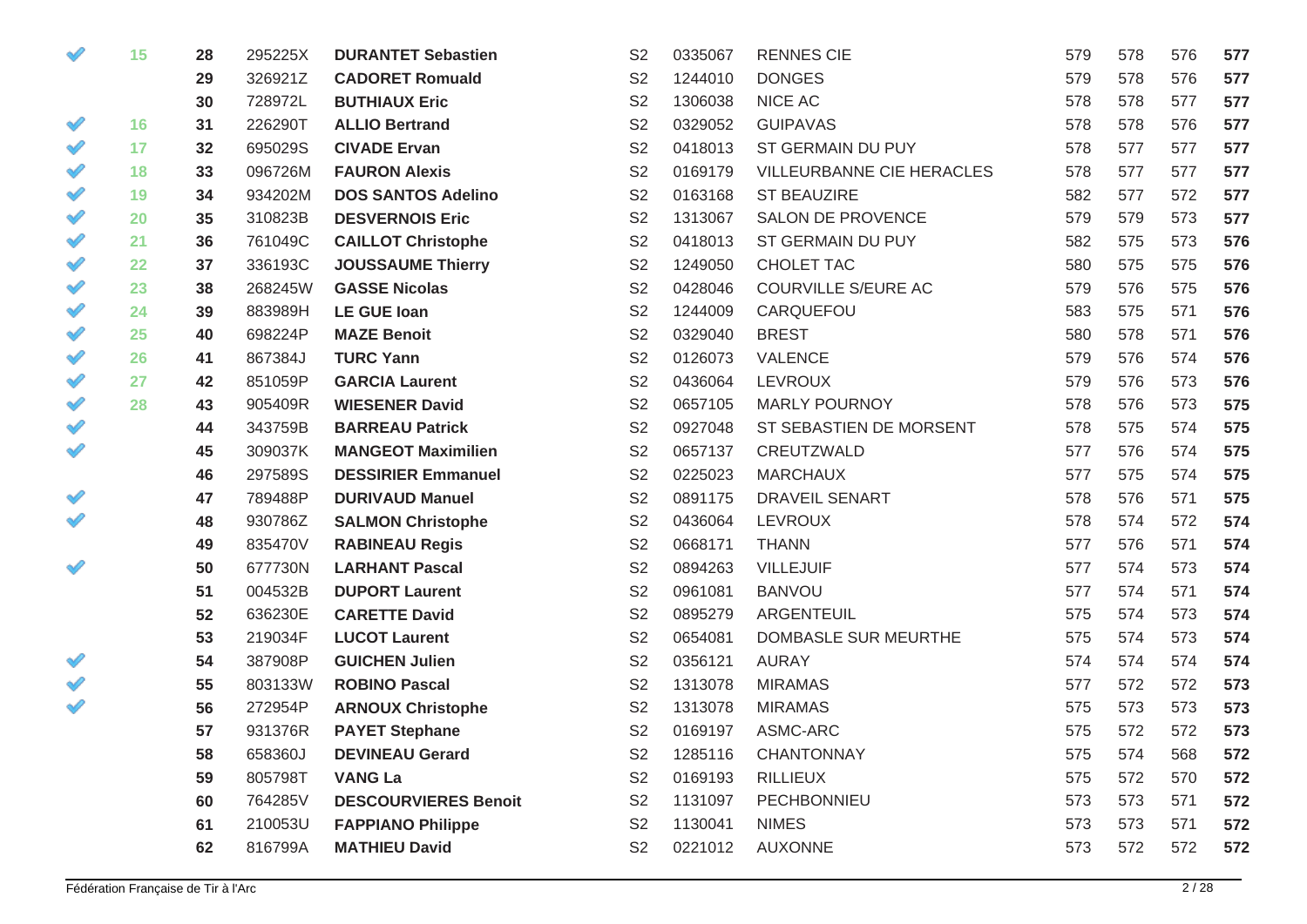| √ | 15 | 28 | 295225X | <b>DURANTET Sebastien</b>   | S <sub>2</sub> | 0335067 | <b>RENNES CIE</b>                | 579 | 578 | 576 | 577 |
|---|----|----|---------|-----------------------------|----------------|---------|----------------------------------|-----|-----|-----|-----|
|   |    | 29 | 326921Z | <b>CADORET Romuald</b>      | S <sub>2</sub> | 1244010 | <b>DONGES</b>                    | 579 | 578 | 576 | 577 |
|   |    | 30 | 728972L | <b>BUTHIAUX Eric</b>        | S <sub>2</sub> | 1306038 | NICE AC                          | 578 | 578 | 577 | 577 |
| √ | 16 | 31 | 226290T | <b>ALLIO Bertrand</b>       | S <sub>2</sub> | 0329052 | <b>GUIPAVAS</b>                  | 578 | 578 | 576 | 577 |
| ♦ | 17 | 32 | 695029S | <b>CIVADE Ervan</b>         | S <sub>2</sub> | 0418013 | ST GERMAIN DU PUY                | 578 | 577 | 577 | 577 |
| √ | 18 | 33 | 096726M | <b>FAURON Alexis</b>        | S <sub>2</sub> | 0169179 | <b>VILLEURBANNE CIE HERACLES</b> | 578 | 577 | 577 | 577 |
| √ | 19 | 34 | 934202M | <b>DOS SANTOS Adelino</b>   | S <sub>2</sub> | 0163168 | <b>ST BEAUZIRE</b>               | 582 | 577 | 572 | 577 |
| √ | 20 | 35 | 310823B | <b>DESVERNOIS Eric</b>      | S <sub>2</sub> | 1313067 | <b>SALON DE PROVENCE</b>         | 579 | 579 | 573 | 577 |
| √ | 21 | 36 | 761049C | <b>CAILLOT Christophe</b>   | S <sub>2</sub> | 0418013 | ST GERMAIN DU PUY                | 582 | 575 | 573 | 576 |
| √ | 22 | 37 | 336193C | <b>JOUSSAUME Thierry</b>    | S <sub>2</sub> | 1249050 | CHOLET TAC                       | 580 | 575 | 575 | 576 |
| √ | 23 | 38 | 268245W | <b>GASSE Nicolas</b>        | S <sub>2</sub> | 0428046 | <b>COURVILLE S/EURE AC</b>       | 579 | 576 | 575 | 576 |
| √ | 24 | 39 | 883989H | <b>LE GUE loan</b>          | S <sub>2</sub> | 1244009 | CARQUEFOU                        | 583 | 575 | 571 | 576 |
| √ | 25 | 40 | 698224P | <b>MAZE Benoit</b>          | S <sub>2</sub> | 0329040 | <b>BREST</b>                     | 580 | 578 | 571 | 576 |
| √ | 26 | 41 | 867384J | <b>TURC Yann</b>            | S <sub>2</sub> | 0126073 | VALENCE                          | 579 | 576 | 574 | 576 |
| √ | 27 | 42 | 851059P | <b>GARCIA Laurent</b>       | S <sub>2</sub> | 0436064 | <b>LEVROUX</b>                   | 579 | 576 | 573 | 576 |
| ୰ | 28 | 43 | 905409R | <b>WIESENER David</b>       | S <sub>2</sub> | 0657105 | <b>MARLY POURNOY</b>             | 578 | 576 | 573 | 575 |
| √ |    | 44 | 343759B | <b>BARREAU Patrick</b>      | S <sub>2</sub> | 0927048 | ST SEBASTIEN DE MORSENT          | 578 | 575 | 574 | 575 |
| √ |    | 45 | 309037K | <b>MANGEOT Maximilien</b>   | S <sub>2</sub> | 0657137 | CREUTZWALD                       | 577 | 576 | 574 | 575 |
|   |    | 46 | 297589S | <b>DESSIRIER Emmanuel</b>   | S <sub>2</sub> | 0225023 | <b>MARCHAUX</b>                  | 577 | 575 | 574 | 575 |
| √ |    | 47 | 789488P | <b>DURIVAUD Manuel</b>      | S <sub>2</sub> | 0891175 | <b>DRAVEIL SENART</b>            | 578 | 576 | 571 | 575 |
| √ |    | 48 | 930786Z | <b>SALMON Christophe</b>    | S <sub>2</sub> | 0436064 | <b>LEVROUX</b>                   | 578 | 574 | 572 | 574 |
|   |    | 49 | 835470V | <b>RABINEAU Regis</b>       | S <sub>2</sub> | 0668171 | <b>THANN</b>                     | 577 | 576 | 571 | 574 |
| √ |    | 50 | 677730N | <b>LARHANT Pascal</b>       | S <sub>2</sub> | 0894263 | <b>VILLEJUIF</b>                 | 577 | 574 | 573 | 574 |
|   |    | 51 | 004532B | <b>DUPORT Laurent</b>       | S <sub>2</sub> | 0961081 | <b>BANVOU</b>                    | 577 | 574 | 571 | 574 |
|   |    | 52 | 636230E | <b>CARETTE David</b>        | S <sub>2</sub> | 0895279 | ARGENTEUIL                       | 575 | 574 | 573 | 574 |
|   |    | 53 | 219034F | <b>LUCOT Laurent</b>        | S <sub>2</sub> | 0654081 | DOMBASLE SUR MEURTHE             | 575 | 574 | 573 | 574 |
| √ |    | 54 | 387908P | <b>GUICHEN Julien</b>       | S <sub>2</sub> | 0356121 | <b>AURAY</b>                     | 574 | 574 | 574 | 574 |
| √ |    | 55 | 803133W | <b>ROBINO Pascal</b>        | S <sub>2</sub> | 1313078 | <b>MIRAMAS</b>                   | 577 | 572 | 572 | 573 |
| √ |    | 56 | 272954P | <b>ARNOUX Christophe</b>    | S <sub>2</sub> | 1313078 | <b>MIRAMAS</b>                   | 575 | 573 | 573 | 573 |
|   |    | 57 | 931376R | <b>PAYET Stephane</b>       | S <sub>2</sub> | 0169197 | ASMC-ARC                         | 575 | 572 | 572 | 573 |
|   |    | 58 | 658360J | <b>DEVINEAU Gerard</b>      | S <sub>2</sub> | 1285116 | <b>CHANTONNAY</b>                | 575 | 574 | 568 | 572 |
|   |    | 59 | 805798T | <b>VANG La</b>              | S <sub>2</sub> | 0169193 | <b>RILLIEUX</b>                  | 575 | 572 | 570 | 572 |
|   |    | 60 | 764285V | <b>DESCOURVIERES Benoit</b> | S <sub>2</sub> | 1131097 | PECHBONNIEU                      | 573 | 573 | 571 | 572 |
|   |    | 61 | 210053U | <b>FAPPIANO Philippe</b>    | S <sub>2</sub> | 1130041 | <b>NIMES</b>                     | 573 | 573 | 571 | 572 |
|   |    | 62 | 816799A | <b>MATHIEU David</b>        | S <sub>2</sub> | 0221012 | <b>AUXONNE</b>                   | 573 | 572 | 572 | 572 |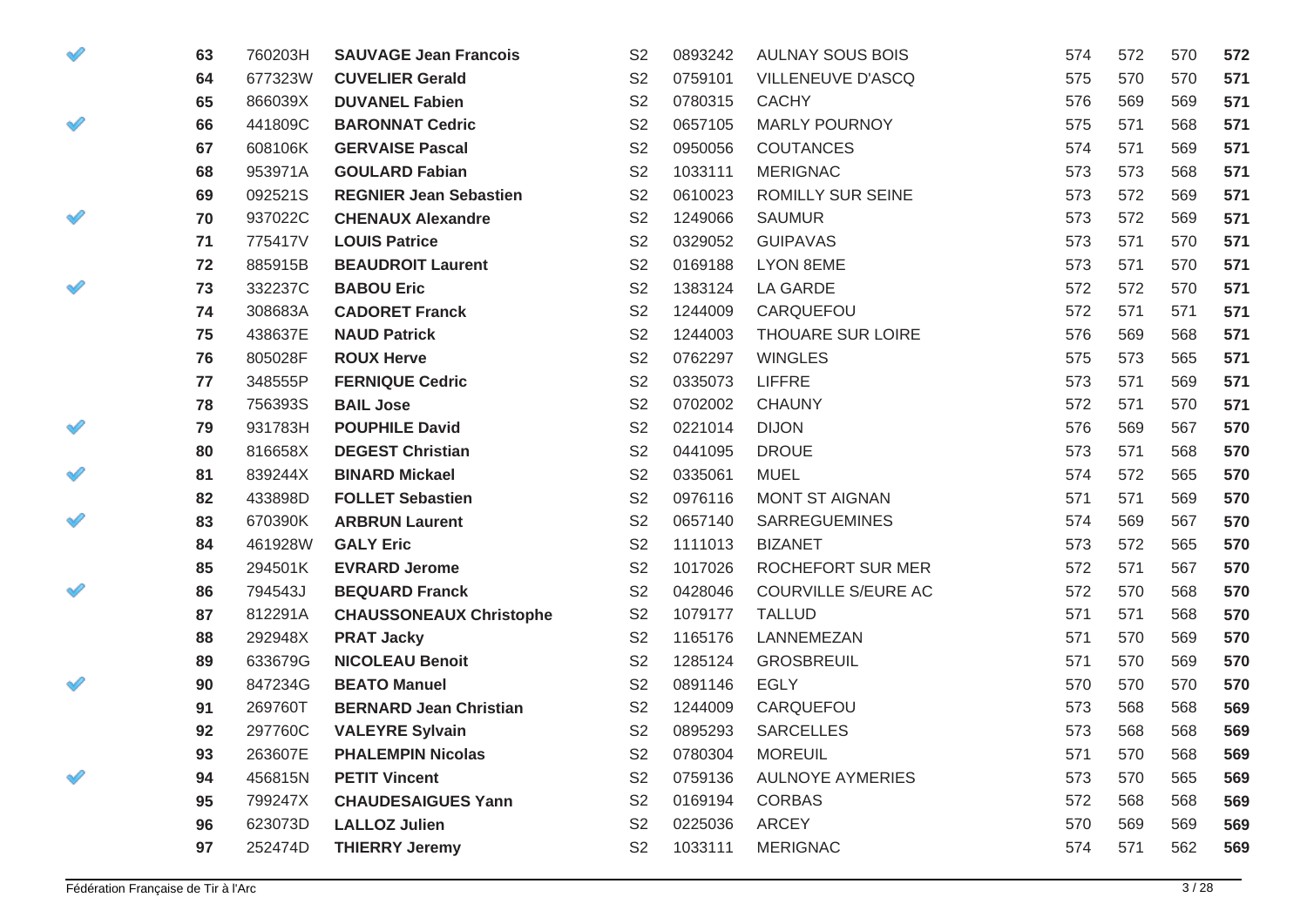| 63 | 760203H | <b>SAUVAGE Jean Francois</b>   | S <sub>2</sub> | 0893242 | <b>AULNAY SOUS BOIS</b>    | 574 | 572 | 570 | 572 |
|----|---------|--------------------------------|----------------|---------|----------------------------|-----|-----|-----|-----|
| 64 | 677323W | <b>CUVELIER Gerald</b>         | S <sub>2</sub> | 0759101 | VILLENEUVE D'ASCQ          | 575 | 570 | 570 | 571 |
| 65 | 866039X | <b>DUVANEL Fabien</b>          | S <sub>2</sub> | 0780315 | <b>CACHY</b>               | 576 | 569 | 569 | 571 |
| 66 | 441809C | <b>BARONNAT Cedric</b>         | S <sub>2</sub> | 0657105 | <b>MARLY POURNOY</b>       | 575 | 571 | 568 | 571 |
| 67 | 608106K | <b>GERVAISE Pascal</b>         | S <sub>2</sub> | 0950056 | <b>COUTANCES</b>           | 574 | 571 | 569 | 571 |
| 68 | 953971A | <b>GOULARD Fabian</b>          | S <sub>2</sub> | 1033111 | <b>MERIGNAC</b>            | 573 | 573 | 568 | 571 |
| 69 | 092521S | <b>REGNIER Jean Sebastien</b>  | S <sub>2</sub> | 0610023 | ROMILLY SUR SEINE          | 573 | 572 | 569 | 571 |
| 70 | 937022C | <b>CHENAUX Alexandre</b>       | S <sub>2</sub> | 1249066 | <b>SAUMUR</b>              | 573 | 572 | 569 | 571 |
| 71 | 775417V | <b>LOUIS Patrice</b>           | S <sub>2</sub> | 0329052 | <b>GUIPAVAS</b>            | 573 | 571 | 570 | 571 |
| 72 | 885915B | <b>BEAUDROIT Laurent</b>       | S <sub>2</sub> | 0169188 | <b>LYON 8EME</b>           | 573 | 571 | 570 | 571 |
| 73 | 332237C | <b>BABOU Eric</b>              | S <sub>2</sub> | 1383124 | <b>LA GARDE</b>            | 572 | 572 | 570 | 571 |
| 74 | 308683A | <b>CADORET Franck</b>          | S <sub>2</sub> | 1244009 | CARQUEFOU                  | 572 | 571 | 571 | 571 |
| 75 | 438637E | <b>NAUD Patrick</b>            | S <sub>2</sub> | 1244003 | <b>THOUARE SUR LOIRE</b>   | 576 | 569 | 568 | 571 |
| 76 | 805028F | <b>ROUX Herve</b>              | S <sub>2</sub> | 0762297 | <b>WINGLES</b>             | 575 | 573 | 565 | 571 |
| 77 | 348555P | <b>FERNIQUE Cedric</b>         | S <sub>2</sub> | 0335073 | <b>LIFFRE</b>              | 573 | 571 | 569 | 571 |
| 78 | 756393S | <b>BAIL Jose</b>               | S <sub>2</sub> | 0702002 | <b>CHAUNY</b>              | 572 | 571 | 570 | 571 |
| 79 | 931783H | <b>POUPHILE David</b>          | S <sub>2</sub> | 0221014 | <b>DIJON</b>               | 576 | 569 | 567 | 570 |
| 80 | 816658X | <b>DEGEST Christian</b>        | S <sub>2</sub> | 0441095 | <b>DROUE</b>               | 573 | 571 | 568 | 570 |
| 81 | 839244X | <b>BINARD Mickael</b>          | S <sub>2</sub> | 0335061 | <b>MUEL</b>                | 574 | 572 | 565 | 570 |
| 82 | 433898D | <b>FOLLET Sebastien</b>        | S <sub>2</sub> | 0976116 | <b>MONT ST AIGNAN</b>      | 571 | 571 | 569 | 570 |
| 83 | 670390K | <b>ARBRUN Laurent</b>          | S <sub>2</sub> | 0657140 | <b>SARREGUEMINES</b>       | 574 | 569 | 567 | 570 |
| 84 | 461928W | <b>GALY Eric</b>               | S <sub>2</sub> | 1111013 | <b>BIZANET</b>             | 573 | 572 | 565 | 570 |
| 85 | 294501K | <b>EVRARD Jerome</b>           | S <sub>2</sub> | 1017026 | ROCHEFORT SUR MER          | 572 | 571 | 567 | 570 |
| 86 | 794543J | <b>BEQUARD Franck</b>          | S <sub>2</sub> | 0428046 | <b>COURVILLE S/EURE AC</b> | 572 | 570 | 568 | 570 |
| 87 | 812291A | <b>CHAUSSONEAUX Christophe</b> | S <sub>2</sub> | 1079177 | <b>TALLUD</b>              | 571 | 571 | 568 | 570 |
| 88 | 292948X | <b>PRAT Jacky</b>              | S <sub>2</sub> | 1165176 | LANNEMEZAN                 | 571 | 570 | 569 | 570 |
| 89 | 633679G | <b>NICOLEAU Benoit</b>         | S <sub>2</sub> | 1285124 | <b>GROSBREUIL</b>          | 571 | 570 | 569 | 570 |
| 90 | 847234G | <b>BEATO Manuel</b>            | S <sub>2</sub> | 0891146 | <b>EGLY</b>                | 570 | 570 | 570 | 570 |
| 91 | 269760T | <b>BERNARD Jean Christian</b>  | S <sub>2</sub> | 1244009 | CARQUEFOU                  | 573 | 568 | 568 | 569 |
| 92 | 297760C | <b>VALEYRE Sylvain</b>         | S <sub>2</sub> | 0895293 | <b>SARCELLES</b>           | 573 | 568 | 568 | 569 |
| 93 | 263607E | <b>PHALEMPIN Nicolas</b>       | S <sub>2</sub> | 0780304 | <b>MOREUIL</b>             | 571 | 570 | 568 | 569 |
| 94 | 456815N | <b>PETIT Vincent</b>           | S <sub>2</sub> | 0759136 | <b>AULNOYE AYMERIES</b>    | 573 | 570 | 565 | 569 |
| 95 | 799247X | <b>CHAUDESAIGUES Yann</b>      | S <sub>2</sub> | 0169194 | <b>CORBAS</b>              | 572 | 568 | 568 | 569 |
| 96 | 623073D | <b>LALLOZ Julien</b>           | S <sub>2</sub> | 0225036 | <b>ARCEY</b>               | 570 | 569 | 569 | 569 |
| 97 | 252474D | <b>THIERRY Jeremy</b>          | S <sub>2</sub> | 1033111 | <b>MERIGNAC</b>            | 574 | 571 | 562 | 569 |

 $\mathscr{D}$ 

 $\mathscr{O}$ 

 $\mathscr Q$ 

√

 $\mathscr O$ 

Î

S

 $\mathscr{O}$ 

 $\mathscr{D}$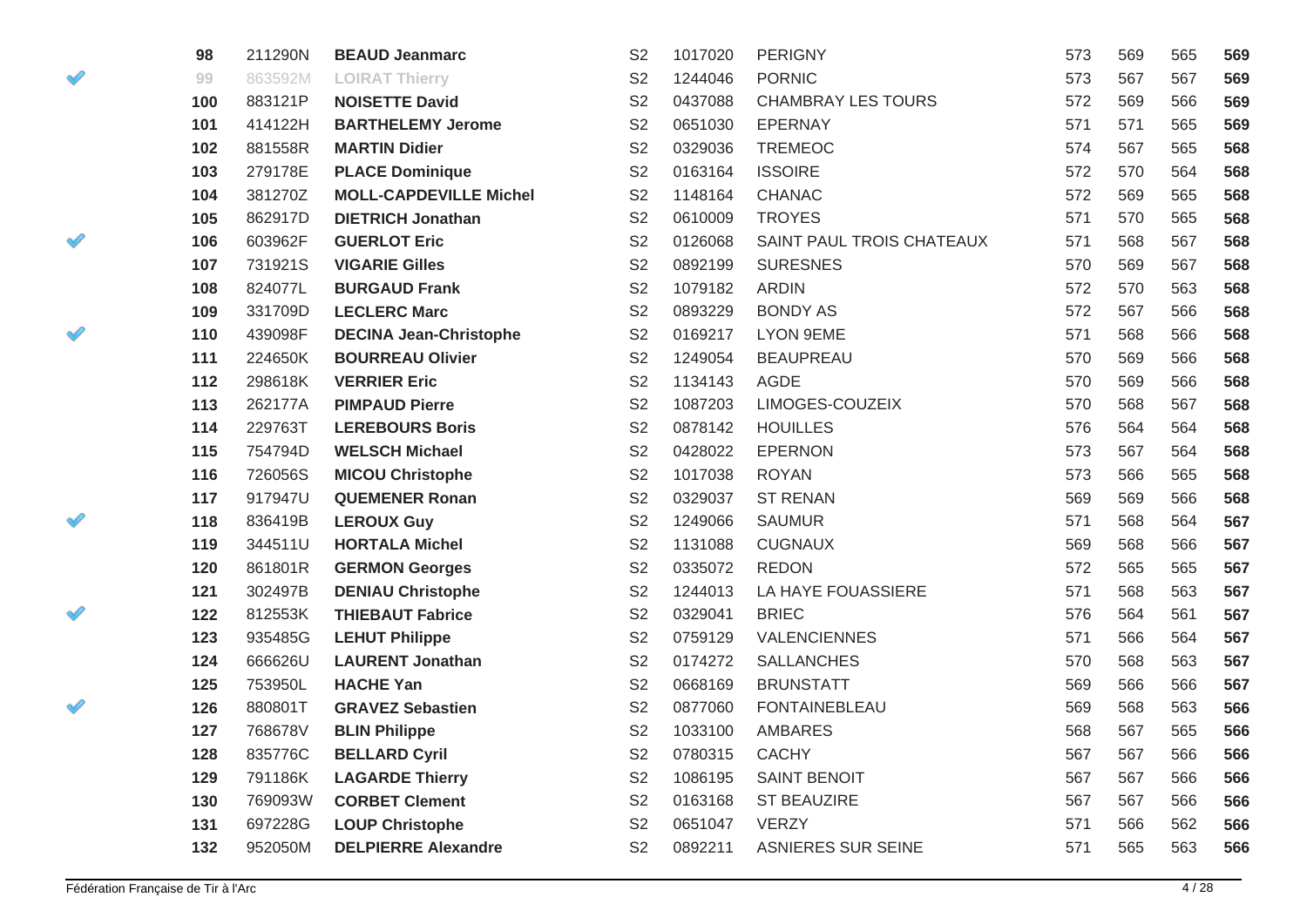| 98  | 211290N | <b>BEAUD Jeanmarc</b>         | S <sub>2</sub> | 1017020 | <b>PERIGNY</b>            | 573 | 569 | 565 | 569 |
|-----|---------|-------------------------------|----------------|---------|---------------------------|-----|-----|-----|-----|
| 99  | 863592M | <b>LOIRAT Thierry</b>         | S <sub>2</sub> | 1244046 | <b>PORNIC</b>             | 573 | 567 | 567 | 569 |
| 100 | 883121P | <b>NOISETTE David</b>         | S <sub>2</sub> | 0437088 | <b>CHAMBRAY LES TOURS</b> | 572 | 569 | 566 | 569 |
| 101 | 414122H | <b>BARTHELEMY Jerome</b>      | S <sub>2</sub> | 0651030 | <b>EPERNAY</b>            | 571 | 571 | 565 | 569 |
| 102 | 881558R | <b>MARTIN Didier</b>          | S <sub>2</sub> | 0329036 | <b>TREMEOC</b>            | 574 | 567 | 565 | 568 |
| 103 | 279178E | <b>PLACE Dominique</b>        | S <sub>2</sub> | 0163164 | <b>ISSOIRE</b>            | 572 | 570 | 564 | 568 |
| 104 | 381270Z | <b>MOLL-CAPDEVILLE Michel</b> | S <sub>2</sub> | 1148164 | <b>CHANAC</b>             | 572 | 569 | 565 | 568 |
| 105 | 862917D | <b>DIETRICH Jonathan</b>      | S <sub>2</sub> | 0610009 | <b>TROYES</b>             | 571 | 570 | 565 | 568 |
| 106 | 603962F | <b>GUERLOT Eric</b>           | S <sub>2</sub> | 0126068 | SAINT PAUL TROIS CHATEAUX | 571 | 568 | 567 | 568 |
| 107 | 731921S | <b>VIGARIE Gilles</b>         | S <sub>2</sub> | 0892199 | <b>SURESNES</b>           | 570 | 569 | 567 | 568 |
| 108 | 824077L | <b>BURGAUD Frank</b>          | S <sub>2</sub> | 1079182 | <b>ARDIN</b>              | 572 | 570 | 563 | 568 |
| 109 | 331709D | <b>LECLERC Marc</b>           | S <sub>2</sub> | 0893229 | <b>BONDY AS</b>           | 572 | 567 | 566 | 568 |
| 110 | 439098F | <b>DECINA Jean-Christophe</b> | S <sub>2</sub> | 0169217 | LYON 9EME                 | 571 | 568 | 566 | 568 |
| 111 | 224650K | <b>BOURREAU Olivier</b>       | S <sub>2</sub> | 1249054 | BEAUPREAU                 | 570 | 569 | 566 | 568 |
| 112 | 298618K | <b>VERRIER Eric</b>           | S <sub>2</sub> | 1134143 | <b>AGDE</b>               | 570 | 569 | 566 | 568 |
| 113 | 262177A | <b>PIMPAUD Pierre</b>         | S <sub>2</sub> | 1087203 | LIMOGES-COUZEIX           | 570 | 568 | 567 | 568 |
| 114 | 229763T | <b>LEREBOURS Boris</b>        | S <sub>2</sub> | 0878142 | <b>HOUILLES</b>           | 576 | 564 | 564 | 568 |
| 115 | 754794D | <b>WELSCH Michael</b>         | S <sub>2</sub> | 0428022 | <b>EPERNON</b>            | 573 | 567 | 564 | 568 |
| 116 | 726056S | <b>MICOU Christophe</b>       | S <sub>2</sub> | 1017038 | <b>ROYAN</b>              | 573 | 566 | 565 | 568 |
| 117 | 917947U | <b>QUEMENER Ronan</b>         | S <sub>2</sub> | 0329037 | <b>ST RENAN</b>           | 569 | 569 | 566 | 568 |
| 118 | 836419B | <b>LEROUX Guy</b>             | S <sub>2</sub> | 1249066 | <b>SAUMUR</b>             | 571 | 568 | 564 | 567 |
| 119 | 344511U | <b>HORTALA Michel</b>         | S <sub>2</sub> | 1131088 | <b>CUGNAUX</b>            | 569 | 568 | 566 | 567 |
| 120 | 861801R | <b>GERMON Georges</b>         | S <sub>2</sub> | 0335072 | <b>REDON</b>              | 572 | 565 | 565 | 567 |
| 121 | 302497B | <b>DENIAU Christophe</b>      | S <sub>2</sub> | 1244013 | LA HAYE FOUASSIERE        | 571 | 568 | 563 | 567 |
| 122 | 812553K | <b>THIEBAUT Fabrice</b>       | S <sub>2</sub> | 0329041 | <b>BRIEC</b>              | 576 | 564 | 561 | 567 |
| 123 | 935485G | <b>LEHUT Philippe</b>         | S <sub>2</sub> | 0759129 | <b>VALENCIENNES</b>       | 571 | 566 | 564 | 567 |
| 124 | 666626U | <b>LAURENT Jonathan</b>       | S <sub>2</sub> | 0174272 | <b>SALLANCHES</b>         | 570 | 568 | 563 | 567 |
| 125 | 753950L | <b>HACHE Yan</b>              | S <sub>2</sub> | 0668169 | <b>BRUNSTATT</b>          | 569 | 566 | 566 | 567 |
| 126 | 880801T | <b>GRAVEZ Sebastien</b>       | S <sub>2</sub> | 0877060 | <b>FONTAINEBLEAU</b>      | 569 | 568 | 563 | 566 |
| 127 | 768678V | <b>BLIN Philippe</b>          | S <sub>2</sub> | 1033100 | <b>AMBARES</b>            | 568 | 567 | 565 | 566 |
| 128 | 835776C | <b>BELLARD Cyril</b>          | S <sub>2</sub> | 0780315 | <b>CACHY</b>              | 567 | 567 | 566 | 566 |
| 129 | 791186K | <b>LAGARDE Thierry</b>        | S <sub>2</sub> | 1086195 | <b>SAINT BENOIT</b>       | 567 | 567 | 566 | 566 |
| 130 | 769093W | <b>CORBET Clement</b>         | S <sub>2</sub> | 0163168 | ST BEAUZIRE               | 567 | 567 | 566 | 566 |
| 131 | 697228G | <b>LOUP Christophe</b>        | S <sub>2</sub> | 0651047 | <b>VERZY</b>              | 571 | 566 | 562 | 566 |
| 132 | 952050M | <b>DELPIERRE Alexandre</b>    | S <sub>2</sub> | 0892211 | ASNIERES SUR SEINE        | 571 | 565 | 563 | 566 |

♦

 $\mathscr O$ 

 $\mathscr O$ 

 $\mathscr{O}$ 

 $\mathscr O$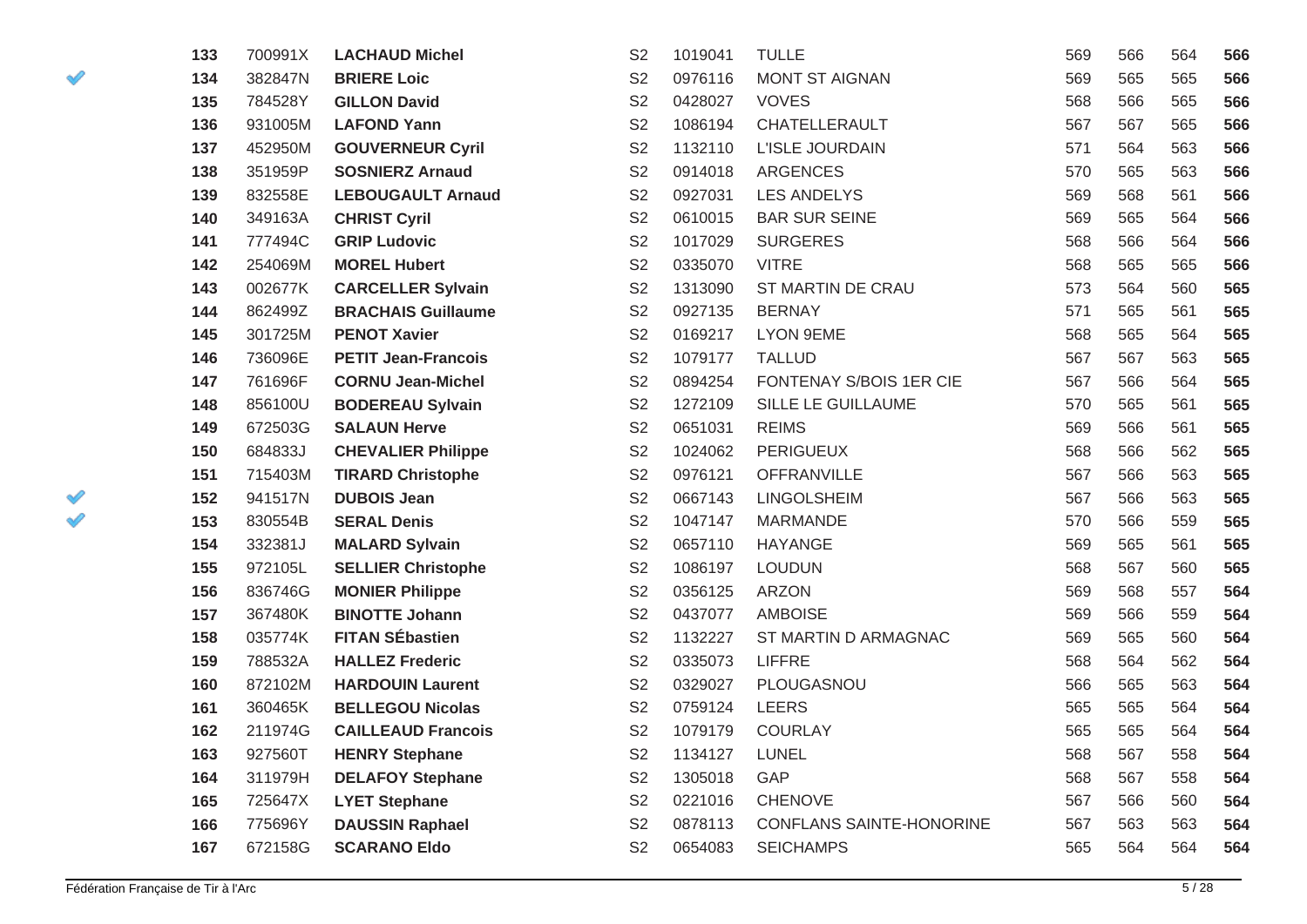| 133 | 700991X | <b>LACHAUD Michel</b>      | S <sub>2</sub> | 1019041 | <b>TULLE</b>             | 569 | 566 | 564 | 566 |
|-----|---------|----------------------------|----------------|---------|--------------------------|-----|-----|-----|-----|
| 134 | 382847N | <b>BRIERE Loic</b>         | S <sub>2</sub> | 0976116 | <b>MONT ST AIGNAN</b>    | 569 | 565 | 565 | 566 |
| 135 | 784528Y | <b>GILLON David</b>        | S <sub>2</sub> | 0428027 | <b>VOVES</b>             | 568 | 566 | 565 | 566 |
| 136 | 931005M | <b>LAFOND Yann</b>         | S <sub>2</sub> | 1086194 | CHATELLERAULT            | 567 | 567 | 565 | 566 |
| 137 | 452950M | <b>GOUVERNEUR Cyril</b>    | S <sub>2</sub> | 1132110 | <b>L'ISLE JOURDAIN</b>   | 571 | 564 | 563 | 566 |
| 138 | 351959P | <b>SOSNIERZ Arnaud</b>     | S <sub>2</sub> | 0914018 | <b>ARGENCES</b>          | 570 | 565 | 563 | 566 |
| 139 | 832558E | <b>LEBOUGAULT Arnaud</b>   | S <sub>2</sub> | 0927031 | <b>LES ANDELYS</b>       | 569 | 568 | 561 | 566 |
| 140 | 349163A | <b>CHRIST Cyril</b>        | S <sub>2</sub> | 0610015 | <b>BAR SUR SEINE</b>     | 569 | 565 | 564 | 566 |
| 141 | 777494C | <b>GRIP Ludovic</b>        | S <sub>2</sub> | 1017029 | <b>SURGERES</b>          | 568 | 566 | 564 | 566 |
| 142 | 254069M | <b>MOREL Hubert</b>        | S <sub>2</sub> | 0335070 | <b>VITRE</b>             | 568 | 565 | 565 | 566 |
| 143 | 002677K | <b>CARCELLER Sylvain</b>   | S <sub>2</sub> | 1313090 | ST MARTIN DE CRAU        | 573 | 564 | 560 | 565 |
| 144 | 862499Z | <b>BRACHAIS Guillaume</b>  | S <sub>2</sub> | 0927135 | <b>BERNAY</b>            | 571 | 565 | 561 | 565 |
| 145 | 301725M | <b>PENOT Xavier</b>        | S <sub>2</sub> | 0169217 | LYON 9EME                | 568 | 565 | 564 | 565 |
| 146 | 736096E | <b>PETIT Jean-Francois</b> | S <sub>2</sub> | 1079177 | <b>TALLUD</b>            | 567 | 567 | 563 | 565 |
| 147 | 761696F | <b>CORNU Jean-Michel</b>   | S <sub>2</sub> | 0894254 | FONTENAY S/BOIS 1ER CIE  | 567 | 566 | 564 | 565 |
| 148 | 856100U | <b>BODEREAU Sylvain</b>    | S <sub>2</sub> | 1272109 | SILLE LE GUILLAUME       | 570 | 565 | 561 | 565 |
| 149 | 672503G | <b>SALAUN Herve</b>        | S <sub>2</sub> | 0651031 | <b>REIMS</b>             | 569 | 566 | 561 | 565 |
| 150 | 684833J | <b>CHEVALIER Philippe</b>  | S <sub>2</sub> | 1024062 | PERIGUEUX                | 568 | 566 | 562 | 565 |
| 151 | 715403M | <b>TIRARD Christophe</b>   | S <sub>2</sub> | 0976121 | <b>OFFRANVILLE</b>       | 567 | 566 | 563 | 565 |
| 152 | 941517N | <b>DUBOIS Jean</b>         | S <sub>2</sub> | 0667143 | <b>LINGOLSHEIM</b>       | 567 | 566 | 563 | 565 |
| 153 | 830554B | <b>SERAL Denis</b>         | S <sub>2</sub> | 1047147 | <b>MARMANDE</b>          | 570 | 566 | 559 | 565 |
| 154 | 332381J | <b>MALARD Sylvain</b>      | S <sub>2</sub> | 0657110 | <b>HAYANGE</b>           | 569 | 565 | 561 | 565 |
| 155 | 972105L | <b>SELLIER Christophe</b>  | S <sub>2</sub> | 1086197 | <b>LOUDUN</b>            | 568 | 567 | 560 | 565 |
| 156 | 836746G | <b>MONIER Philippe</b>     | S <sub>2</sub> | 0356125 | <b>ARZON</b>             | 569 | 568 | 557 | 564 |
| 157 | 367480K | <b>BINOTTE Johann</b>      | S <sub>2</sub> | 0437077 | <b>AMBOISE</b>           | 569 | 566 | 559 | 564 |
| 158 | 035774K | <b>FITAN SÉbastien</b>     | S <sub>2</sub> | 1132227 | ST MARTIN D ARMAGNAC     | 569 | 565 | 560 | 564 |
| 159 | 788532A | <b>HALLEZ Frederic</b>     | S <sub>2</sub> | 0335073 | <b>LIFFRE</b>            | 568 | 564 | 562 | 564 |
| 160 | 872102M | <b>HARDOUIN Laurent</b>    | S <sub>2</sub> | 0329027 | PLOUGASNOU               | 566 | 565 | 563 | 564 |
| 161 | 360465K | <b>BELLEGOU Nicolas</b>    | S <sub>2</sub> | 0759124 | <b>LEERS</b>             | 565 | 565 | 564 | 564 |
| 162 | 211974G | <b>CAILLEAUD Francois</b>  | S <sub>2</sub> | 1079179 | <b>COURLAY</b>           | 565 | 565 | 564 | 564 |
| 163 | 927560T | <b>HENRY Stephane</b>      | S <sub>2</sub> | 1134127 | LUNEL                    | 568 | 567 | 558 | 564 |
| 164 | 311979H | <b>DELAFOY Stephane</b>    | S <sub>2</sub> | 1305018 | GAP                      | 568 | 567 | 558 | 564 |
| 165 | 725647X | <b>LYET Stephane</b>       | S <sub>2</sub> | 0221016 | <b>CHENOVE</b>           | 567 | 566 | 560 | 564 |
| 166 | 775696Y | <b>DAUSSIN Raphael</b>     | S <sub>2</sub> | 0878113 | CONFLANS SAINTE-HONORINE | 567 | 563 | 563 | 564 |
| 167 | 672158G | <b>SCARANO Eldo</b>        | S <sub>2</sub> | 0654083 | <b>SEICHAMPS</b>         | 565 | 564 | 564 | 564 |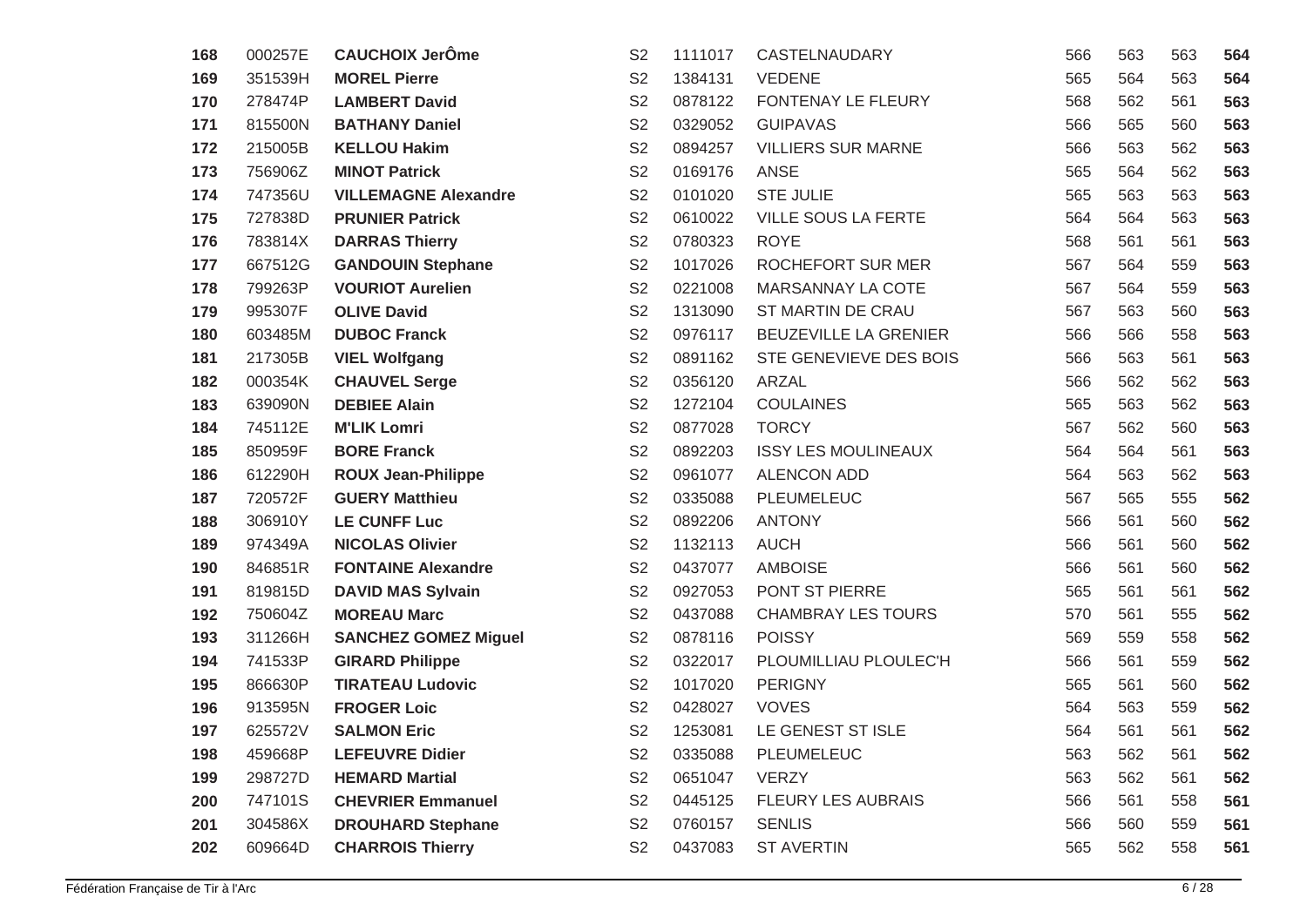| 168 | 000257E | <b>CAUCHOIX JerÔme</b>      | S <sub>2</sub> | 1111017 | CASTELNAUDARY              | 566 | 563 | 563 | 564 |
|-----|---------|-----------------------------|----------------|---------|----------------------------|-----|-----|-----|-----|
| 169 | 351539H | <b>MOREL Pierre</b>         | S <sub>2</sub> | 1384131 | <b>VEDENE</b>              | 565 | 564 | 563 | 564 |
| 170 | 278474P | <b>LAMBERT David</b>        | S <sub>2</sub> | 0878122 | FONTENAY LE FLEURY         | 568 | 562 | 561 | 563 |
| 171 | 815500N | <b>BATHANY Daniel</b>       | S <sub>2</sub> | 0329052 | <b>GUIPAVAS</b>            | 566 | 565 | 560 | 563 |
| 172 | 215005B | <b>KELLOU Hakim</b>         | S <sub>2</sub> | 0894257 | <b>VILLIERS SUR MARNE</b>  | 566 | 563 | 562 | 563 |
| 173 | 756906Z | <b>MINOT Patrick</b>        | S <sub>2</sub> | 0169176 | <b>ANSE</b>                | 565 | 564 | 562 | 563 |
| 174 | 747356U | <b>VILLEMAGNE Alexandre</b> | S <sub>2</sub> | 0101020 | <b>STE JULIE</b>           | 565 | 563 | 563 | 563 |
| 175 | 727838D | <b>PRUNIER Patrick</b>      | S <sub>2</sub> | 0610022 | <b>VILLE SOUS LA FERTE</b> | 564 | 564 | 563 | 563 |
| 176 | 783814X | <b>DARRAS Thierry</b>       | S <sub>2</sub> | 0780323 | <b>ROYE</b>                | 568 | 561 | 561 | 563 |
| 177 | 667512G | <b>GANDOUIN Stephane</b>    | S <sub>2</sub> | 1017026 | ROCHEFORT SUR MER          | 567 | 564 | 559 | 563 |
| 178 | 799263P | <b>VOURIOT Aurelien</b>     | S <sub>2</sub> | 0221008 | MARSANNAY LA COTE          | 567 | 564 | 559 | 563 |
| 179 | 995307F | <b>OLIVE David</b>          | S <sub>2</sub> | 1313090 | ST MARTIN DE CRAU          | 567 | 563 | 560 | 563 |
| 180 | 603485M | <b>DUBOC Franck</b>         | S <sub>2</sub> | 0976117 | BEUZEVILLE LA GRENIER      | 566 | 566 | 558 | 563 |
| 181 | 217305B | <b>VIEL Wolfgang</b>        | S <sub>2</sub> | 0891162 | STE GENEVIEVE DES BOIS     | 566 | 563 | 561 | 563 |
| 182 | 000354K | <b>CHAUVEL Serge</b>        | S <sub>2</sub> | 0356120 | <b>ARZAL</b>               | 566 | 562 | 562 | 563 |
| 183 | 639090N | <b>DEBIEE Alain</b>         | S <sub>2</sub> | 1272104 | <b>COULAINES</b>           | 565 | 563 | 562 | 563 |
| 184 | 745112E | <b>M'LIK Lomri</b>          | S <sub>2</sub> | 0877028 | <b>TORCY</b>               | 567 | 562 | 560 | 563 |
| 185 | 850959F | <b>BORE Franck</b>          | S <sub>2</sub> | 0892203 | <b>ISSY LES MOULINEAUX</b> | 564 | 564 | 561 | 563 |
| 186 | 612290H | <b>ROUX Jean-Philippe</b>   | S <sub>2</sub> | 0961077 | <b>ALENCON ADD</b>         | 564 | 563 | 562 | 563 |
| 187 | 720572F | <b>GUERY Matthieu</b>       | S <sub>2</sub> | 0335088 | PLEUMELEUC                 | 567 | 565 | 555 | 562 |
| 188 | 306910Y | <b>LE CUNFF Luc</b>         | S <sub>2</sub> | 0892206 | <b>ANTONY</b>              | 566 | 561 | 560 | 562 |
| 189 | 974349A | <b>NICOLAS Olivier</b>      | S <sub>2</sub> | 1132113 | <b>AUCH</b>                | 566 | 561 | 560 | 562 |
| 190 | 846851R | <b>FONTAINE Alexandre</b>   | S <sub>2</sub> | 0437077 | <b>AMBOISE</b>             | 566 | 561 | 560 | 562 |
| 191 | 819815D | <b>DAVID MAS Sylvain</b>    | S <sub>2</sub> | 0927053 | PONT ST PIERRE             | 565 | 561 | 561 | 562 |
| 192 | 750604Z | <b>MOREAU Marc</b>          | S <sub>2</sub> | 0437088 | <b>CHAMBRAY LES TOURS</b>  | 570 | 561 | 555 | 562 |
| 193 | 311266H | <b>SANCHEZ GOMEZ Miguel</b> | S <sub>2</sub> | 0878116 | <b>POISSY</b>              | 569 | 559 | 558 | 562 |
| 194 | 741533P | <b>GIRARD Philippe</b>      | S <sub>2</sub> | 0322017 | PLOUMILLIAU PLOULEC'H      | 566 | 561 | 559 | 562 |
| 195 | 866630P | <b>TIRATEAU Ludovic</b>     | S <sub>2</sub> | 1017020 | <b>PERIGNY</b>             | 565 | 561 | 560 | 562 |
| 196 | 913595N | <b>FROGER Loic</b>          | S <sub>2</sub> | 0428027 | <b>VOVES</b>               | 564 | 563 | 559 | 562 |
| 197 | 625572V | <b>SALMON Eric</b>          | S <sub>2</sub> | 1253081 | LE GENEST ST ISLE          | 564 | 561 | 561 | 562 |
| 198 | 459668P | <b>LEFEUVRE Didier</b>      | S <sub>2</sub> | 0335088 | PLEUMELEUC                 | 563 | 562 | 561 | 562 |
| 199 | 298727D | <b>HEMARD Martial</b>       | S <sub>2</sub> | 0651047 | <b>VERZY</b>               | 563 | 562 | 561 | 562 |
| 200 | 747101S | <b>CHEVRIER Emmanuel</b>    | S <sub>2</sub> | 0445125 | FLEURY LES AUBRAIS         | 566 | 561 | 558 | 561 |
| 201 | 304586X | <b>DROUHARD Stephane</b>    | S <sub>2</sub> | 0760157 | <b>SENLIS</b>              | 566 | 560 | 559 | 561 |
| 202 | 609664D | <b>CHARROIS Thierry</b>     | S <sub>2</sub> | 0437083 | <b>ST AVERTIN</b>          | 565 | 562 | 558 | 561 |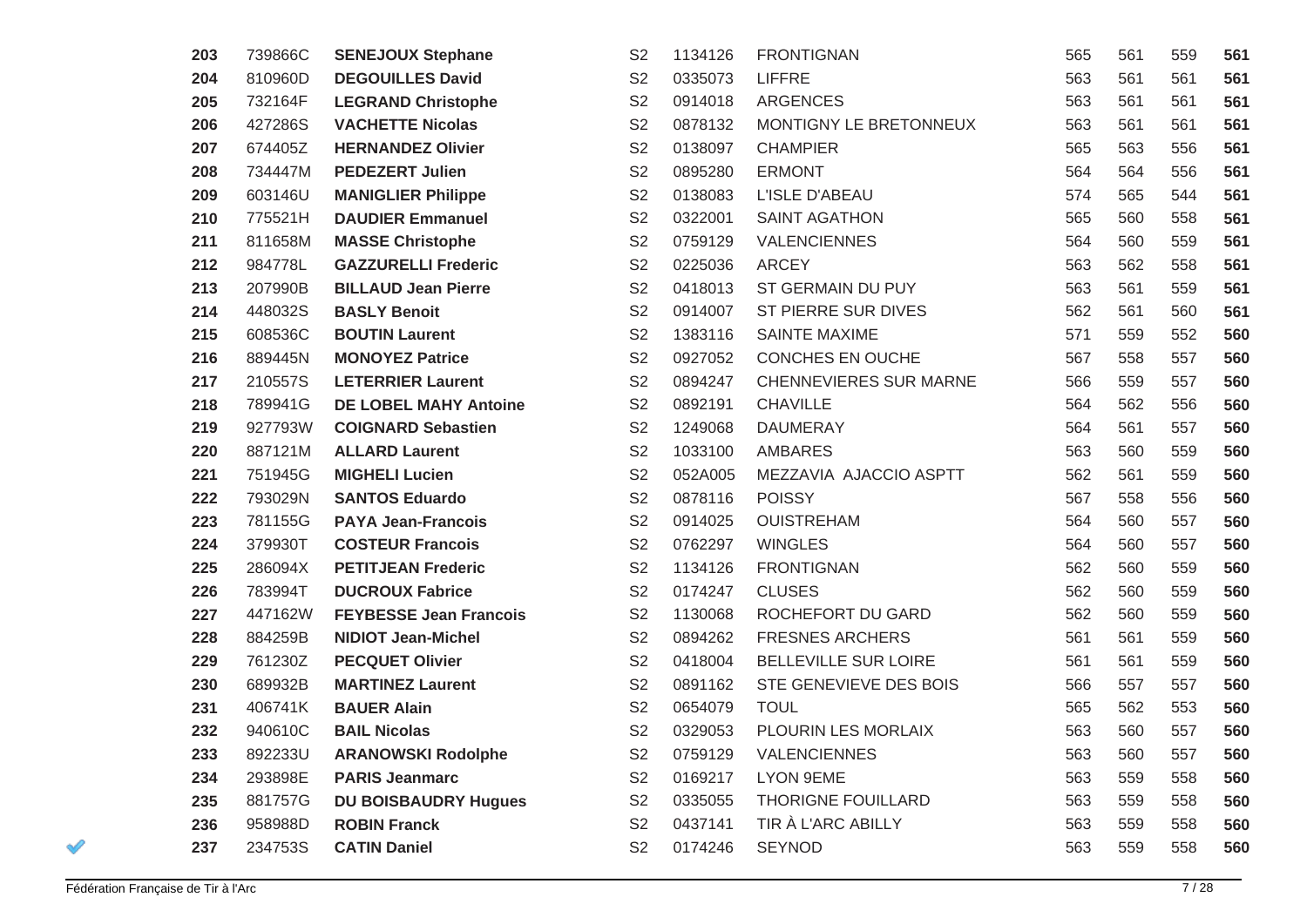| 203 | 739866C | <b>SENEJOUX Stephane</b>      | S <sub>2</sub> | 1134126 | <b>FRONTIGNAN</b>             | 565 | 561 | 559 | 561 |
|-----|---------|-------------------------------|----------------|---------|-------------------------------|-----|-----|-----|-----|
| 204 | 810960D | <b>DEGOUILLES David</b>       | S <sub>2</sub> | 0335073 | <b>LIFFRE</b>                 | 563 | 561 | 561 | 561 |
| 205 | 732164F | <b>LEGRAND Christophe</b>     | S <sub>2</sub> | 0914018 | <b>ARGENCES</b>               | 563 | 561 | 561 | 561 |
| 206 | 427286S | <b>VACHETTE Nicolas</b>       | S <sub>2</sub> | 0878132 | MONTIGNY LE BRETONNEUX        | 563 | 561 | 561 | 561 |
| 207 | 674405Z | <b>HERNANDEZ Olivier</b>      | S <sub>2</sub> | 0138097 | <b>CHAMPIER</b>               | 565 | 563 | 556 | 561 |
| 208 | 734447M | <b>PEDEZERT Julien</b>        | S <sub>2</sub> | 0895280 | <b>ERMONT</b>                 | 564 | 564 | 556 | 561 |
| 209 | 603146U | <b>MANIGLIER Philippe</b>     | S <sub>2</sub> | 0138083 | L'ISLE D'ABEAU                | 574 | 565 | 544 | 561 |
| 210 | 775521H | <b>DAUDIER Emmanuel</b>       | S <sub>2</sub> | 0322001 | <b>SAINT AGATHON</b>          | 565 | 560 | 558 | 561 |
| 211 | 811658M | <b>MASSE Christophe</b>       | S <sub>2</sub> | 0759129 | <b>VALENCIENNES</b>           | 564 | 560 | 559 | 561 |
| 212 | 984778L | <b>GAZZURELLI Frederic</b>    | S <sub>2</sub> | 0225036 | <b>ARCEY</b>                  | 563 | 562 | 558 | 561 |
| 213 | 207990B | <b>BILLAUD Jean Pierre</b>    | S <sub>2</sub> | 0418013 | ST GERMAIN DU PUY             | 563 | 561 | 559 | 561 |
| 214 | 448032S | <b>BASLY Benoit</b>           | S <sub>2</sub> | 0914007 | ST PIERRE SUR DIVES           | 562 | 561 | 560 | 561 |
| 215 | 608536C | <b>BOUTIN Laurent</b>         | S <sub>2</sub> | 1383116 | <b>SAINTE MAXIME</b>          | 571 | 559 | 552 | 560 |
| 216 | 889445N | <b>MONOYEZ Patrice</b>        | S <sub>2</sub> | 0927052 | CONCHES EN OUCHE              | 567 | 558 | 557 | 560 |
| 217 | 210557S | <b>LETERRIER Laurent</b>      | S <sub>2</sub> | 0894247 | <b>CHENNEVIERES SUR MARNE</b> | 566 | 559 | 557 | 560 |
| 218 | 789941G | <b>DE LOBEL MAHY Antoine</b>  | S <sub>2</sub> | 0892191 | <b>CHAVILLE</b>               | 564 | 562 | 556 | 560 |
| 219 | 927793W | <b>COIGNARD Sebastien</b>     | S <sub>2</sub> | 1249068 | <b>DAUMERAY</b>               | 564 | 561 | 557 | 560 |
| 220 | 887121M | <b>ALLARD Laurent</b>         | S <sub>2</sub> | 1033100 | <b>AMBARES</b>                | 563 | 560 | 559 | 560 |
| 221 | 751945G | <b>MIGHELI Lucien</b>         | S <sub>2</sub> | 052A005 | MEZZAVIA AJACCIO ASPTT        | 562 | 561 | 559 | 560 |
| 222 | 793029N | <b>SANTOS Eduardo</b>         | S <sub>2</sub> | 0878116 | <b>POISSY</b>                 | 567 | 558 | 556 | 560 |
| 223 | 781155G | <b>PAYA Jean-Francois</b>     | S <sub>2</sub> | 0914025 | <b>OUISTREHAM</b>             | 564 | 560 | 557 | 560 |
| 224 | 379930T | <b>COSTEUR Francois</b>       | S <sub>2</sub> | 0762297 | <b>WINGLES</b>                | 564 | 560 | 557 | 560 |
| 225 | 286094X | <b>PETITJEAN Frederic</b>     | S <sub>2</sub> | 1134126 | <b>FRONTIGNAN</b>             | 562 | 560 | 559 | 560 |
| 226 | 783994T | <b>DUCROUX Fabrice</b>        | S <sub>2</sub> | 0174247 | <b>CLUSES</b>                 | 562 | 560 | 559 | 560 |
| 227 | 447162W | <b>FEYBESSE Jean Francois</b> | S <sub>2</sub> | 1130068 | ROCHEFORT DU GARD             | 562 | 560 | 559 | 560 |
| 228 | 884259B | <b>NIDIOT Jean-Michel</b>     | S <sub>2</sub> | 0894262 | <b>FRESNES ARCHERS</b>        | 561 | 561 | 559 | 560 |
| 229 | 761230Z | <b>PECQUET Olivier</b>        | S <sub>2</sub> | 0418004 | <b>BELLEVILLE SUR LOIRE</b>   | 561 | 561 | 559 | 560 |
| 230 | 689932B | <b>MARTINEZ Laurent</b>       | S <sub>2</sub> | 0891162 | STE GENEVIEVE DES BOIS        | 566 | 557 | 557 | 560 |
| 231 | 406741K | <b>BAUER Alain</b>            | S <sub>2</sub> | 0654079 | <b>TOUL</b>                   | 565 | 562 | 553 | 560 |
| 232 | 940610C | <b>BAIL Nicolas</b>           | S <sub>2</sub> | 0329053 | PLOURIN LES MORLAIX           | 563 | 560 | 557 | 560 |
| 233 | 892233U | <b>ARANOWSKI Rodolphe</b>     | S <sub>2</sub> | 0759129 | VALENCIENNES                  | 563 | 560 | 557 | 560 |
| 234 | 293898E | <b>PARIS Jeanmarc</b>         | S <sub>2</sub> | 0169217 | LYON 9EME                     | 563 | 559 | 558 | 560 |
| 235 | 881757G | <b>DU BOISBAUDRY Hugues</b>   | S <sub>2</sub> | 0335055 | <b>THORIGNE FOUILLARD</b>     | 563 | 559 | 558 | 560 |
| 236 | 958988D | <b>ROBIN Franck</b>           | S <sub>2</sub> | 0437141 | TIR À L'ARC ABILLY            | 563 | 559 | 558 | 560 |
| 237 | 234753S | <b>CATIN Daniel</b>           | S <sub>2</sub> | 0174246 | <b>SEYNOD</b>                 | 563 | 559 | 558 | 560 |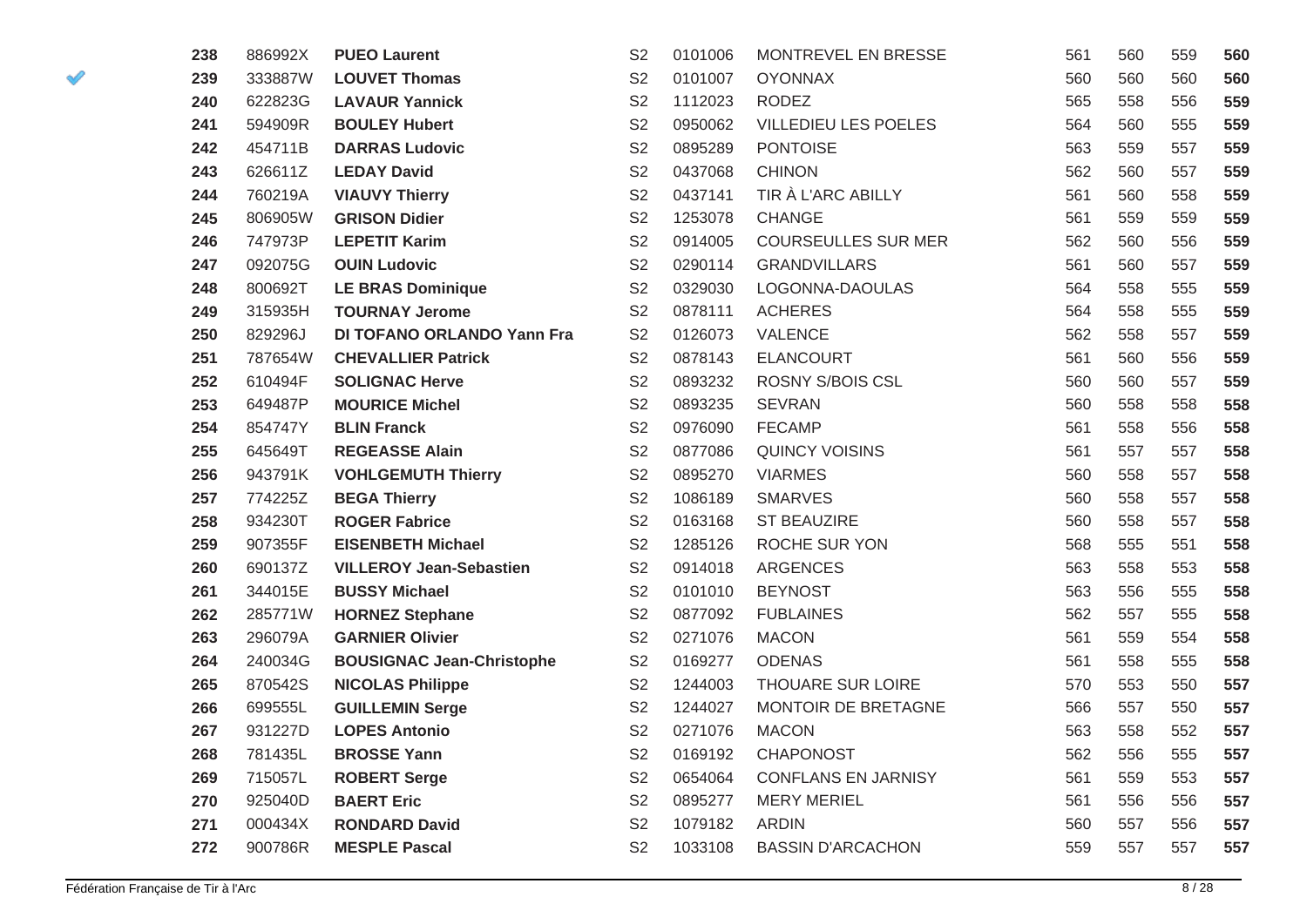| 238 | 886992X | <b>PUEO Laurent</b>              | S <sub>2</sub> | 0101006 | MONTREVEL EN BRESSE         | 561 | 560 | 559 | 560 |
|-----|---------|----------------------------------|----------------|---------|-----------------------------|-----|-----|-----|-----|
| 239 | 333887W | <b>LOUVET Thomas</b>             | S <sub>2</sub> | 0101007 | <b>OYONNAX</b>              | 560 | 560 | 560 | 560 |
| 240 | 622823G | <b>LAVAUR Yannick</b>            | S <sub>2</sub> | 1112023 | <b>RODEZ</b>                | 565 | 558 | 556 | 559 |
| 241 | 594909R | <b>BOULEY Hubert</b>             | S <sub>2</sub> | 0950062 | <b>VILLEDIEU LES POELES</b> | 564 | 560 | 555 | 559 |
| 242 | 454711B | <b>DARRAS Ludovic</b>            | S <sub>2</sub> | 0895289 | <b>PONTOISE</b>             | 563 | 559 | 557 | 559 |
| 243 | 626611Z | <b>LEDAY David</b>               | S <sub>2</sub> | 0437068 | <b>CHINON</b>               | 562 | 560 | 557 | 559 |
| 244 | 760219A | <b>VIAUVY Thierry</b>            | S <sub>2</sub> | 0437141 | TIR À L'ARC ABILLY          | 561 | 560 | 558 | 559 |
| 245 | 806905W | <b>GRISON Didier</b>             | S <sub>2</sub> | 1253078 | <b>CHANGE</b>               | 561 | 559 | 559 | 559 |
| 246 | 747973P | <b>LEPETIT Karim</b>             | S <sub>2</sub> | 0914005 | <b>COURSEULLES SUR MER</b>  | 562 | 560 | 556 | 559 |
| 247 | 092075G | <b>OUIN Ludovic</b>              | S <sub>2</sub> | 0290114 | <b>GRANDVILLARS</b>         | 561 | 560 | 557 | 559 |
| 248 | 800692T | <b>LE BRAS Dominique</b>         | S <sub>2</sub> | 0329030 | LOGONNA-DAOULAS             | 564 | 558 | 555 | 559 |
| 249 | 315935H | <b>TOURNAY Jerome</b>            | S <sub>2</sub> | 0878111 | <b>ACHERES</b>              | 564 | 558 | 555 | 559 |
| 250 | 829296J | DI TOFANO ORLANDO Yann Fra       | S <sub>2</sub> | 0126073 | VALENCE                     | 562 | 558 | 557 | 559 |
| 251 | 787654W | <b>CHEVALLIER Patrick</b>        | S <sub>2</sub> | 0878143 | <b>ELANCOURT</b>            | 561 | 560 | 556 | 559 |
| 252 | 610494F | <b>SOLIGNAC Herve</b>            | S <sub>2</sub> | 0893232 | ROSNY S/BOIS CSL            | 560 | 560 | 557 | 559 |
| 253 | 649487P | <b>MOURICE Michel</b>            | S <sub>2</sub> | 0893235 | <b>SEVRAN</b>               | 560 | 558 | 558 | 558 |
| 254 | 854747Y | <b>BLIN Franck</b>               | S <sub>2</sub> | 0976090 | <b>FECAMP</b>               | 561 | 558 | 556 | 558 |
| 255 | 645649T | <b>REGEASSE Alain</b>            | S <sub>2</sub> | 0877086 | <b>QUINCY VOISINS</b>       | 561 | 557 | 557 | 558 |
| 256 | 943791K | <b>VOHLGEMUTH Thierry</b>        | S <sub>2</sub> | 0895270 | <b>VIARMES</b>              | 560 | 558 | 557 | 558 |
| 257 | 774225Z | <b>BEGA Thierry</b>              | S <sub>2</sub> | 1086189 | <b>SMARVES</b>              | 560 | 558 | 557 | 558 |
| 258 | 934230T | <b>ROGER Fabrice</b>             | S <sub>2</sub> | 0163168 | <b>ST BEAUZIRE</b>          | 560 | 558 | 557 | 558 |
| 259 | 907355F | <b>EISENBETH Michael</b>         | S <sub>2</sub> | 1285126 | ROCHE SUR YON               | 568 | 555 | 551 | 558 |
| 260 | 690137Z | <b>VILLEROY Jean-Sebastien</b>   | S <sub>2</sub> | 0914018 | <b>ARGENCES</b>             | 563 | 558 | 553 | 558 |
| 261 | 344015E | <b>BUSSY Michael</b>             | S <sub>2</sub> | 0101010 | <b>BEYNOST</b>              | 563 | 556 | 555 | 558 |
| 262 | 285771W | <b>HORNEZ Stephane</b>           | S <sub>2</sub> | 0877092 | <b>FUBLAINES</b>            | 562 | 557 | 555 | 558 |
| 263 | 296079A | <b>GARNIER Olivier</b>           | S <sub>2</sub> | 0271076 | <b>MACON</b>                | 561 | 559 | 554 | 558 |
| 264 | 240034G | <b>BOUSIGNAC Jean-Christophe</b> | S <sub>2</sub> | 0169277 | <b>ODENAS</b>               | 561 | 558 | 555 | 558 |
| 265 | 870542S | <b>NICOLAS Philippe</b>          | S <sub>2</sub> | 1244003 | THOUARE SUR LOIRE           | 570 | 553 | 550 | 557 |
| 266 | 699555L | <b>GUILLEMIN Serge</b>           | S <sub>2</sub> | 1244027 | MONTOIR DE BRETAGNE         | 566 | 557 | 550 | 557 |
| 267 | 931227D | <b>LOPES Antonio</b>             | S <sub>2</sub> | 0271076 | <b>MACON</b>                | 563 | 558 | 552 | 557 |
| 268 | 781435L | <b>BROSSE Yann</b>               | S <sub>2</sub> | 0169192 | <b>CHAPONOST</b>            | 562 | 556 | 555 | 557 |
| 269 | 715057L | <b>ROBERT Serge</b>              | S <sub>2</sub> | 0654064 | <b>CONFLANS EN JARNISY</b>  | 561 | 559 | 553 | 557 |
| 270 | 925040D | <b>BAERT Eric</b>                | S <sub>2</sub> | 0895277 | <b>MERY MERIEL</b>          | 561 | 556 | 556 | 557 |
| 271 | 000434X | <b>RONDARD David</b>             | S <sub>2</sub> | 1079182 | <b>ARDIN</b>                | 560 | 557 | 556 | 557 |
| 272 | 900786R | <b>MESPLE Pascal</b>             | S <sub>2</sub> | 1033108 | <b>BASSIN D'ARCACHON</b>    | 559 | 557 | 557 | 557 |

 $\mathscr Q$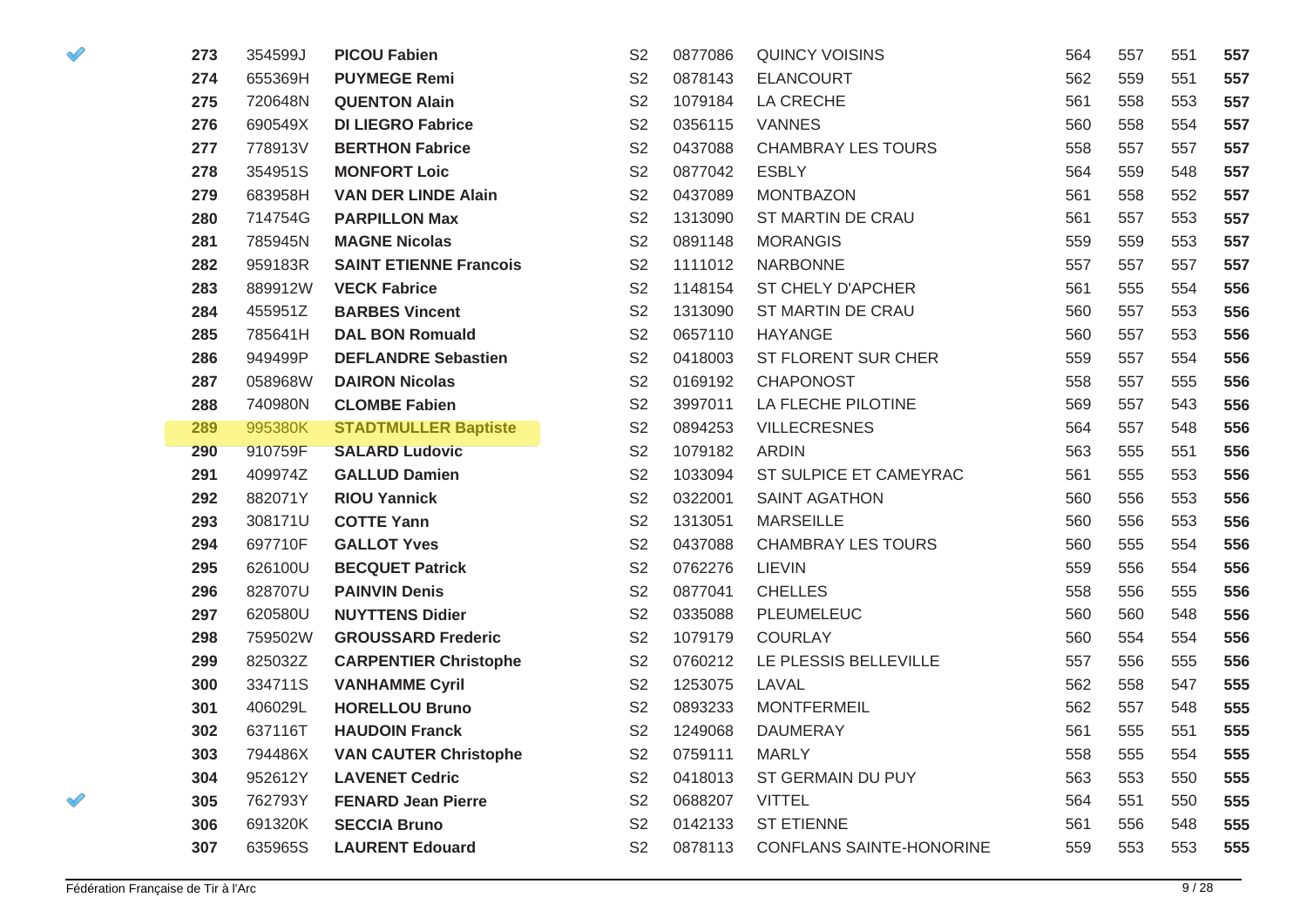| 273 | 354599J | <b>PICOU Fabien</b>           | S <sub>2</sub> | 0877086 | <b>QUINCY VOISINS</b>     | 564 | 557 | 551 | 557 |
|-----|---------|-------------------------------|----------------|---------|---------------------------|-----|-----|-----|-----|
| 274 | 655369H | <b>PUYMEGE Remi</b>           | S <sub>2</sub> | 0878143 | <b>ELANCOURT</b>          | 562 | 559 | 551 | 557 |
| 275 | 720648N | <b>QUENTON Alain</b>          | S <sub>2</sub> | 1079184 | LA CRECHE                 | 561 | 558 | 553 | 557 |
| 276 | 690549X | <b>DI LIEGRO Fabrice</b>      | S <sub>2</sub> | 0356115 | <b>VANNES</b>             | 560 | 558 | 554 | 557 |
| 277 | 778913V | <b>BERTHON Fabrice</b>        | S <sub>2</sub> | 0437088 | <b>CHAMBRAY LES TOURS</b> | 558 | 557 | 557 | 557 |
| 278 | 354951S | <b>MONFORT Loic</b>           | S <sub>2</sub> | 0877042 | <b>ESBLY</b>              | 564 | 559 | 548 | 557 |
| 279 | 683958H | <b>VAN DER LINDE Alain</b>    | S <sub>2</sub> | 0437089 | <b>MONTBAZON</b>          | 561 | 558 | 552 | 557 |
| 280 | 714754G | <b>PARPILLON Max</b>          | S <sub>2</sub> | 1313090 | ST MARTIN DE CRAU         | 561 | 557 | 553 | 557 |
| 281 | 785945N | <b>MAGNE Nicolas</b>          | S <sub>2</sub> | 0891148 | <b>MORANGIS</b>           | 559 | 559 | 553 | 557 |
| 282 | 959183R | <b>SAINT ETIENNE Francois</b> | S <sub>2</sub> | 1111012 | <b>NARBONNE</b>           | 557 | 557 | 557 | 557 |
| 283 | 889912W | <b>VECK Fabrice</b>           | S <sub>2</sub> | 1148154 | ST CHELY D'APCHER         | 561 | 555 | 554 | 556 |
| 284 | 455951Z | <b>BARBES Vincent</b>         | S <sub>2</sub> | 1313090 | ST MARTIN DE CRAU         | 560 | 557 | 553 | 556 |
| 285 | 785641H | <b>DAL BON Romuald</b>        | S <sub>2</sub> | 0657110 | <b>HAYANGE</b>            | 560 | 557 | 553 | 556 |
| 286 | 949499P | <b>DEFLANDRE Sebastien</b>    | S <sub>2</sub> | 0418003 | ST FLORENT SUR CHER       | 559 | 557 | 554 | 556 |
| 287 | 058968W | <b>DAIRON Nicolas</b>         | S <sub>2</sub> | 0169192 | <b>CHAPONOST</b>          | 558 | 557 | 555 | 556 |
| 288 | 740980N | <b>CLOMBE Fabien</b>          | S <sub>2</sub> | 3997011 | LA FLECHE PILOTINE        | 569 | 557 | 543 | 556 |
| 289 | 995380K | <b>STADTMULLER Baptiste</b>   | S <sub>2</sub> | 0894253 | <b>VILLECRESNES</b>       | 564 | 557 | 548 | 556 |
| 290 | 910759F | <b>SALARD Ludovic</b>         | S <sub>2</sub> | 1079182 | <b>ARDIN</b>              | 563 | 555 | 551 | 556 |
| 291 | 409974Z | <b>GALLUD Damien</b>          | S <sub>2</sub> | 1033094 | ST SULPICE ET CAMEYRAC    | 561 | 555 | 553 | 556 |
| 292 | 882071Y | <b>RIOU Yannick</b>           | S <sub>2</sub> | 0322001 | <b>SAINT AGATHON</b>      | 560 | 556 | 553 | 556 |
| 293 | 308171U | <b>COTTE Yann</b>             | S <sub>2</sub> | 1313051 | <b>MARSEILLE</b>          | 560 | 556 | 553 | 556 |
| 294 | 697710F | <b>GALLOT Yves</b>            | S <sub>2</sub> | 0437088 | <b>CHAMBRAY LES TOURS</b> | 560 | 555 | 554 | 556 |
| 295 | 626100U | <b>BECQUET Patrick</b>        | S <sub>2</sub> | 0762276 | <b>LIEVIN</b>             | 559 | 556 | 554 | 556 |
| 296 | 828707U | <b>PAINVIN Denis</b>          | S <sub>2</sub> | 0877041 | <b>CHELLES</b>            | 558 | 556 | 555 | 556 |
| 297 | 620580U | <b>NUYTTENS Didier</b>        | S <sub>2</sub> | 0335088 | PLEUMELEUC                | 560 | 560 | 548 | 556 |
| 298 | 759502W | <b>GROUSSARD Frederic</b>     | S <sub>2</sub> | 1079179 | <b>COURLAY</b>            | 560 | 554 | 554 | 556 |
| 299 | 825032Z | <b>CARPENTIER Christophe</b>  | S <sub>2</sub> | 0760212 | LE PLESSIS BELLEVILLE     | 557 | 556 | 555 | 556 |
| 300 | 334711S | <b>VANHAMME Cyril</b>         | S <sub>2</sub> | 1253075 | LAVAL                     | 562 | 558 | 547 | 555 |
| 301 | 406029L | <b>HORELLOU Bruno</b>         | S <sub>2</sub> | 0893233 | <b>MONTFERMEIL</b>        | 562 | 557 | 548 | 555 |
| 302 | 637116T | <b>HAUDOIN Franck</b>         | S <sub>2</sub> | 1249068 | <b>DAUMERAY</b>           | 561 | 555 | 551 | 555 |
| 303 | 794486X | <b>VAN CAUTER Christophe</b>  | S <sub>2</sub> | 0759111 | <b>MARLY</b>              | 558 | 555 | 554 | 555 |
| 304 | 952612Y | <b>LAVENET Cedric</b>         | S <sub>2</sub> | 0418013 | ST GERMAIN DU PUY         | 563 | 553 | 550 | 555 |
| 305 | 762793Y | <b>FENARD Jean Pierre</b>     | S <sub>2</sub> | 0688207 | <b>VITTEL</b>             | 564 | 551 | 550 | 555 |
| 306 | 691320K | <b>SECCIA Bruno</b>           | S <sub>2</sub> | 0142133 | <b>ST ETIENNE</b>         | 561 | 556 | 548 | 555 |
| 307 | 635965S | <b>LAURENT Edouard</b>        | S <sub>2</sub> | 0878113 | CONFLANS SAINTE-HONORINE  | 559 | 553 | 553 | 555 |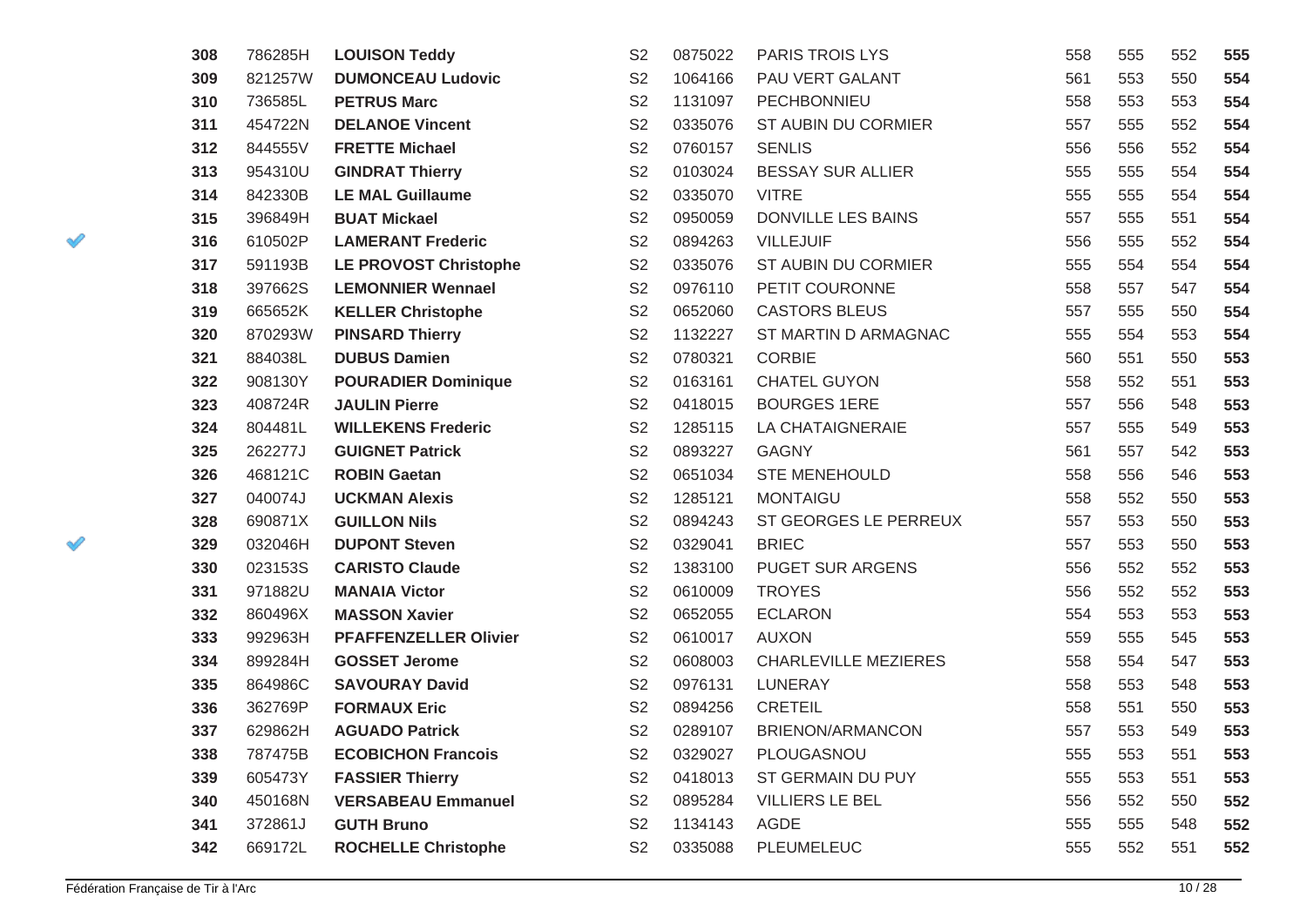| 308 | 786285H | <b>LOUISON Teddy</b>         | S <sub>2</sub> | 0875022 | <b>PARIS TROIS LYS</b>      | 558 | 555 | 552 | 555 |
|-----|---------|------------------------------|----------------|---------|-----------------------------|-----|-----|-----|-----|
| 309 | 821257W | <b>DUMONCEAU Ludovic</b>     | S <sub>2</sub> | 1064166 | PAU VERT GALANT             | 561 | 553 | 550 | 554 |
| 310 | 736585L | <b>PETRUS Marc</b>           | S <sub>2</sub> | 1131097 | PECHBONNIEU                 | 558 | 553 | 553 | 554 |
| 311 | 454722N | <b>DELANOE Vincent</b>       | S <sub>2</sub> | 0335076 | ST AUBIN DU CORMIER         | 557 | 555 | 552 | 554 |
| 312 | 844555V | <b>FRETTE Michael</b>        | S <sub>2</sub> | 0760157 | <b>SENLIS</b>               | 556 | 556 | 552 | 554 |
| 313 | 954310U | <b>GINDRAT Thierry</b>       | S <sub>2</sub> | 0103024 | BESSAY SUR ALLIER           | 555 | 555 | 554 | 554 |
| 314 | 842330B | <b>LE MAL Guillaume</b>      | S <sub>2</sub> | 0335070 | <b>VITRE</b>                | 555 | 555 | 554 | 554 |
| 315 | 396849H | <b>BUAT Mickael</b>          | S <sub>2</sub> | 0950059 | <b>DONVILLE LES BAINS</b>   | 557 | 555 | 551 | 554 |
| 316 | 610502P | <b>LAMERANT Frederic</b>     | S <sub>2</sub> | 0894263 | <b>VILLEJUIF</b>            | 556 | 555 | 552 | 554 |
| 317 | 591193B | <b>LE PROVOST Christophe</b> | S <sub>2</sub> | 0335076 | ST AUBIN DU CORMIER         | 555 | 554 | 554 | 554 |
| 318 | 397662S | <b>LEMONNIER Wennael</b>     | S <sub>2</sub> | 0976110 | PETIT COURONNE              | 558 | 557 | 547 | 554 |
| 319 | 665652K | <b>KELLER Christophe</b>     | S <sub>2</sub> | 0652060 | <b>CASTORS BLEUS</b>        | 557 | 555 | 550 | 554 |
| 320 | 870293W | <b>PINSARD Thierry</b>       | S <sub>2</sub> | 1132227 | ST MARTIN D ARMAGNAC        | 555 | 554 | 553 | 554 |
| 321 | 884038L | <b>DUBUS Damien</b>          | S <sub>2</sub> | 0780321 | <b>CORBIE</b>               | 560 | 551 | 550 | 553 |
| 322 | 908130Y | <b>POURADIER Dominique</b>   | S <sub>2</sub> | 0163161 | <b>CHATEL GUYON</b>         | 558 | 552 | 551 | 553 |
| 323 | 408724R | <b>JAULIN Pierre</b>         | S <sub>2</sub> | 0418015 | <b>BOURGES 1ERE</b>         | 557 | 556 | 548 | 553 |
| 324 | 804481L | <b>WILLEKENS Frederic</b>    | S <sub>2</sub> | 1285115 | LA CHATAIGNERAIE            | 557 | 555 | 549 | 553 |
| 325 | 262277J | <b>GUIGNET Patrick</b>       | S <sub>2</sub> | 0893227 | <b>GAGNY</b>                | 561 | 557 | 542 | 553 |
| 326 | 468121C | <b>ROBIN Gaetan</b>          | S <sub>2</sub> | 0651034 | <b>STE MENEHOULD</b>        | 558 | 556 | 546 | 553 |
| 327 | 040074J | <b>UCKMAN Alexis</b>         | S <sub>2</sub> | 1285121 | <b>MONTAIGU</b>             | 558 | 552 | 550 | 553 |
| 328 | 690871X | <b>GUILLON Nils</b>          | S <sub>2</sub> | 0894243 | ST GEORGES LE PERREUX       | 557 | 553 | 550 | 553 |
| 329 | 032046H | <b>DUPONT Steven</b>         | S <sub>2</sub> | 0329041 | <b>BRIEC</b>                | 557 | 553 | 550 | 553 |
| 330 | 023153S | <b>CARISTO Claude</b>        | S <sub>2</sub> | 1383100 | <b>PUGET SUR ARGENS</b>     | 556 | 552 | 552 | 553 |
| 331 | 971882U | <b>MANAIA Victor</b>         | S <sub>2</sub> | 0610009 | <b>TROYES</b>               | 556 | 552 | 552 | 553 |
| 332 | 860496X | <b>MASSON Xavier</b>         | S <sub>2</sub> | 0652055 | <b>ECLARON</b>              | 554 | 553 | 553 | 553 |
| 333 | 992963H | <b>PFAFFENZELLER Olivier</b> | S <sub>2</sub> | 0610017 | <b>AUXON</b>                | 559 | 555 | 545 | 553 |
| 334 | 899284H | <b>GOSSET Jerome</b>         | S <sub>2</sub> | 0608003 | <b>CHARLEVILLE MEZIERES</b> | 558 | 554 | 547 | 553 |
| 335 | 864986C | <b>SAVOURAY David</b>        | S <sub>2</sub> | 0976131 | LUNERAY                     | 558 | 553 | 548 | 553 |
| 336 | 362769P | <b>FORMAUX Eric</b>          | S <sub>2</sub> | 0894256 | <b>CRETEIL</b>              | 558 | 551 | 550 | 553 |
| 337 | 629862H | <b>AGUADO Patrick</b>        | S <sub>2</sub> | 0289107 | BRIENON/ARMANCON            | 557 | 553 | 549 | 553 |
| 338 | 787475B | <b>ECOBICHON Francois</b>    | S <sub>2</sub> | 0329027 | PLOUGASNOU                  | 555 | 553 | 551 | 553 |
| 339 | 605473Y | <b>FASSIER Thierry</b>       | S <sub>2</sub> | 0418013 | ST GERMAIN DU PUY           | 555 | 553 | 551 | 553 |
| 340 | 450168N | <b>VERSABEAU Emmanuel</b>    | S <sub>2</sub> | 0895284 | <b>VILLIERS LE BEL</b>      | 556 | 552 | 550 | 552 |
| 341 | 372861J | <b>GUTH Bruno</b>            | S <sub>2</sub> | 1134143 | AGDE                        | 555 | 555 | 548 | 552 |
| 342 | 669172L | <b>ROCHELLE Christophe</b>   | S <sub>2</sub> | 0335088 | PLEUMELEUC                  | 555 | 552 | 551 | 552 |

♦

 $\mathscr Q$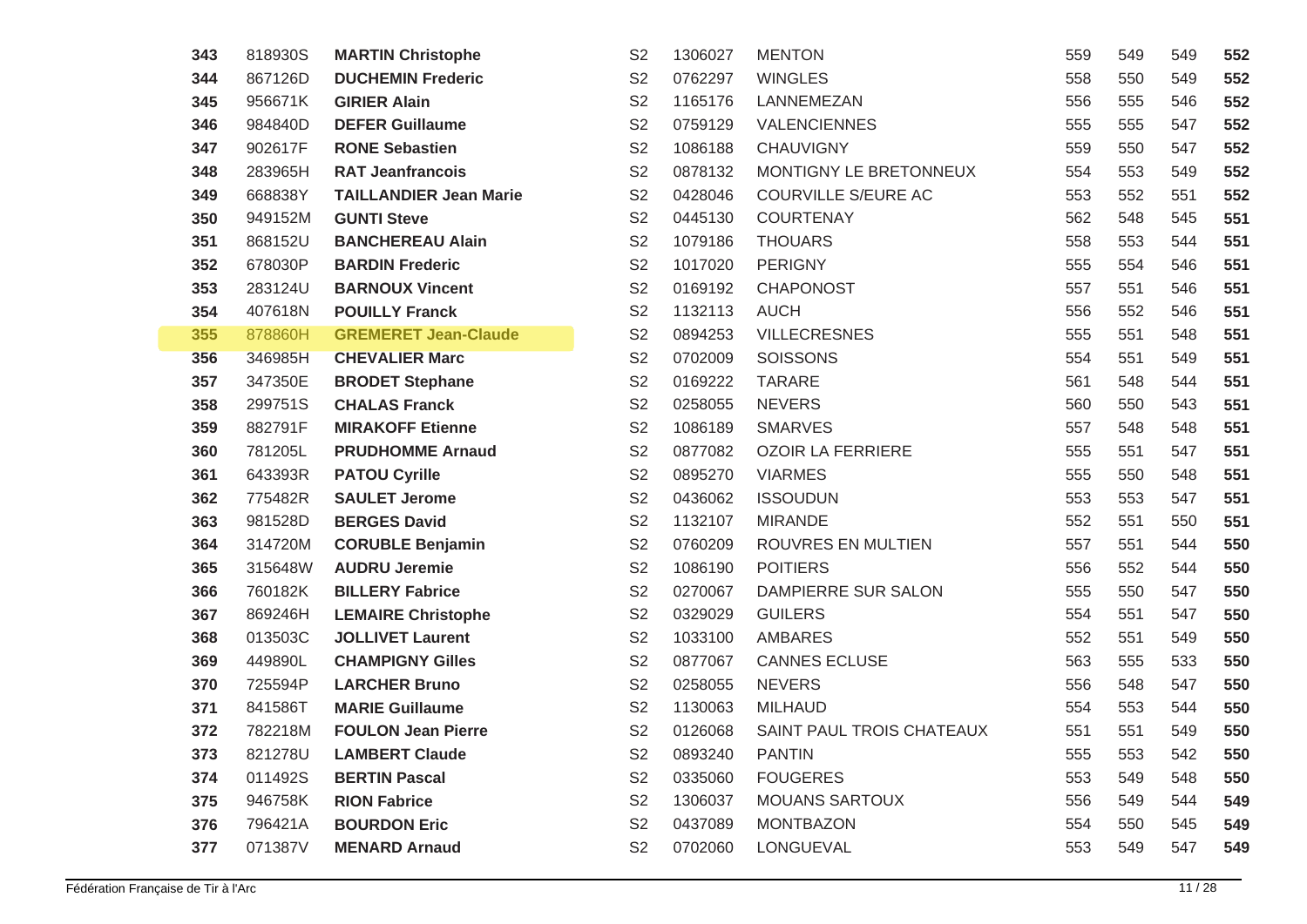| 343 | 818930S | <b>MARTIN Christophe</b>      | S <sub>2</sub> | 1306027 | <b>MENTON</b>              | 559 | 549 | 549 | 552 |
|-----|---------|-------------------------------|----------------|---------|----------------------------|-----|-----|-----|-----|
| 344 | 867126D | <b>DUCHEMIN Frederic</b>      | S <sub>2</sub> | 0762297 | <b>WINGLES</b>             | 558 | 550 | 549 | 552 |
| 345 | 956671K | <b>GIRIER Alain</b>           | S <sub>2</sub> | 1165176 | LANNEMEZAN                 | 556 | 555 | 546 | 552 |
| 346 | 984840D | <b>DEFER Guillaume</b>        | S <sub>2</sub> | 0759129 | <b>VALENCIENNES</b>        | 555 | 555 | 547 | 552 |
| 347 | 902617F | <b>RONE Sebastien</b>         | S <sub>2</sub> | 1086188 | <b>CHAUVIGNY</b>           | 559 | 550 | 547 | 552 |
| 348 | 283965H | <b>RAT Jeanfrancois</b>       | S <sub>2</sub> | 0878132 | MONTIGNY LE BRETONNEUX     | 554 | 553 | 549 | 552 |
| 349 | 668838Y | <b>TAILLANDIER Jean Marie</b> | S <sub>2</sub> | 0428046 | <b>COURVILLE S/EURE AC</b> | 553 | 552 | 551 | 552 |
| 350 | 949152M | <b>GUNTI Steve</b>            | S <sub>2</sub> | 0445130 | <b>COURTENAY</b>           | 562 | 548 | 545 | 551 |
| 351 | 868152U | <b>BANCHEREAU Alain</b>       | S <sub>2</sub> | 1079186 | <b>THOUARS</b>             | 558 | 553 | 544 | 551 |
| 352 | 678030P | <b>BARDIN Frederic</b>        | S <sub>2</sub> | 1017020 | <b>PERIGNY</b>             | 555 | 554 | 546 | 551 |
| 353 | 283124U | <b>BARNOUX Vincent</b>        | S <sub>2</sub> | 0169192 | <b>CHAPONOST</b>           | 557 | 551 | 546 | 551 |
| 354 | 407618N | <b>POUILLY Franck</b>         | S <sub>2</sub> | 1132113 | <b>AUCH</b>                | 556 | 552 | 546 | 551 |
| 355 | 878860H | <b>GREMERET Jean-Claude</b>   | S <sub>2</sub> | 0894253 | <b>VILLECRESNES</b>        | 555 | 551 | 548 | 551 |
| 356 | 346985H | <b>CHEVALIER Marc</b>         | S <sub>2</sub> | 0702009 | <b>SOISSONS</b>            | 554 | 551 | 549 | 551 |
| 357 | 347350E | <b>BRODET Stephane</b>        | S <sub>2</sub> | 0169222 | <b>TARARE</b>              | 561 | 548 | 544 | 551 |
| 358 | 299751S | <b>CHALAS Franck</b>          | S <sub>2</sub> | 0258055 | <b>NEVERS</b>              | 560 | 550 | 543 | 551 |
| 359 | 882791F | <b>MIRAKOFF Etienne</b>       | S <sub>2</sub> | 1086189 | <b>SMARVES</b>             | 557 | 548 | 548 | 551 |
| 360 | 781205L | <b>PRUDHOMME Arnaud</b>       | S <sub>2</sub> | 0877082 | <b>OZOIR LA FERRIERE</b>   | 555 | 551 | 547 | 551 |
| 361 | 643393R | <b>PATOU Cyrille</b>          | S <sub>2</sub> | 0895270 | <b>VIARMES</b>             | 555 | 550 | 548 | 551 |
| 362 | 775482R | <b>SAULET Jerome</b>          | S <sub>2</sub> | 0436062 | <b>ISSOUDUN</b>            | 553 | 553 | 547 | 551 |
| 363 | 981528D | <b>BERGES David</b>           | S <sub>2</sub> | 1132107 | <b>MIRANDE</b>             | 552 | 551 | 550 | 551 |
| 364 | 314720M | <b>CORUBLE Benjamin</b>       | S <sub>2</sub> | 0760209 | ROUVRES EN MULTIEN         | 557 | 551 | 544 | 550 |
| 365 | 315648W | <b>AUDRU Jeremie</b>          | S <sub>2</sub> | 1086190 | <b>POITIERS</b>            | 556 | 552 | 544 | 550 |
| 366 | 760182K | <b>BILLERY Fabrice</b>        | S <sub>2</sub> | 0270067 | DAMPIERRE SUR SALON        | 555 | 550 | 547 | 550 |
| 367 | 869246H | <b>LEMAIRE Christophe</b>     | S <sub>2</sub> | 0329029 | <b>GUILERS</b>             | 554 | 551 | 547 | 550 |
| 368 | 013503C | <b>JOLLIVET Laurent</b>       | S <sub>2</sub> | 1033100 | <b>AMBARES</b>             | 552 | 551 | 549 | 550 |
| 369 | 449890L | <b>CHAMPIGNY Gilles</b>       | S <sub>2</sub> | 0877067 | <b>CANNES ECLUSE</b>       | 563 | 555 | 533 | 550 |
| 370 | 725594P | <b>LARCHER Bruno</b>          | S <sub>2</sub> | 0258055 | <b>NEVERS</b>              | 556 | 548 | 547 | 550 |
| 371 | 841586T | <b>MARIE Guillaume</b>        | S <sub>2</sub> | 1130063 | <b>MILHAUD</b>             | 554 | 553 | 544 | 550 |
| 372 | 782218M | <b>FOULON Jean Pierre</b>     | S <sub>2</sub> | 0126068 | SAINT PAUL TROIS CHATEAUX  | 551 | 551 | 549 | 550 |
| 373 | 821278U | <b>LAMBERT Claude</b>         | S <sub>2</sub> | 0893240 | <b>PANTIN</b>              | 555 | 553 | 542 | 550 |
| 374 | 011492S | <b>BERTIN Pascal</b>          | S <sub>2</sub> | 0335060 | <b>FOUGERES</b>            | 553 | 549 | 548 | 550 |
| 375 | 946758K | <b>RION Fabrice</b>           | S <sub>2</sub> | 1306037 | <b>MOUANS SARTOUX</b>      | 556 | 549 | 544 | 549 |
| 376 | 796421A | <b>BOURDON Eric</b>           | S <sub>2</sub> | 0437089 | <b>MONTBAZON</b>           | 554 | 550 | 545 | 549 |
| 377 | 071387V | <b>MENARD Arnaud</b>          | S <sub>2</sub> | 0702060 | LONGUEVAL                  | 553 | 549 | 547 | 549 |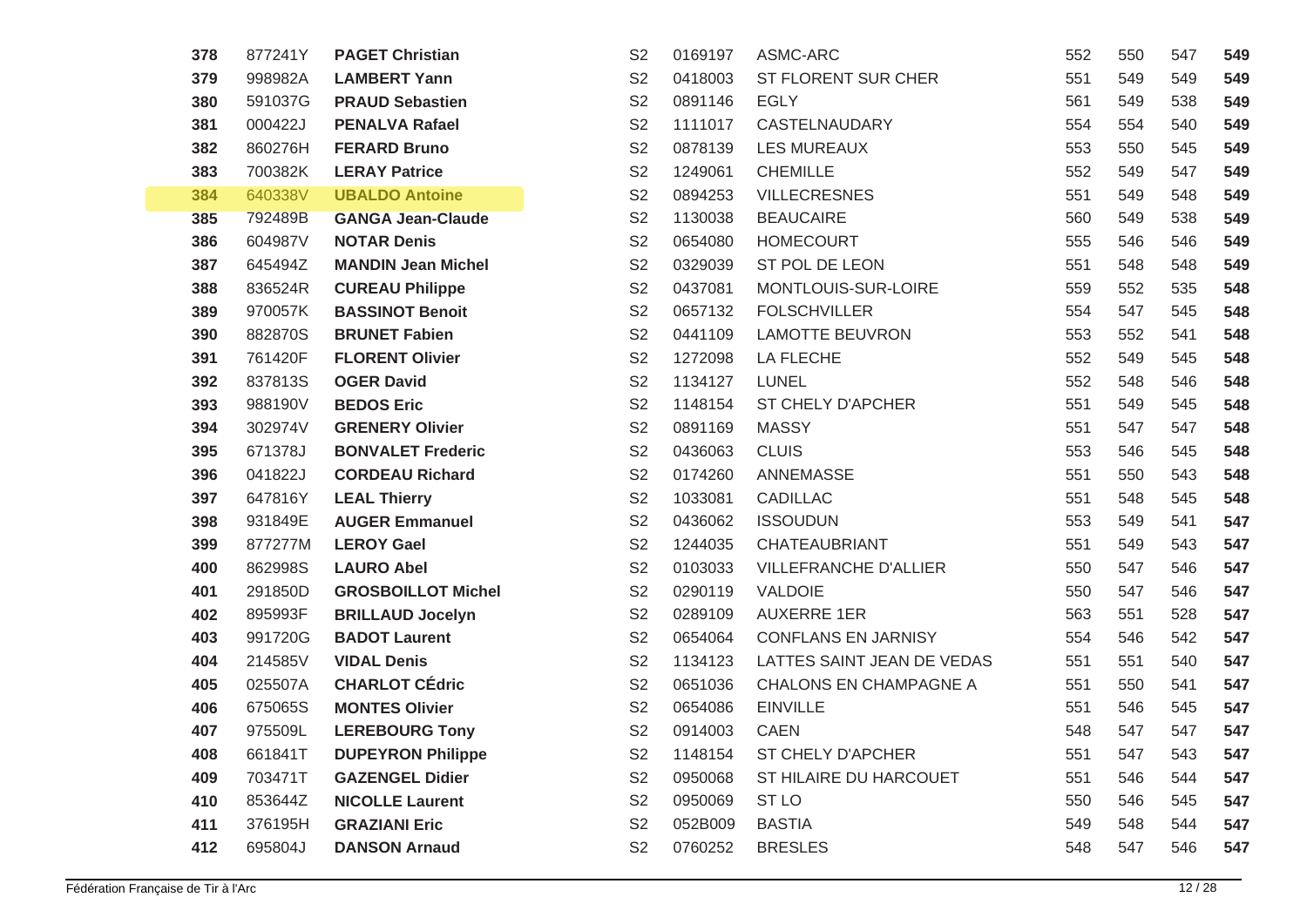| 378 | 877241Y | <b>PAGET Christian</b>    | S <sub>2</sub> | 0169197 | ASMC-ARC                     | 552 | 550 | 547 | 549 |
|-----|---------|---------------------------|----------------|---------|------------------------------|-----|-----|-----|-----|
| 379 | 998982A | <b>LAMBERT Yann</b>       | S <sub>2</sub> | 0418003 | ST FLORENT SUR CHER          | 551 | 549 | 549 | 549 |
| 380 | 591037G | <b>PRAUD Sebastien</b>    | S <sub>2</sub> | 0891146 | <b>EGLY</b>                  | 561 | 549 | 538 | 549 |
| 381 | 000422J | <b>PENALVA Rafael</b>     | S <sub>2</sub> | 1111017 | CASTELNAUDARY                | 554 | 554 | 540 | 549 |
| 382 | 860276H | <b>FERARD Bruno</b>       | S <sub>2</sub> | 0878139 | <b>LES MUREAUX</b>           | 553 | 550 | 545 | 549 |
| 383 | 700382K | <b>LERAY Patrice</b>      | S <sub>2</sub> | 1249061 | <b>CHEMILLE</b>              | 552 | 549 | 547 | 549 |
| 384 | 640338V | <b>UBALDO Antoine</b>     | S <sub>2</sub> | 0894253 | <b>VILLECRESNES</b>          | 551 | 549 | 548 | 549 |
| 385 | 792489B | <b>GANGA Jean-Claude</b>  | S <sub>2</sub> | 1130038 | <b>BEAUCAIRE</b>             | 560 | 549 | 538 | 549 |
| 386 | 604987V | <b>NOTAR Denis</b>        | S <sub>2</sub> | 0654080 | <b>HOMECOURT</b>             | 555 | 546 | 546 | 549 |
| 387 | 645494Z | <b>MANDIN Jean Michel</b> | S <sub>2</sub> | 0329039 | ST POL DE LEON               | 551 | 548 | 548 | 549 |
| 388 | 836524R | <b>CUREAU Philippe</b>    | S <sub>2</sub> | 0437081 | MONTLOUIS-SUR-LOIRE          | 559 | 552 | 535 | 548 |
| 389 | 970057K | <b>BASSINOT Benoit</b>    | S <sub>2</sub> | 0657132 | <b>FOLSCHVILLER</b>          | 554 | 547 | 545 | 548 |
| 390 | 882870S | <b>BRUNET Fabien</b>      | S <sub>2</sub> | 0441109 | <b>LAMOTTE BEUVRON</b>       | 553 | 552 | 541 | 548 |
| 391 | 761420F | <b>FLORENT Olivier</b>    | S <sub>2</sub> | 1272098 | LA FLECHE                    | 552 | 549 | 545 | 548 |
| 392 | 837813S | <b>OGER David</b>         | S <sub>2</sub> | 1134127 | <b>LUNEL</b>                 | 552 | 548 | 546 | 548 |
| 393 | 988190V | <b>BEDOS Eric</b>         | S <sub>2</sub> | 1148154 | ST CHELY D'APCHER            | 551 | 549 | 545 | 548 |
| 394 | 302974V | <b>GRENERY Olivier</b>    | S <sub>2</sub> | 0891169 | <b>MASSY</b>                 | 551 | 547 | 547 | 548 |
| 395 | 671378J | <b>BONVALET Frederic</b>  | S <sub>2</sub> | 0436063 | <b>CLUIS</b>                 | 553 | 546 | 545 | 548 |
| 396 | 041822J | <b>CORDEAU Richard</b>    | S <sub>2</sub> | 0174260 | ANNEMASSE                    | 551 | 550 | 543 | 548 |
| 397 | 647816Y | <b>LEAL Thierry</b>       | S <sub>2</sub> | 1033081 | <b>CADILLAC</b>              | 551 | 548 | 545 | 548 |
| 398 | 931849E | <b>AUGER Emmanuel</b>     | S <sub>2</sub> | 0436062 | <b>ISSOUDUN</b>              | 553 | 549 | 541 | 547 |
| 399 | 877277M | <b>LEROY Gael</b>         | S <sub>2</sub> | 1244035 | CHATEAUBRIANT                | 551 | 549 | 543 | 547 |
| 400 | 862998S | <b>LAURO Abel</b>         | S <sub>2</sub> | 0103033 | <b>VILLEFRANCHE D'ALLIER</b> | 550 | 547 | 546 | 547 |
| 401 | 291850D | <b>GROSBOILLOT Michel</b> | S <sub>2</sub> | 0290119 | <b>VALDOIE</b>               | 550 | 547 | 546 | 547 |
| 402 | 895993F | <b>BRILLAUD Jocelyn</b>   | S <sub>2</sub> | 0289109 | <b>AUXERRE 1ER</b>           | 563 | 551 | 528 | 547 |
| 403 | 991720G | <b>BADOT Laurent</b>      | S <sub>2</sub> | 0654064 | CONFLANS EN JARNISY          | 554 | 546 | 542 | 547 |
| 404 | 214585V | <b>VIDAL Denis</b>        | S <sub>2</sub> | 1134123 | LATTES SAINT JEAN DE VEDAS   | 551 | 551 | 540 | 547 |
| 405 | 025507A | <b>CHARLOT CÉdric</b>     | S <sub>2</sub> | 0651036 | CHALONS EN CHAMPAGNE A       | 551 | 550 | 541 | 547 |
| 406 | 675065S | <b>MONTES Olivier</b>     | S <sub>2</sub> | 0654086 | <b>EINVILLE</b>              | 551 | 546 | 545 | 547 |
| 407 | 975509L | <b>LEREBOURG Tony</b>     | S <sub>2</sub> | 0914003 | <b>CAEN</b>                  | 548 | 547 | 547 | 547 |
| 408 | 661841T | <b>DUPEYRON Philippe</b>  | S <sub>2</sub> | 1148154 | <b>ST CHELY D'APCHER</b>     | 551 | 547 | 543 | 547 |
| 409 | 703471T | <b>GAZENGEL Didier</b>    | S <sub>2</sub> | 0950068 | ST HILAIRE DU HARCOUET       | 551 | 546 | 544 | 547 |
| 410 | 853644Z | <b>NICOLLE Laurent</b>    | S <sub>2</sub> | 0950069 | ST <sub>LO</sub>             | 550 | 546 | 545 | 547 |
| 411 | 376195H | <b>GRAZIANI Eric</b>      | S <sub>2</sub> | 052B009 | <b>BASTIA</b>                | 549 | 548 | 544 | 547 |
| 412 | 695804J | <b>DANSON Arnaud</b>      | S <sub>2</sub> | 0760252 | <b>BRESLES</b>               | 548 | 547 | 546 | 547 |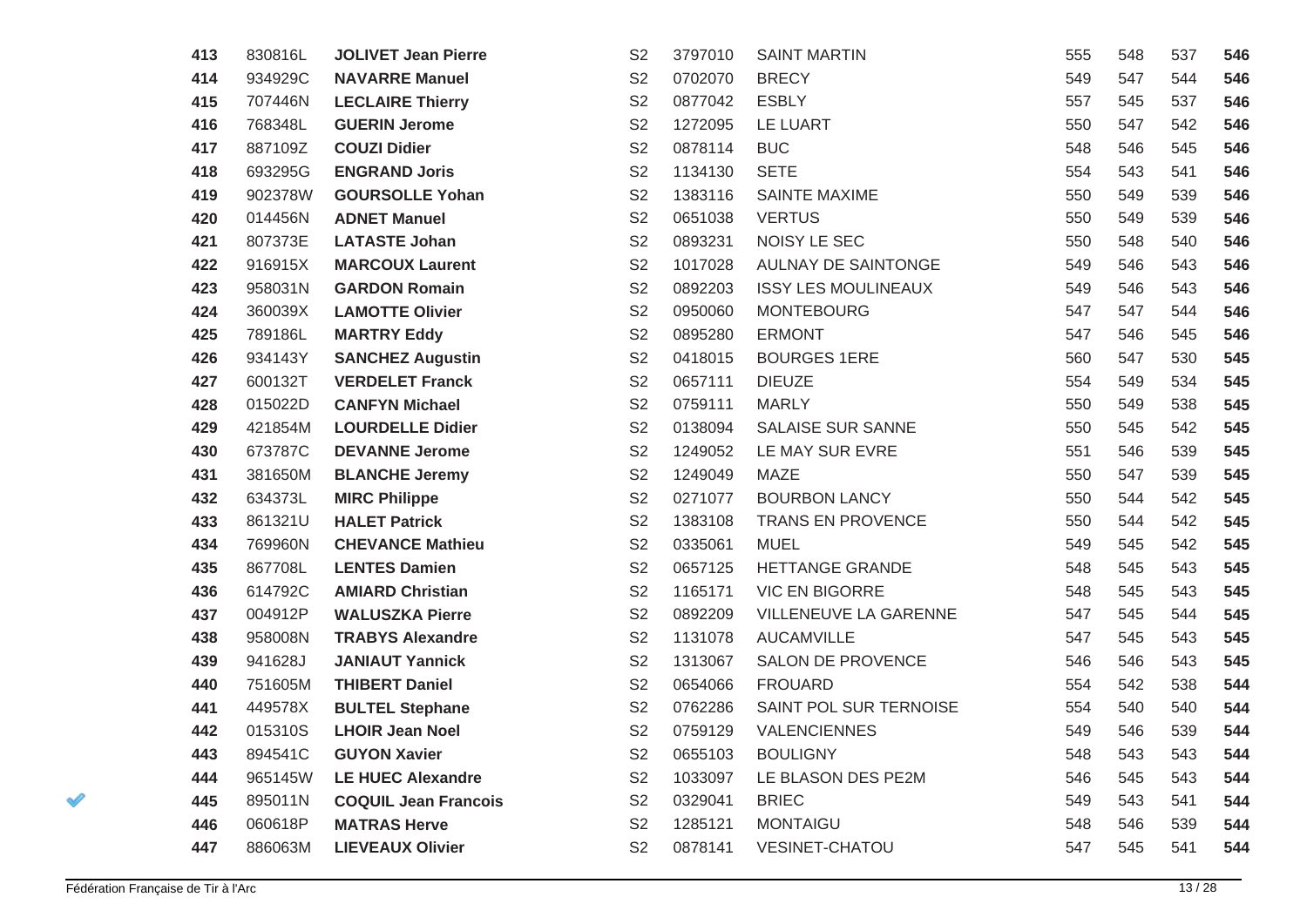| 413 | 830816L | <b>JOLIVET Jean Pierre</b>  | S <sub>2</sub> | 3797010 | <b>SAINT MARTIN</b>        | 555 | 548 | 537 | 546 |
|-----|---------|-----------------------------|----------------|---------|----------------------------|-----|-----|-----|-----|
| 414 | 934929C | <b>NAVARRE Manuel</b>       | S <sub>2</sub> | 0702070 | <b>BRECY</b>               | 549 | 547 | 544 | 546 |
| 415 | 707446N | <b>LECLAIRE Thierry</b>     | S <sub>2</sub> | 0877042 | <b>ESBLY</b>               | 557 | 545 | 537 | 546 |
| 416 | 768348L | <b>GUERIN Jerome</b>        | S <sub>2</sub> | 1272095 | LE LUART                   | 550 | 547 | 542 | 546 |
| 417 | 887109Z | <b>COUZI Didier</b>         | S <sub>2</sub> | 0878114 | <b>BUC</b>                 | 548 | 546 | 545 | 546 |
| 418 | 693295G | <b>ENGRAND Joris</b>        | S <sub>2</sub> | 1134130 | <b>SETE</b>                | 554 | 543 | 541 | 546 |
| 419 | 902378W | <b>GOURSOLLE Yohan</b>      | S <sub>2</sub> | 1383116 | <b>SAINTE MAXIME</b>       | 550 | 549 | 539 | 546 |
| 420 | 014456N | <b>ADNET Manuel</b>         | S <sub>2</sub> | 0651038 | <b>VERTUS</b>              | 550 | 549 | 539 | 546 |
| 421 | 807373E | <b>LATASTE Johan</b>        | S <sub>2</sub> | 0893231 | NOISY LE SEC               | 550 | 548 | 540 | 546 |
| 422 | 916915X | <b>MARCOUX Laurent</b>      | S <sub>2</sub> | 1017028 | <b>AULNAY DE SAINTONGE</b> | 549 | 546 | 543 | 546 |
| 423 | 958031N | <b>GARDON Romain</b>        | S <sub>2</sub> | 0892203 | <b>ISSY LES MOULINEAUX</b> | 549 | 546 | 543 | 546 |
| 424 | 360039X | <b>LAMOTTE Olivier</b>      | S <sub>2</sub> | 0950060 | <b>MONTEBOURG</b>          | 547 | 547 | 544 | 546 |
| 425 | 789186L | <b>MARTRY Eddy</b>          | S <sub>2</sub> | 0895280 | ERMONT                     | 547 | 546 | 545 | 546 |
| 426 | 934143Y | <b>SANCHEZ Augustin</b>     | S <sub>2</sub> | 0418015 | <b>BOURGES 1ERE</b>        | 560 | 547 | 530 | 545 |
| 427 | 600132T | <b>VERDELET Franck</b>      | S <sub>2</sub> | 0657111 | <b>DIEUZE</b>              | 554 | 549 | 534 | 545 |
| 428 | 015022D | <b>CANFYN Michael</b>       | S <sub>2</sub> | 0759111 | <b>MARLY</b>               | 550 | 549 | 538 | 545 |
| 429 | 421854M | <b>LOURDELLE Didier</b>     | S <sub>2</sub> | 0138094 | SALAISE SUR SANNE          | 550 | 545 | 542 | 545 |
| 430 | 673787C | <b>DEVANNE Jerome</b>       | S <sub>2</sub> | 1249052 | LE MAY SUR EVRE            | 551 | 546 | 539 | 545 |
| 431 | 381650M | <b>BLANCHE Jeremy</b>       | S <sub>2</sub> | 1249049 | <b>MAZE</b>                | 550 | 547 | 539 | 545 |
| 432 | 634373L | <b>MIRC Philippe</b>        | S <sub>2</sub> | 0271077 | <b>BOURBON LANCY</b>       | 550 | 544 | 542 | 545 |
| 433 | 861321U | <b>HALET Patrick</b>        | S <sub>2</sub> | 1383108 | <b>TRANS EN PROVENCE</b>   | 550 | 544 | 542 | 545 |
| 434 | 769960N | <b>CHEVANCE Mathieu</b>     | S <sub>2</sub> | 0335061 | <b>MUEL</b>                | 549 | 545 | 542 | 545 |
| 435 | 867708L | <b>LENTES Damien</b>        | S <sub>2</sub> | 0657125 | HETTANGE GRANDE            | 548 | 545 | 543 | 545 |
| 436 | 614792C | <b>AMIARD Christian</b>     | S <sub>2</sub> | 1165171 | <b>VIC EN BIGORRE</b>      | 548 | 545 | 543 | 545 |
| 437 | 004912P | <b>WALUSZKA Pierre</b>      | S <sub>2</sub> | 0892209 | VILLENEUVE LA GARENNE      | 547 | 545 | 544 | 545 |
| 438 | 958008N | <b>TRABYS Alexandre</b>     | S <sub>2</sub> | 1131078 | <b>AUCAMVILLE</b>          | 547 | 545 | 543 | 545 |
| 439 | 941628J | <b>JANIAUT Yannick</b>      | S <sub>2</sub> | 1313067 | SALON DE PROVENCE          | 546 | 546 | 543 | 545 |
| 440 | 751605M | <b>THIBERT Daniel</b>       | S <sub>2</sub> | 0654066 | <b>FROUARD</b>             | 554 | 542 | 538 | 544 |
| 441 | 449578X | <b>BULTEL Stephane</b>      | S <sub>2</sub> | 0762286 | SAINT POL SUR TERNOISE     | 554 | 540 | 540 | 544 |
| 442 | 015310S | <b>LHOIR Jean Noel</b>      | S <sub>2</sub> | 0759129 | VALENCIENNES               | 549 | 546 | 539 | 544 |
| 443 | 894541C | <b>GUYON Xavier</b>         | S <sub>2</sub> | 0655103 | <b>BOULIGNY</b>            | 548 | 543 | 543 | 544 |
| 444 | 965145W | <b>LE HUEC Alexandre</b>    | S <sub>2</sub> | 1033097 | LE BLASON DES PE2M         | 546 | 545 | 543 | 544 |
| 445 | 895011N | <b>COQUIL Jean Francois</b> | S <sub>2</sub> | 0329041 | <b>BRIEC</b>               | 549 | 543 | 541 | 544 |
| 446 | 060618P | <b>MATRAS Herve</b>         | S <sub>2</sub> | 1285121 | <b>MONTAIGU</b>            | 548 | 546 | 539 | 544 |
| 447 | 886063M | <b>LIEVEAUX Olivier</b>     | S <sub>2</sub> | 0878141 | <b>VESINET-CHATOU</b>      | 547 | 545 | 541 | 544 |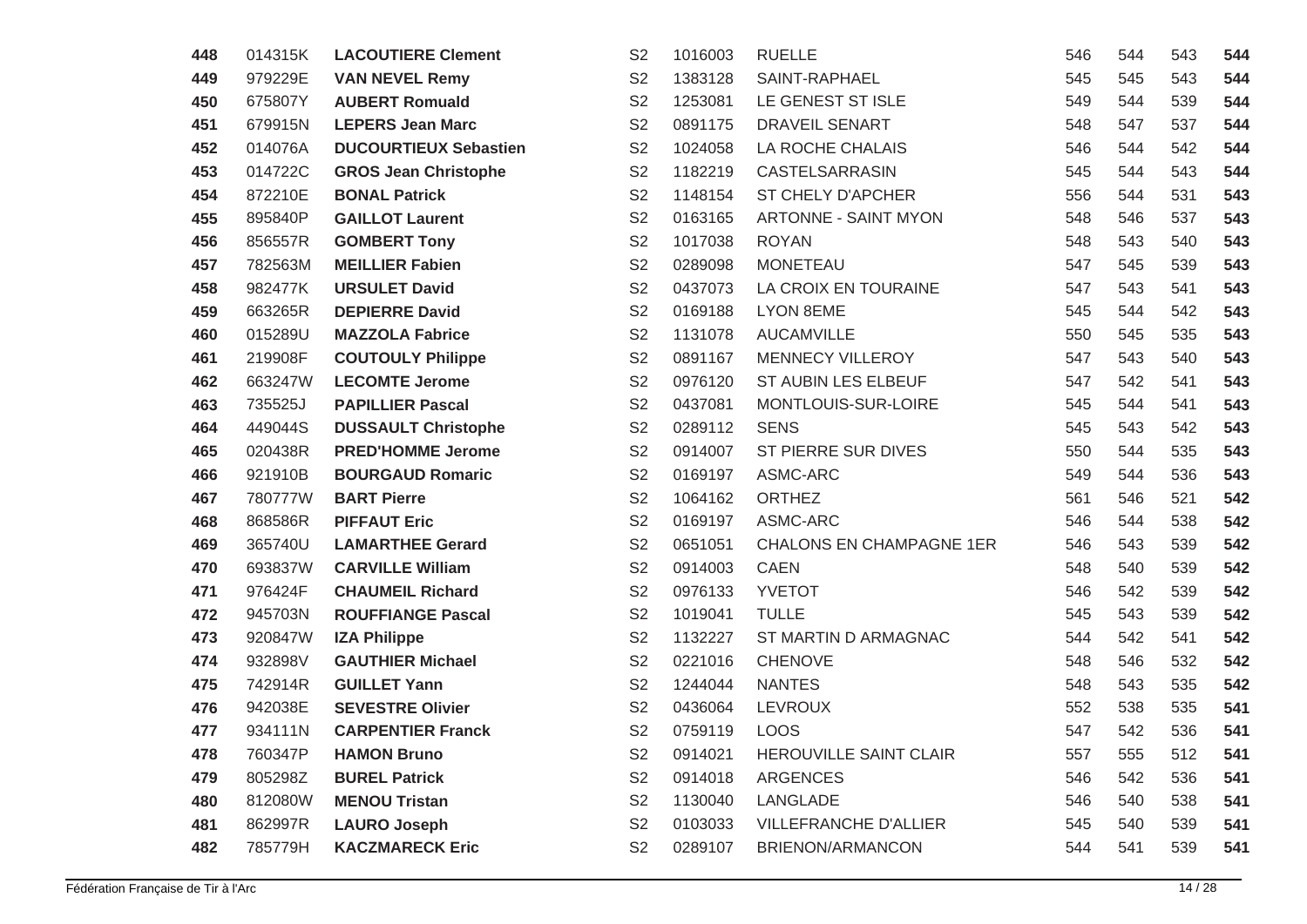| 448 | 014315K | <b>LACOUTIERE Clement</b>    | S <sub>2</sub> | 1016003 | <b>RUELLE</b>                   | 546 | 544 | 543 | 544 |
|-----|---------|------------------------------|----------------|---------|---------------------------------|-----|-----|-----|-----|
| 449 | 979229E | <b>VAN NEVEL Remy</b>        | S <sub>2</sub> | 1383128 | SAINT-RAPHAEL                   | 545 | 545 | 543 | 544 |
| 450 | 675807Y | <b>AUBERT Romuald</b>        | S <sub>2</sub> | 1253081 | LE GENEST ST ISLE               | 549 | 544 | 539 | 544 |
| 451 | 679915N | <b>LEPERS Jean Marc</b>      | S <sub>2</sub> | 0891175 | <b>DRAVEIL SENART</b>           | 548 | 547 | 537 | 544 |
| 452 | 014076A | <b>DUCOURTIEUX Sebastien</b> | S <sub>2</sub> | 1024058 | LA ROCHE CHALAIS                | 546 | 544 | 542 | 544 |
| 453 | 014722C | <b>GROS Jean Christophe</b>  | S <sub>2</sub> | 1182219 | CASTELSARRASIN                  | 545 | 544 | 543 | 544 |
| 454 | 872210E | <b>BONAL Patrick</b>         | S <sub>2</sub> | 1148154 | ST CHELY D'APCHER               | 556 | 544 | 531 | 543 |
| 455 | 895840P | <b>GAILLOT Laurent</b>       | S <sub>2</sub> | 0163165 | <b>ARTONNE - SAINT MYON</b>     | 548 | 546 | 537 | 543 |
| 456 | 856557R | <b>GOMBERT Tony</b>          | S <sub>2</sub> | 1017038 | <b>ROYAN</b>                    | 548 | 543 | 540 | 543 |
| 457 | 782563M | <b>MEILLIER Fabien</b>       | S <sub>2</sub> | 0289098 | <b>MONETEAU</b>                 | 547 | 545 | 539 | 543 |
| 458 | 982477K | <b>URSULET David</b>         | S <sub>2</sub> | 0437073 | LA CROIX EN TOURAINE            | 547 | 543 | 541 | 543 |
| 459 | 663265R | <b>DEPIERRE David</b>        | S <sub>2</sub> | 0169188 | LYON 8EME                       | 545 | 544 | 542 | 543 |
| 460 | 015289U | <b>MAZZOLA Fabrice</b>       | S <sub>2</sub> | 1131078 | <b>AUCAMVILLE</b>               | 550 | 545 | 535 | 543 |
| 461 | 219908F | <b>COUTOULY Philippe</b>     | S <sub>2</sub> | 0891167 | MENNECY VILLEROY                | 547 | 543 | 540 | 543 |
| 462 | 663247W | <b>LECOMTE Jerome</b>        | S <sub>2</sub> | 0976120 | ST AUBIN LES ELBEUF             | 547 | 542 | 541 | 543 |
| 463 | 735525J | <b>PAPILLIER Pascal</b>      | S <sub>2</sub> | 0437081 | MONTLOUIS-SUR-LOIRE             | 545 | 544 | 541 | 543 |
| 464 | 449044S | <b>DUSSAULT Christophe</b>   | S <sub>2</sub> | 0289112 | <b>SENS</b>                     | 545 | 543 | 542 | 543 |
| 465 | 020438R | <b>PRED'HOMME Jerome</b>     | S <sub>2</sub> | 0914007 | ST PIERRE SUR DIVES             | 550 | 544 | 535 | 543 |
| 466 | 921910B | <b>BOURGAUD Romaric</b>      | S <sub>2</sub> | 0169197 | ASMC-ARC                        | 549 | 544 | 536 | 543 |
| 467 | 780777W | <b>BART Pierre</b>           | S <sub>2</sub> | 1064162 | <b>ORTHEZ</b>                   | 561 | 546 | 521 | 542 |
| 468 | 868586R | <b>PIFFAUT Eric</b>          | S <sub>2</sub> | 0169197 | ASMC-ARC                        | 546 | 544 | 538 | 542 |
| 469 | 365740U | <b>LAMARTHEE Gerard</b>      | S <sub>2</sub> | 0651051 | <b>CHALONS EN CHAMPAGNE 1ER</b> | 546 | 543 | 539 | 542 |
| 470 | 693837W | <b>CARVILLE William</b>      | S <sub>2</sub> | 0914003 | <b>CAEN</b>                     | 548 | 540 | 539 | 542 |
| 471 | 976424F | <b>CHAUMEIL Richard</b>      | S <sub>2</sub> | 0976133 | <b>YVETOT</b>                   | 546 | 542 | 539 | 542 |
| 472 | 945703N | <b>ROUFFIANGE Pascal</b>     | S <sub>2</sub> | 1019041 | <b>TULLE</b>                    | 545 | 543 | 539 | 542 |
| 473 | 920847W | <b>IZA Philippe</b>          | S <sub>2</sub> | 1132227 | ST MARTIN D ARMAGNAC            | 544 | 542 | 541 | 542 |
| 474 | 932898V | <b>GAUTHIER Michael</b>      | S <sub>2</sub> | 0221016 | <b>CHENOVE</b>                  | 548 | 546 | 532 | 542 |
| 475 | 742914R | <b>GUILLET Yann</b>          | S <sub>2</sub> | 1244044 | <b>NANTES</b>                   | 548 | 543 | 535 | 542 |
| 476 | 942038E | <b>SEVESTRE Olivier</b>      | S <sub>2</sub> | 0436064 | LEVROUX                         | 552 | 538 | 535 | 541 |
| 477 | 934111N | <b>CARPENTIER Franck</b>     | S <sub>2</sub> | 0759119 | <b>LOOS</b>                     | 547 | 542 | 536 | 541 |
| 478 | 760347P | <b>HAMON Bruno</b>           | S <sub>2</sub> | 0914021 | HEROUVILLE SAINT CLAIR          | 557 | 555 | 512 | 541 |
| 479 | 805298Z | <b>BUREL Patrick</b>         | S <sub>2</sub> | 0914018 | <b>ARGENCES</b>                 | 546 | 542 | 536 | 541 |
| 480 | 812080W | <b>MENOU Tristan</b>         | S <sub>2</sub> | 1130040 | LANGLADE                        | 546 | 540 | 538 | 541 |
| 481 | 862997R | <b>LAURO Joseph</b>          | S <sub>2</sub> | 0103033 | <b>VILLEFRANCHE D'ALLIER</b>    | 545 | 540 | 539 | 541 |
| 482 | 785779H | <b>KACZMARECK Eric</b>       | S <sub>2</sub> | 0289107 | BRIENON/ARMANCON                | 544 | 541 | 539 | 541 |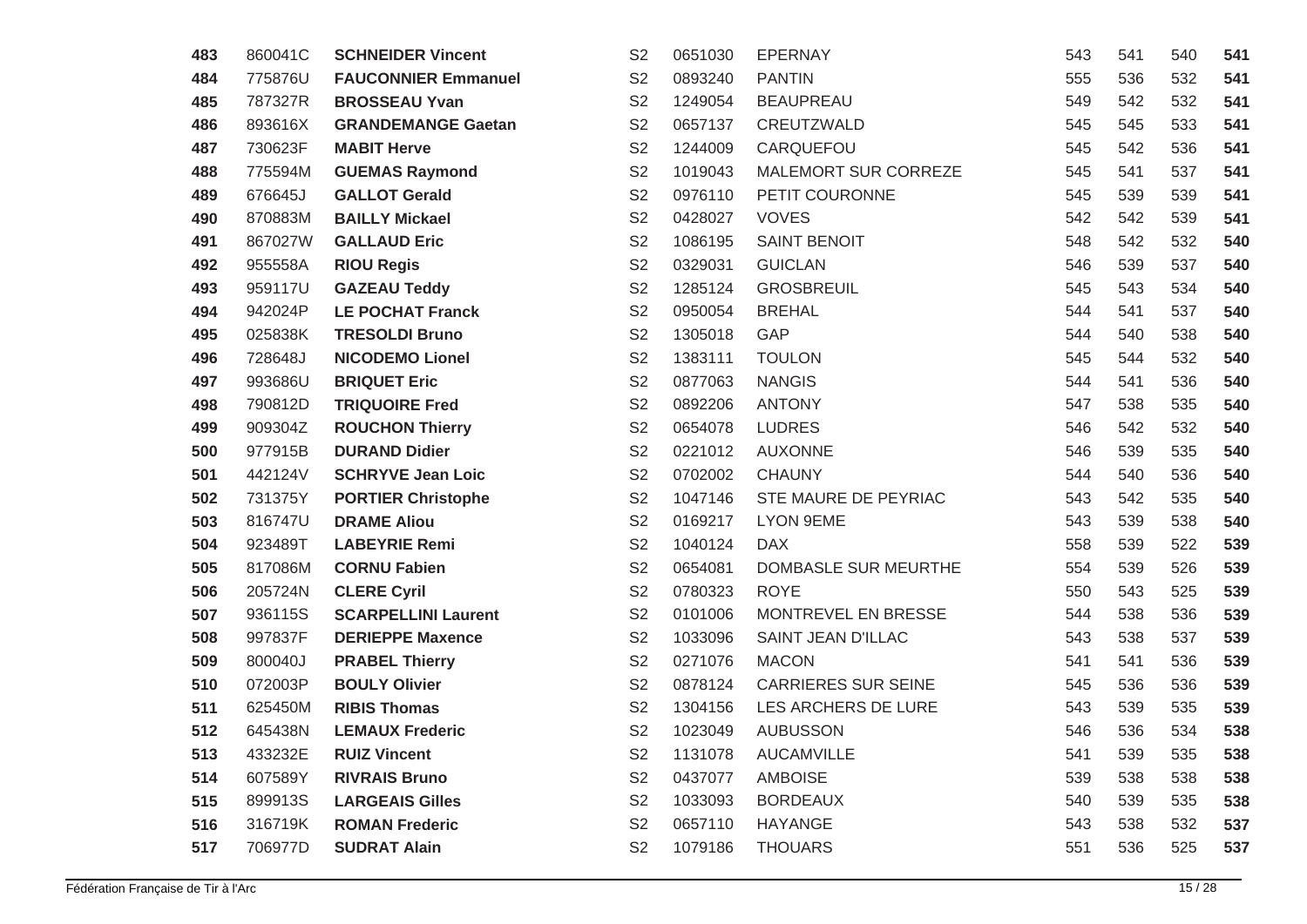| 483 | 860041C | <b>SCHNEIDER Vincent</b>   | S <sub>2</sub> | 0651030 | EPERNAY                    | 543 | 541 | 540 | 541 |
|-----|---------|----------------------------|----------------|---------|----------------------------|-----|-----|-----|-----|
| 484 | 775876U | <b>FAUCONNIER Emmanuel</b> | S <sub>2</sub> | 0893240 | <b>PANTIN</b>              | 555 | 536 | 532 | 541 |
| 485 | 787327R | <b>BROSSEAU Yvan</b>       | S <sub>2</sub> | 1249054 | <b>BEAUPREAU</b>           | 549 | 542 | 532 | 541 |
| 486 | 893616X | <b>GRANDEMANGE Gaetan</b>  | S <sub>2</sub> | 0657137 | CREUTZWALD                 | 545 | 545 | 533 | 541 |
| 487 | 730623F | <b>MABIT Herve</b>         | S <sub>2</sub> | 1244009 | CARQUEFOU                  | 545 | 542 | 536 | 541 |
| 488 | 775594M | <b>GUEMAS Raymond</b>      | S <sub>2</sub> | 1019043 | MALEMORT SUR CORREZE       | 545 | 541 | 537 | 541 |
| 489 | 676645J | <b>GALLOT Gerald</b>       | S <sub>2</sub> | 0976110 | PETIT COURONNE             | 545 | 539 | 539 | 541 |
| 490 | 870883M | <b>BAILLY Mickael</b>      | S <sub>2</sub> | 0428027 | <b>VOVES</b>               | 542 | 542 | 539 | 541 |
| 491 | 867027W | <b>GALLAUD Eric</b>        | S <sub>2</sub> | 1086195 | <b>SAINT BENOIT</b>        | 548 | 542 | 532 | 540 |
| 492 | 955558A | <b>RIOU Regis</b>          | S <sub>2</sub> | 0329031 | <b>GUICLAN</b>             | 546 | 539 | 537 | 540 |
| 493 | 959117U | <b>GAZEAU Teddy</b>        | S <sub>2</sub> | 1285124 | <b>GROSBREUIL</b>          | 545 | 543 | 534 | 540 |
| 494 | 942024P | <b>LE POCHAT Franck</b>    | S <sub>2</sub> | 0950054 | <b>BREHAL</b>              | 544 | 541 | 537 | 540 |
| 495 | 025838K | <b>TRESOLDI Bruno</b>      | S <sub>2</sub> | 1305018 | GAP                        | 544 | 540 | 538 | 540 |
| 496 | 728648J | <b>NICODEMO Lionel</b>     | S <sub>2</sub> | 1383111 | <b>TOULON</b>              | 545 | 544 | 532 | 540 |
| 497 | 993686U | <b>BRIQUET Eric</b>        | S <sub>2</sub> | 0877063 | <b>NANGIS</b>              | 544 | 541 | 536 | 540 |
| 498 | 790812D | <b>TRIQUOIRE Fred</b>      | S <sub>2</sub> | 0892206 | <b>ANTONY</b>              | 547 | 538 | 535 | 540 |
| 499 | 909304Z | <b>ROUCHON Thierry</b>     | S <sub>2</sub> | 0654078 | <b>LUDRES</b>              | 546 | 542 | 532 | 540 |
| 500 | 977915B | <b>DURAND Didier</b>       | S <sub>2</sub> | 0221012 | <b>AUXONNE</b>             | 546 | 539 | 535 | 540 |
| 501 | 442124V | <b>SCHRYVE Jean Loic</b>   | S <sub>2</sub> | 0702002 | <b>CHAUNY</b>              | 544 | 540 | 536 | 540 |
| 502 | 731375Y | <b>PORTIER Christophe</b>  | S <sub>2</sub> | 1047146 | STE MAURE DE PEYRIAC       | 543 | 542 | 535 | 540 |
| 503 | 816747U | <b>DRAME Aliou</b>         | S <sub>2</sub> | 0169217 | LYON 9EME                  | 543 | 539 | 538 | 540 |
| 504 | 923489T | <b>LABEYRIE Remi</b>       | S <sub>2</sub> | 1040124 | <b>DAX</b>                 | 558 | 539 | 522 | 539 |
| 505 | 817086M | <b>CORNU Fabien</b>        | S <sub>2</sub> | 0654081 | DOMBASLE SUR MEURTHE       | 554 | 539 | 526 | 539 |
| 506 | 205724N | <b>CLERE Cyril</b>         | S <sub>2</sub> | 0780323 | <b>ROYE</b>                | 550 | 543 | 525 | 539 |
| 507 | 936115S | <b>SCARPELLINI Laurent</b> | S <sub>2</sub> | 0101006 | MONTREVEL EN BRESSE        | 544 | 538 | 536 | 539 |
| 508 | 997837F | <b>DERIEPPE Maxence</b>    | S <sub>2</sub> | 1033096 | SAINT JEAN D'ILLAC         | 543 | 538 | 537 | 539 |
| 509 | 800040J | <b>PRABEL Thierry</b>      | S <sub>2</sub> | 0271076 | <b>MACON</b>               | 541 | 541 | 536 | 539 |
| 510 | 072003P | <b>BOULY Olivier</b>       | S <sub>2</sub> | 0878124 | <b>CARRIERES SUR SEINE</b> | 545 | 536 | 536 | 539 |
| 511 | 625450M | <b>RIBIS Thomas</b>        | S <sub>2</sub> | 1304156 | LES ARCHERS DE LURE        | 543 | 539 | 535 | 539 |
| 512 | 645438N | <b>LEMAUX Frederic</b>     | S <sub>2</sub> | 1023049 | <b>AUBUSSON</b>            | 546 | 536 | 534 | 538 |
| 513 | 433232E | <b>RUIZ Vincent</b>        | S <sub>2</sub> | 1131078 | <b>AUCAMVILLE</b>          | 541 | 539 | 535 | 538 |
| 514 | 607589Y | <b>RIVRAIS Bruno</b>       | S <sub>2</sub> | 0437077 | <b>AMBOISE</b>             | 539 | 538 | 538 | 538 |
| 515 | 899913S | <b>LARGEAIS Gilles</b>     | S <sub>2</sub> | 1033093 | <b>BORDEAUX</b>            | 540 | 539 | 535 | 538 |
| 516 | 316719K | <b>ROMAN Frederic</b>      | S <sub>2</sub> | 0657110 | <b>HAYANGE</b>             | 543 | 538 | 532 | 537 |
| 517 | 706977D | <b>SUDRAT Alain</b>        | S <sub>2</sub> | 1079186 | <b>THOUARS</b>             | 551 | 536 | 525 | 537 |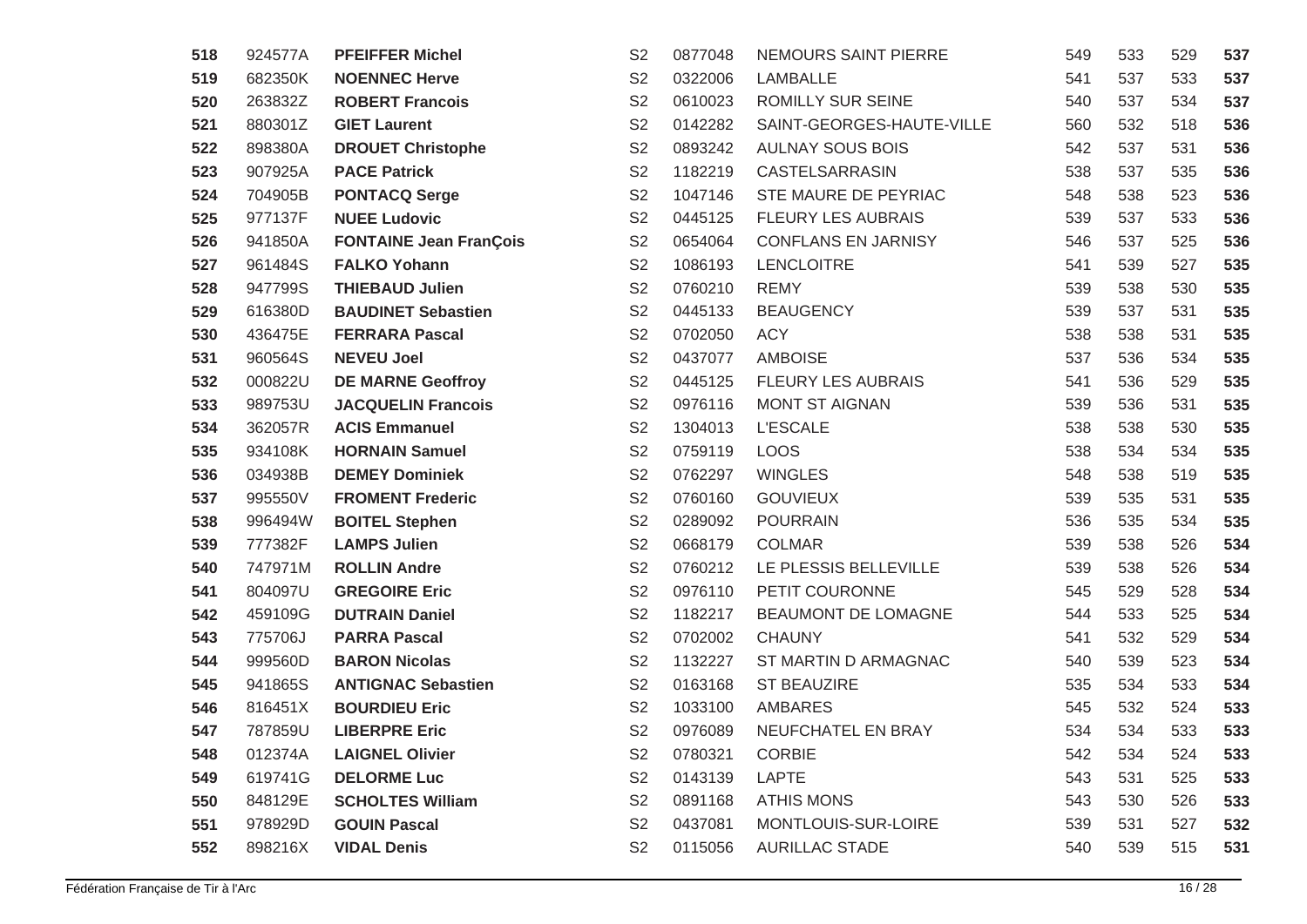| 518 | 924577A | <b>PFEIFFER Michel</b>        | S <sub>2</sub> | 0877048 | NEMOURS SAINT PIERRE       | 549 | 533 | 529 | 537 |
|-----|---------|-------------------------------|----------------|---------|----------------------------|-----|-----|-----|-----|
| 519 | 682350K | <b>NOENNEC Herve</b>          | S <sub>2</sub> | 0322006 | LAMBALLE                   | 541 | 537 | 533 | 537 |
| 520 | 263832Z | <b>ROBERT Francois</b>        | S <sub>2</sub> | 0610023 | ROMILLY SUR SEINE          | 540 | 537 | 534 | 537 |
| 521 | 880301Z | <b>GIET Laurent</b>           | S <sub>2</sub> | 0142282 | SAINT-GEORGES-HAUTE-VILLE  | 560 | 532 | 518 | 536 |
| 522 | 898380A | <b>DROUET Christophe</b>      | S <sub>2</sub> | 0893242 | <b>AULNAY SOUS BOIS</b>    | 542 | 537 | 531 | 536 |
| 523 | 907925A | <b>PACE Patrick</b>           | S <sub>2</sub> | 1182219 | CASTELSARRASIN             | 538 | 537 | 535 | 536 |
| 524 | 704905B | <b>PONTACQ Serge</b>          | S <sub>2</sub> | 1047146 | STE MAURE DE PEYRIAC       | 548 | 538 | 523 | 536 |
| 525 | 977137F | <b>NUEE Ludovic</b>           | S <sub>2</sub> | 0445125 | <b>FLEURY LES AUBRAIS</b>  | 539 | 537 | 533 | 536 |
| 526 | 941850A | <b>FONTAINE Jean FranÇois</b> | S <sub>2</sub> | 0654064 | <b>CONFLANS EN JARNISY</b> | 546 | 537 | 525 | 536 |
| 527 | 961484S | <b>FALKO Yohann</b>           | S <sub>2</sub> | 1086193 | LENCLOITRE                 | 541 | 539 | 527 | 535 |
| 528 | 947799S | <b>THIEBAUD Julien</b>        | S <sub>2</sub> | 0760210 | <b>REMY</b>                | 539 | 538 | 530 | 535 |
| 529 | 616380D | <b>BAUDINET Sebastien</b>     | S <sub>2</sub> | 0445133 | <b>BEAUGENCY</b>           | 539 | 537 | 531 | 535 |
| 530 | 436475E | <b>FERRARA Pascal</b>         | S <sub>2</sub> | 0702050 | <b>ACY</b>                 | 538 | 538 | 531 | 535 |
| 531 | 960564S | <b>NEVEU Joel</b>             | S <sub>2</sub> | 0437077 | <b>AMBOISE</b>             | 537 | 536 | 534 | 535 |
| 532 | 000822U | <b>DE MARNE Geoffroy</b>      | S <sub>2</sub> | 0445125 | FLEURY LES AUBRAIS         | 541 | 536 | 529 | 535 |
| 533 | 989753U | <b>JACQUELIN Francois</b>     | S <sub>2</sub> | 0976116 | <b>MONT ST AIGNAN</b>      | 539 | 536 | 531 | 535 |
| 534 | 362057R | <b>ACIS Emmanuel</b>          | S <sub>2</sub> | 1304013 | <b>L'ESCALE</b>            | 538 | 538 | 530 | 535 |
| 535 | 934108K | <b>HORNAIN Samuel</b>         | S <sub>2</sub> | 0759119 | <b>LOOS</b>                | 538 | 534 | 534 | 535 |
| 536 | 034938B | <b>DEMEY Dominiek</b>         | S <sub>2</sub> | 0762297 | <b>WINGLES</b>             | 548 | 538 | 519 | 535 |
| 537 | 995550V | <b>FROMENT Frederic</b>       | S <sub>2</sub> | 0760160 | <b>GOUVIEUX</b>            | 539 | 535 | 531 | 535 |
| 538 | 996494W | <b>BOITEL Stephen</b>         | S <sub>2</sub> | 0289092 | <b>POURRAIN</b>            | 536 | 535 | 534 | 535 |
| 539 | 777382F | <b>LAMPS Julien</b>           | S <sub>2</sub> | 0668179 | <b>COLMAR</b>              | 539 | 538 | 526 | 534 |
| 540 | 747971M | <b>ROLLIN Andre</b>           | S <sub>2</sub> | 0760212 | LE PLESSIS BELLEVILLE      | 539 | 538 | 526 | 534 |
| 541 | 804097U | <b>GREGOIRE Eric</b>          | S <sub>2</sub> | 0976110 | PETIT COURONNE             | 545 | 529 | 528 | 534 |
| 542 | 459109G | <b>DUTRAIN Daniel</b>         | S <sub>2</sub> | 1182217 | BEAUMONT DE LOMAGNE        | 544 | 533 | 525 | 534 |
| 543 | 775706J | <b>PARRA Pascal</b>           | S <sub>2</sub> | 0702002 | <b>CHAUNY</b>              | 541 | 532 | 529 | 534 |
| 544 | 999560D | <b>BARON Nicolas</b>          | S <sub>2</sub> | 1132227 | ST MARTIN D ARMAGNAC       | 540 | 539 | 523 | 534 |
| 545 | 941865S | <b>ANTIGNAC Sebastien</b>     | S <sub>2</sub> | 0163168 | <b>ST BEAUZIRE</b>         | 535 | 534 | 533 | 534 |
| 546 | 816451X | <b>BOURDIEU Eric</b>          | S <sub>2</sub> | 1033100 | <b>AMBARES</b>             | 545 | 532 | 524 | 533 |
| 547 | 787859U | <b>LIBERPRE Eric</b>          | S <sub>2</sub> | 0976089 | NEUFCHATEL EN BRAY         | 534 | 534 | 533 | 533 |
| 548 | 012374A | <b>LAIGNEL Olivier</b>        | S <sub>2</sub> | 0780321 | <b>CORBIE</b>              | 542 | 534 | 524 | 533 |
| 549 | 619741G | <b>DELORME Luc</b>            | S <sub>2</sub> | 0143139 | LAPTE                      | 543 | 531 | 525 | 533 |
| 550 | 848129E | <b>SCHOLTES William</b>       | S <sub>2</sub> | 0891168 | <b>ATHIS MONS</b>          | 543 | 530 | 526 | 533 |
| 551 | 978929D | <b>GOUIN Pascal</b>           | S <sub>2</sub> | 0437081 | MONTLOUIS-SUR-LOIRE        | 539 | 531 | 527 | 532 |
| 552 | 898216X | <b>VIDAL Denis</b>            | S <sub>2</sub> | 0115056 | <b>AURILLAC STADE</b>      | 540 | 539 | 515 | 531 |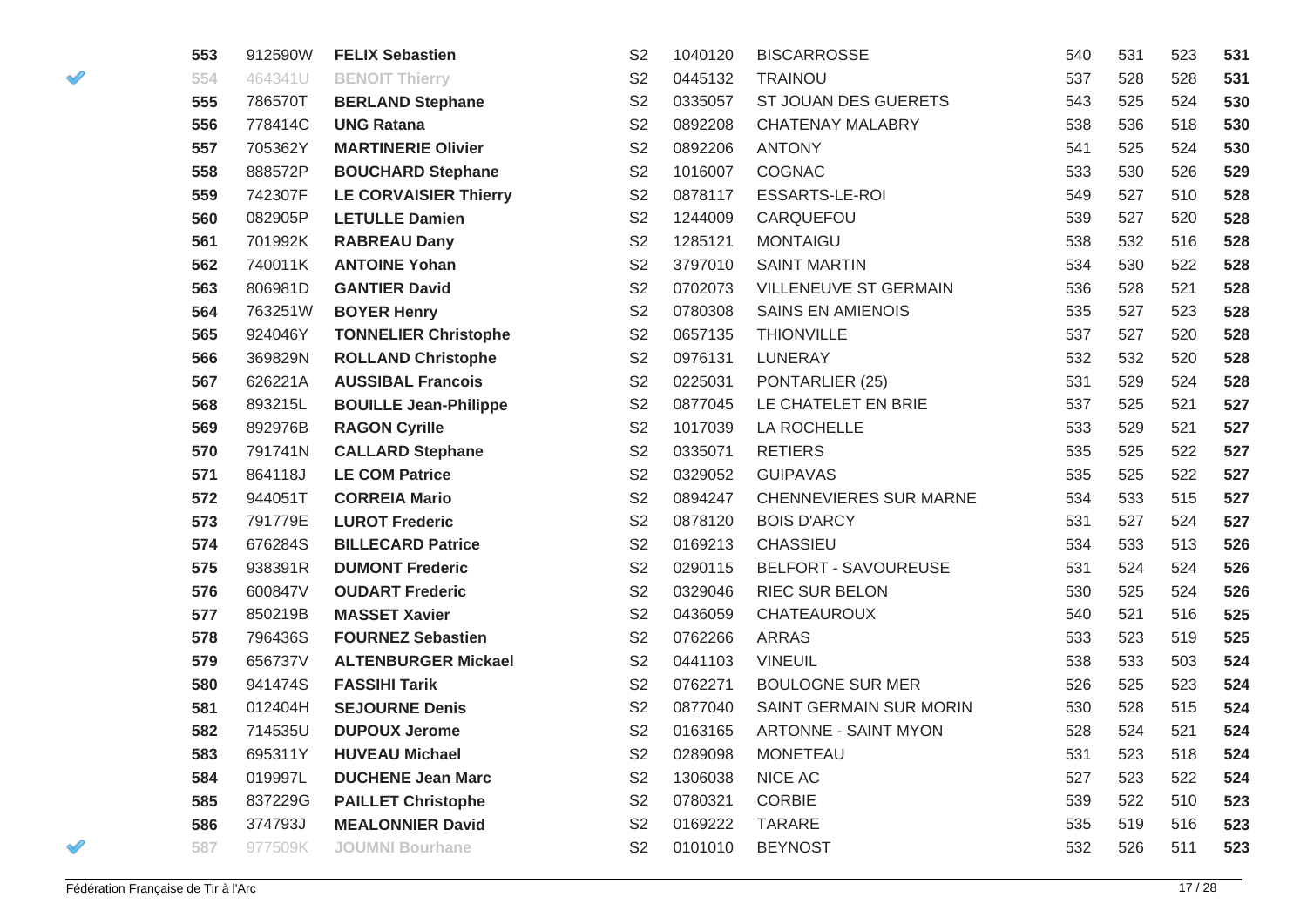| 553 | 912590W | <b>FELIX Sebastien</b>       | S <sub>2</sub> | 1040120 | <b>BISCARROSSE</b>            | 540 | 531 | 523 | 531 |
|-----|---------|------------------------------|----------------|---------|-------------------------------|-----|-----|-----|-----|
| 554 | 464341U | <b>BENOIT Thierry</b>        | S <sub>2</sub> | 0445132 | <b>TRAINOU</b>                | 537 | 528 | 528 | 531 |
| 555 | 786570T | <b>BERLAND Stephane</b>      | S <sub>2</sub> | 0335057 | ST JOUAN DES GUERETS          | 543 | 525 | 524 | 530 |
| 556 | 778414C | <b>UNG Ratana</b>            | S <sub>2</sub> | 0892208 | <b>CHATENAY MALABRY</b>       | 538 | 536 | 518 | 530 |
| 557 | 705362Y | <b>MARTINERIE Olivier</b>    | S <sub>2</sub> | 0892206 | <b>ANTONY</b>                 | 541 | 525 | 524 | 530 |
| 558 | 888572P | <b>BOUCHARD Stephane</b>     | S <sub>2</sub> | 1016007 | <b>COGNAC</b>                 | 533 | 530 | 526 | 529 |
| 559 | 742307F | <b>LE CORVAISIER Thierry</b> | S <sub>2</sub> | 0878117 | ESSARTS-LE-ROI                | 549 | 527 | 510 | 528 |
| 560 | 082905P | <b>LETULLE Damien</b>        | S <sub>2</sub> | 1244009 | CARQUEFOU                     | 539 | 527 | 520 | 528 |
| 561 | 701992K | <b>RABREAU Dany</b>          | S <sub>2</sub> | 1285121 | <b>MONTAIGU</b>               | 538 | 532 | 516 | 528 |
| 562 | 740011K | <b>ANTOINE Yohan</b>         | S <sub>2</sub> | 3797010 | <b>SAINT MARTIN</b>           | 534 | 530 | 522 | 528 |
| 563 | 806981D | <b>GANTIER David</b>         | S <sub>2</sub> | 0702073 | <b>VILLENEUVE ST GERMAIN</b>  | 536 | 528 | 521 | 528 |
| 564 | 763251W | <b>BOYER Henry</b>           | S <sub>2</sub> | 0780308 | <b>SAINS EN AMIENOIS</b>      | 535 | 527 | 523 | 528 |
| 565 | 924046Y | <b>TONNELIER Christophe</b>  | S <sub>2</sub> | 0657135 | <b>THIONVILLE</b>             | 537 | 527 | 520 | 528 |
| 566 | 369829N | <b>ROLLAND Christophe</b>    | S <sub>2</sub> | 0976131 | LUNERAY                       | 532 | 532 | 520 | 528 |
| 567 | 626221A | <b>AUSSIBAL Francois</b>     | S <sub>2</sub> | 0225031 | PONTARLIER (25)               | 531 | 529 | 524 | 528 |
| 568 | 893215L | <b>BOUILLE Jean-Philippe</b> | S <sub>2</sub> | 0877045 | LE CHATELET EN BRIE           | 537 | 525 | 521 | 527 |
| 569 | 892976B | <b>RAGON Cyrille</b>         | S <sub>2</sub> | 1017039 | LA ROCHELLE                   | 533 | 529 | 521 | 527 |
| 570 | 791741N | <b>CALLARD Stephane</b>      | S <sub>2</sub> | 0335071 | <b>RETIERS</b>                | 535 | 525 | 522 | 527 |
| 571 | 864118J | <b>LE COM Patrice</b>        | S <sub>2</sub> | 0329052 | <b>GUIPAVAS</b>               | 535 | 525 | 522 | 527 |
| 572 | 944051T | <b>CORREIA Mario</b>         | S <sub>2</sub> | 0894247 | <b>CHENNEVIERES SUR MARNE</b> | 534 | 533 | 515 | 527 |
| 573 | 791779E | <b>LUROT Frederic</b>        | S <sub>2</sub> | 0878120 | <b>BOIS D'ARCY</b>            | 531 | 527 | 524 | 527 |
| 574 | 676284S | <b>BILLECARD Patrice</b>     | S <sub>2</sub> | 0169213 | <b>CHASSIEU</b>               | 534 | 533 | 513 | 526 |
| 575 | 938391R | <b>DUMONT Frederic</b>       | S <sub>2</sub> | 0290115 | BELFORT - SAVOUREUSE          | 531 | 524 | 524 | 526 |
| 576 | 600847V | <b>OUDART Frederic</b>       | S <sub>2</sub> | 0329046 | RIEC SUR BELON                | 530 | 525 | 524 | 526 |
| 577 | 850219B | <b>MASSET Xavier</b>         | S <sub>2</sub> | 0436059 | <b>CHATEAUROUX</b>            | 540 | 521 | 516 | 525 |
| 578 | 796436S | <b>FOURNEZ Sebastien</b>     | S <sub>2</sub> | 0762266 | <b>ARRAS</b>                  | 533 | 523 | 519 | 525 |
| 579 | 656737V | <b>ALTENBURGER Mickael</b>   | S <sub>2</sub> | 0441103 | <b>VINEUIL</b>                | 538 | 533 | 503 | 524 |
| 580 | 941474S | <b>FASSIHI Tarik</b>         | S <sub>2</sub> | 0762271 | <b>BOULOGNE SUR MER</b>       | 526 | 525 | 523 | 524 |
| 581 | 012404H | <b>SEJOURNE Denis</b>        | S <sub>2</sub> | 0877040 | SAINT GERMAIN SUR MORIN       | 530 | 528 | 515 | 524 |
| 582 | 714535U | <b>DUPOUX Jerome</b>         | S <sub>2</sub> | 0163165 | ARTONNE - SAINT MYON          | 528 | 524 | 521 | 524 |
| 583 | 695311Y | <b>HUVEAU Michael</b>        | S <sub>2</sub> | 0289098 | <b>MONETEAU</b>               | 531 | 523 | 518 | 524 |
| 584 | 019997L | <b>DUCHENE Jean Marc</b>     | S <sub>2</sub> | 1306038 | NICE AC                       | 527 | 523 | 522 | 524 |
| 585 | 837229G | <b>PAILLET Christophe</b>    | S <sub>2</sub> | 0780321 | <b>CORBIE</b>                 | 539 | 522 | 510 | 523 |
| 586 | 374793J | <b>MEALONNIER David</b>      | S <sub>2</sub> | 0169222 | <b>TARARE</b>                 | 535 | 519 | 516 | 523 |
| 587 | 977509K | <b>JOUMNI Bourhane</b>       | S <sub>2</sub> | 0101010 | <b>BEYNOST</b>                | 532 | 526 | 511 | 523 |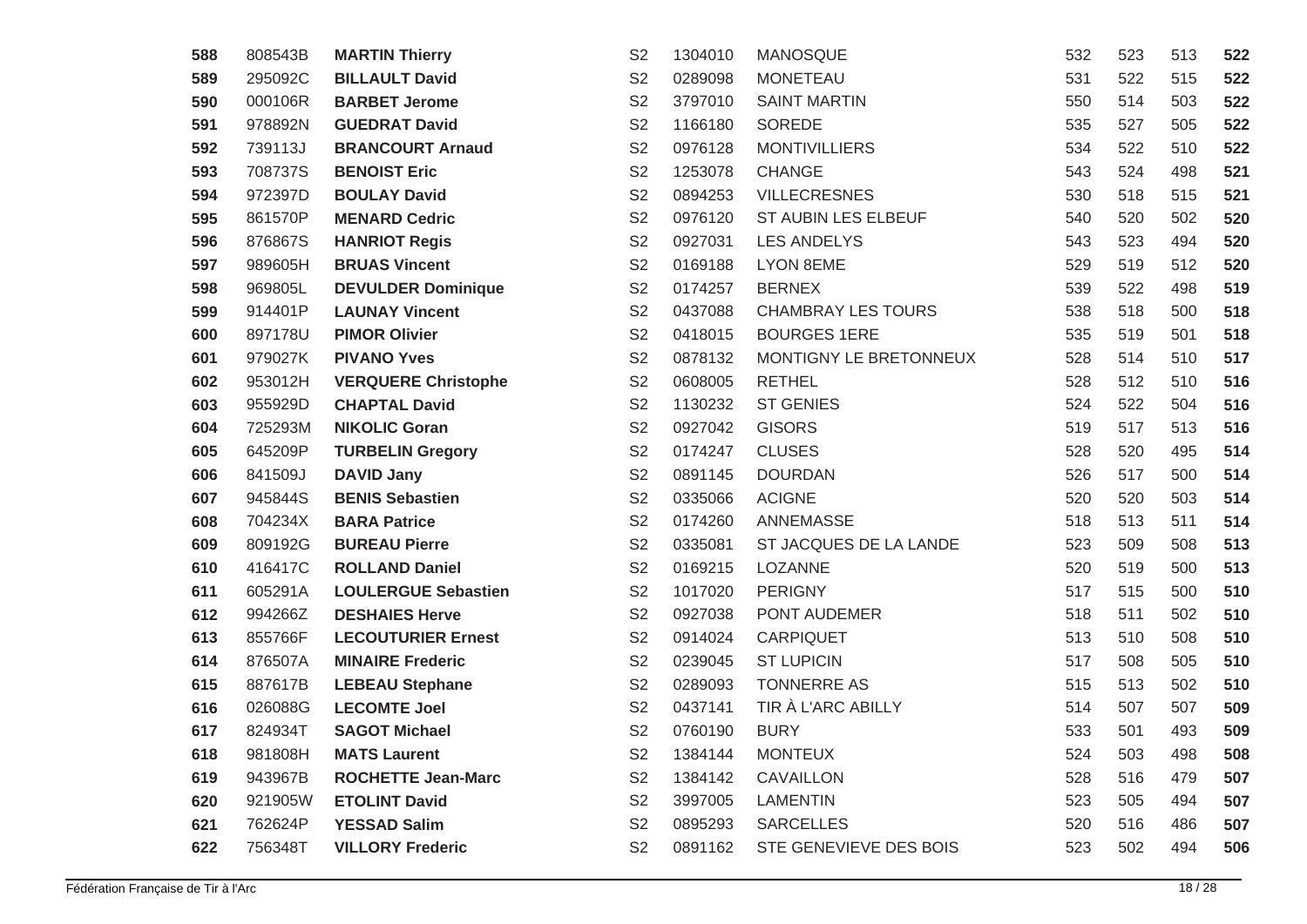| 588 | 808543B | <b>MARTIN Thierry</b>      | S <sub>2</sub> | 1304010 | MANOSQUE                  | 532 | 523 | 513 | 522 |
|-----|---------|----------------------------|----------------|---------|---------------------------|-----|-----|-----|-----|
| 589 | 295092C | <b>BILLAULT David</b>      | S <sub>2</sub> | 0289098 | <b>MONETEAU</b>           | 531 | 522 | 515 | 522 |
| 590 | 000106R | <b>BARBET Jerome</b>       | S <sub>2</sub> | 3797010 | <b>SAINT MARTIN</b>       | 550 | 514 | 503 | 522 |
| 591 | 978892N | <b>GUEDRAT David</b>       | S <sub>2</sub> | 1166180 | SOREDE                    | 535 | 527 | 505 | 522 |
| 592 | 739113J | <b>BRANCOURT Arnaud</b>    | S <sub>2</sub> | 0976128 | <b>MONTIVILLIERS</b>      | 534 | 522 | 510 | 522 |
| 593 | 708737S | <b>BENOIST Eric</b>        | S <sub>2</sub> | 1253078 | <b>CHANGE</b>             | 543 | 524 | 498 | 521 |
| 594 | 972397D | <b>BOULAY David</b>        | S <sub>2</sub> | 0894253 | <b>VILLECRESNES</b>       | 530 | 518 | 515 | 521 |
| 595 | 861570P | <b>MENARD Cedric</b>       | S <sub>2</sub> | 0976120 | ST AUBIN LES ELBEUF       | 540 | 520 | 502 | 520 |
| 596 | 876867S | <b>HANRIOT Regis</b>       | S <sub>2</sub> | 0927031 | <b>LES ANDELYS</b>        | 543 | 523 | 494 | 520 |
| 597 | 989605H | <b>BRUAS Vincent</b>       | S <sub>2</sub> | 0169188 | <b>LYON 8EME</b>          | 529 | 519 | 512 | 520 |
| 598 | 969805L | <b>DEVULDER Dominique</b>  | S <sub>2</sub> | 0174257 | <b>BERNEX</b>             | 539 | 522 | 498 | 519 |
| 599 | 914401P | <b>LAUNAY Vincent</b>      | S <sub>2</sub> | 0437088 | <b>CHAMBRAY LES TOURS</b> | 538 | 518 | 500 | 518 |
| 600 | 897178U | <b>PIMOR Olivier</b>       | S <sub>2</sub> | 0418015 | <b>BOURGES 1ERE</b>       | 535 | 519 | 501 | 518 |
| 601 | 979027K | <b>PIVANO Yves</b>         | S <sub>2</sub> | 0878132 | MONTIGNY LE BRETONNEUX    | 528 | 514 | 510 | 517 |
| 602 | 953012H | <b>VERQUERE Christophe</b> | S <sub>2</sub> | 0608005 | <b>RETHEL</b>             | 528 | 512 | 510 | 516 |
| 603 | 955929D | <b>CHAPTAL David</b>       | S <sub>2</sub> | 1130232 | <b>ST GENIES</b>          | 524 | 522 | 504 | 516 |
| 604 | 725293M | <b>NIKOLIC Goran</b>       | S <sub>2</sub> | 0927042 | <b>GISORS</b>             | 519 | 517 | 513 | 516 |
| 605 | 645209P | <b>TURBELIN Gregory</b>    | S <sub>2</sub> | 0174247 | <b>CLUSES</b>             | 528 | 520 | 495 | 514 |
| 606 | 841509J | <b>DAVID Jany</b>          | S <sub>2</sub> | 0891145 | <b>DOURDAN</b>            | 526 | 517 | 500 | 514 |
| 607 | 945844S | <b>BENIS Sebastien</b>     | S <sub>2</sub> | 0335066 | <b>ACIGNE</b>             | 520 | 520 | 503 | 514 |
| 608 | 704234X | <b>BARA Patrice</b>        | S <sub>2</sub> | 0174260 | ANNEMASSE                 | 518 | 513 | 511 | 514 |
| 609 | 809192G | <b>BUREAU Pierre</b>       | S <sub>2</sub> | 0335081 | ST JACQUES DE LA LANDE    | 523 | 509 | 508 | 513 |
| 610 | 416417C | <b>ROLLAND Daniel</b>      | S <sub>2</sub> | 0169215 | LOZANNE                   | 520 | 519 | 500 | 513 |
| 611 | 605291A | <b>LOULERGUE Sebastien</b> | S <sub>2</sub> | 1017020 | <b>PERIGNY</b>            | 517 | 515 | 500 | 510 |
| 612 | 994266Z | <b>DESHAIES Herve</b>      | S <sub>2</sub> | 0927038 | PONT AUDEMER              | 518 | 511 | 502 | 510 |
| 613 | 855766F | <b>LECOUTURIER Ernest</b>  | S <sub>2</sub> | 0914024 | <b>CARPIQUET</b>          | 513 | 510 | 508 | 510 |
| 614 | 876507A | <b>MINAIRE Frederic</b>    | S <sub>2</sub> | 0239045 | <b>ST LUPICIN</b>         | 517 | 508 | 505 | 510 |
| 615 | 887617B | <b>LEBEAU Stephane</b>     | S <sub>2</sub> | 0289093 | <b>TONNERRE AS</b>        | 515 | 513 | 502 | 510 |
| 616 | 026088G | <b>LECOMTE Joel</b>        | S <sub>2</sub> | 0437141 | TIR À L'ARC ABILLY        | 514 | 507 | 507 | 509 |
| 617 | 824934T | <b>SAGOT Michael</b>       | S <sub>2</sub> | 0760190 | <b>BURY</b>               | 533 | 501 | 493 | 509 |
| 618 | 981808H | <b>MATS Laurent</b>        | S <sub>2</sub> | 1384144 | <b>MONTEUX</b>            | 524 | 503 | 498 | 508 |
| 619 | 943967B | <b>ROCHETTE Jean-Marc</b>  | S <sub>2</sub> | 1384142 | <b>CAVAILLON</b>          | 528 | 516 | 479 | 507 |
| 620 | 921905W | <b>ETOLINT David</b>       | S <sub>2</sub> | 3997005 | <b>LAMENTIN</b>           | 523 | 505 | 494 | 507 |
| 621 | 762624P | <b>YESSAD Salim</b>        | S <sub>2</sub> | 0895293 | <b>SARCELLES</b>          | 520 | 516 | 486 | 507 |
| 622 | 756348T | <b>VILLORY Frederic</b>    | S <sub>2</sub> | 0891162 | STE GENEVIEVE DES BOIS    | 523 | 502 | 494 | 506 |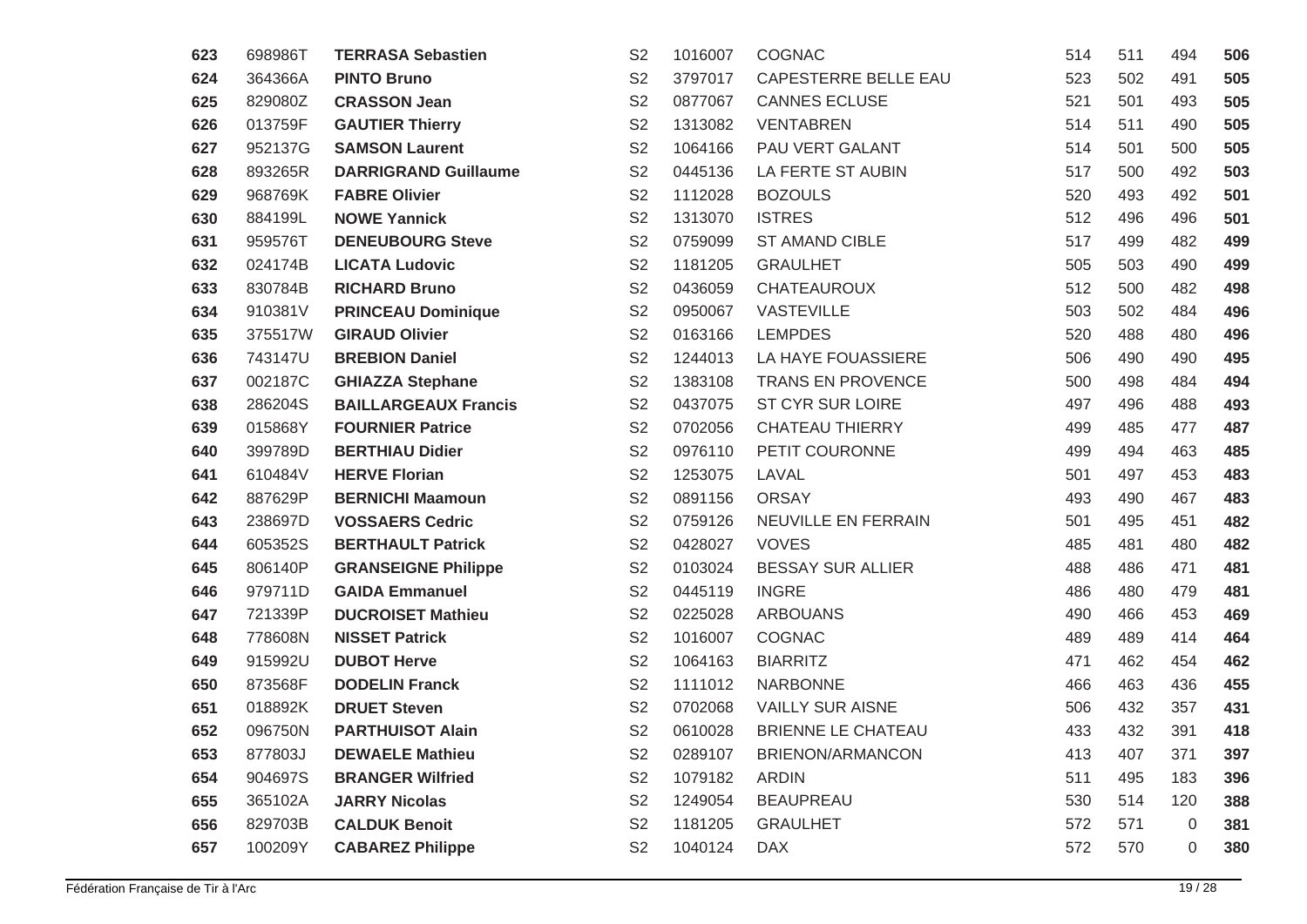| 623 | 698986T | <b>TERRASA Sebastien</b>    | S <sub>2</sub> | 1016007 | <b>COGNAC</b>            | 514 | 511 | 494              | 506 |
|-----|---------|-----------------------------|----------------|---------|--------------------------|-----|-----|------------------|-----|
| 624 | 364366A | <b>PINTO Bruno</b>          | S <sub>2</sub> | 3797017 | CAPESTERRE BELLE EAU     | 523 | 502 | 491              | 505 |
| 625 | 829080Z | <b>CRASSON Jean</b>         | S <sub>2</sub> | 0877067 | <b>CANNES ECLUSE</b>     | 521 | 501 | 493              | 505 |
| 626 | 013759F | <b>GAUTIER Thierry</b>      | S <sub>2</sub> | 1313082 | <b>VENTABREN</b>         | 514 | 511 | 490              | 505 |
| 627 | 952137G | <b>SAMSON Laurent</b>       | S <sub>2</sub> | 1064166 | PAU VERT GALANT          | 514 | 501 | 500              | 505 |
| 628 | 893265R | <b>DARRIGRAND Guillaume</b> | S <sub>2</sub> | 0445136 | LA FERTE ST AUBIN        | 517 | 500 | 492              | 503 |
| 629 | 968769K | <b>FABRE Olivier</b>        | S <sub>2</sub> | 1112028 | <b>BOZOULS</b>           | 520 | 493 | 492              | 501 |
| 630 | 884199L | <b>NOWE Yannick</b>         | S <sub>2</sub> | 1313070 | <b>ISTRES</b>            | 512 | 496 | 496              | 501 |
| 631 | 959576T | <b>DENEUBOURG Steve</b>     | S <sub>2</sub> | 0759099 | <b>ST AMAND CIBLE</b>    | 517 | 499 | 482              | 499 |
| 632 | 024174B | <b>LICATA Ludovic</b>       | S <sub>2</sub> | 1181205 | <b>GRAULHET</b>          | 505 | 503 | 490              | 499 |
| 633 | 830784B | <b>RICHARD Bruno</b>        | S <sub>2</sub> | 0436059 | <b>CHATEAUROUX</b>       | 512 | 500 | 482              | 498 |
| 634 | 910381V | <b>PRINCEAU Dominique</b>   | S <sub>2</sub> | 0950067 | <b>VASTEVILLE</b>        | 503 | 502 | 484              | 496 |
| 635 | 375517W | <b>GIRAUD Olivier</b>       | S <sub>2</sub> | 0163166 | <b>LEMPDES</b>           | 520 | 488 | 480              | 496 |
| 636 | 743147U | <b>BREBION Daniel</b>       | S <sub>2</sub> | 1244013 | LA HAYE FOUASSIERE       | 506 | 490 | 490              | 495 |
| 637 | 002187C | <b>GHIAZZA Stephane</b>     | S <sub>2</sub> | 1383108 | <b>TRANS EN PROVENCE</b> | 500 | 498 | 484              | 494 |
| 638 | 286204S | <b>BAILLARGEAUX Francis</b> | S <sub>2</sub> | 0437075 | <b>ST CYR SUR LOIRE</b>  | 497 | 496 | 488              | 493 |
| 639 | 015868Y | <b>FOURNIER Patrice</b>     | S <sub>2</sub> | 0702056 | <b>CHATEAU THIERRY</b>   | 499 | 485 | 477              | 487 |
| 640 | 399789D | <b>BERTHIAU Didier</b>      | S <sub>2</sub> | 0976110 | PETIT COURONNE           | 499 | 494 | 463              | 485 |
| 641 | 610484V | <b>HERVE Florian</b>        | S <sub>2</sub> | 1253075 | LAVAL                    | 501 | 497 | 453              | 483 |
| 642 | 887629P | <b>BERNICHI Maamoun</b>     | S <sub>2</sub> | 0891156 | <b>ORSAY</b>             | 493 | 490 | 467              | 483 |
| 643 | 238697D | <b>VOSSAERS Cedric</b>      | S <sub>2</sub> | 0759126 | NEUVILLE EN FERRAIN      | 501 | 495 | 451              | 482 |
| 644 | 605352S | <b>BERTHAULT Patrick</b>    | S <sub>2</sub> | 0428027 | <b>VOVES</b>             | 485 | 481 | 480              | 482 |
| 645 | 806140P | <b>GRANSEIGNE Philippe</b>  | S <sub>2</sub> | 0103024 | <b>BESSAY SUR ALLIER</b> | 488 | 486 | 471              | 481 |
| 646 | 979711D | <b>GAIDA Emmanuel</b>       | S <sub>2</sub> | 0445119 | <b>INGRE</b>             | 486 | 480 | 479              | 481 |
| 647 | 721339P | <b>DUCROISET Mathieu</b>    | S <sub>2</sub> | 0225028 | <b>ARBOUANS</b>          | 490 | 466 | 453              | 469 |
| 648 | 778608N | <b>NISSET Patrick</b>       | S <sub>2</sub> | 1016007 | COGNAC                   | 489 | 489 | 414              | 464 |
| 649 | 915992U | <b>DUBOT Herve</b>          | S <sub>2</sub> | 1064163 | <b>BIARRITZ</b>          | 471 | 462 | 454              | 462 |
| 650 | 873568F | <b>DODELIN Franck</b>       | S <sub>2</sub> | 1111012 | <b>NARBONNE</b>          | 466 | 463 | 436              | 455 |
| 651 | 018892K | <b>DRUET Steven</b>         | S <sub>2</sub> | 0702068 | <b>VAILLY SUR AISNE</b>  | 506 | 432 | 357              | 431 |
| 652 | 096750N | <b>PARTHUISOT Alain</b>     | S <sub>2</sub> | 0610028 | BRIENNE LE CHATEAU       | 433 | 432 | 391              | 418 |
| 653 | 877803J | <b>DEWAELE Mathieu</b>      | S <sub>2</sub> | 0289107 | BRIENON/ARMANCON         | 413 | 407 | 371              | 397 |
| 654 | 904697S | <b>BRANGER Wilfried</b>     | S <sub>2</sub> | 1079182 | <b>ARDIN</b>             | 511 | 495 | 183              | 396 |
| 655 | 365102A | <b>JARRY Nicolas</b>        | S <sub>2</sub> | 1249054 | <b>BEAUPREAU</b>         | 530 | 514 | 120              | 388 |
| 656 | 829703B | <b>CALDUK Benoit</b>        | S <sub>2</sub> | 1181205 | <b>GRAULHET</b>          | 572 | 571 | $\boldsymbol{0}$ | 381 |
| 657 | 100209Y | <b>CABAREZ Philippe</b>     | S <sub>2</sub> | 1040124 | <b>DAX</b>               | 572 | 570 | 0                | 380 |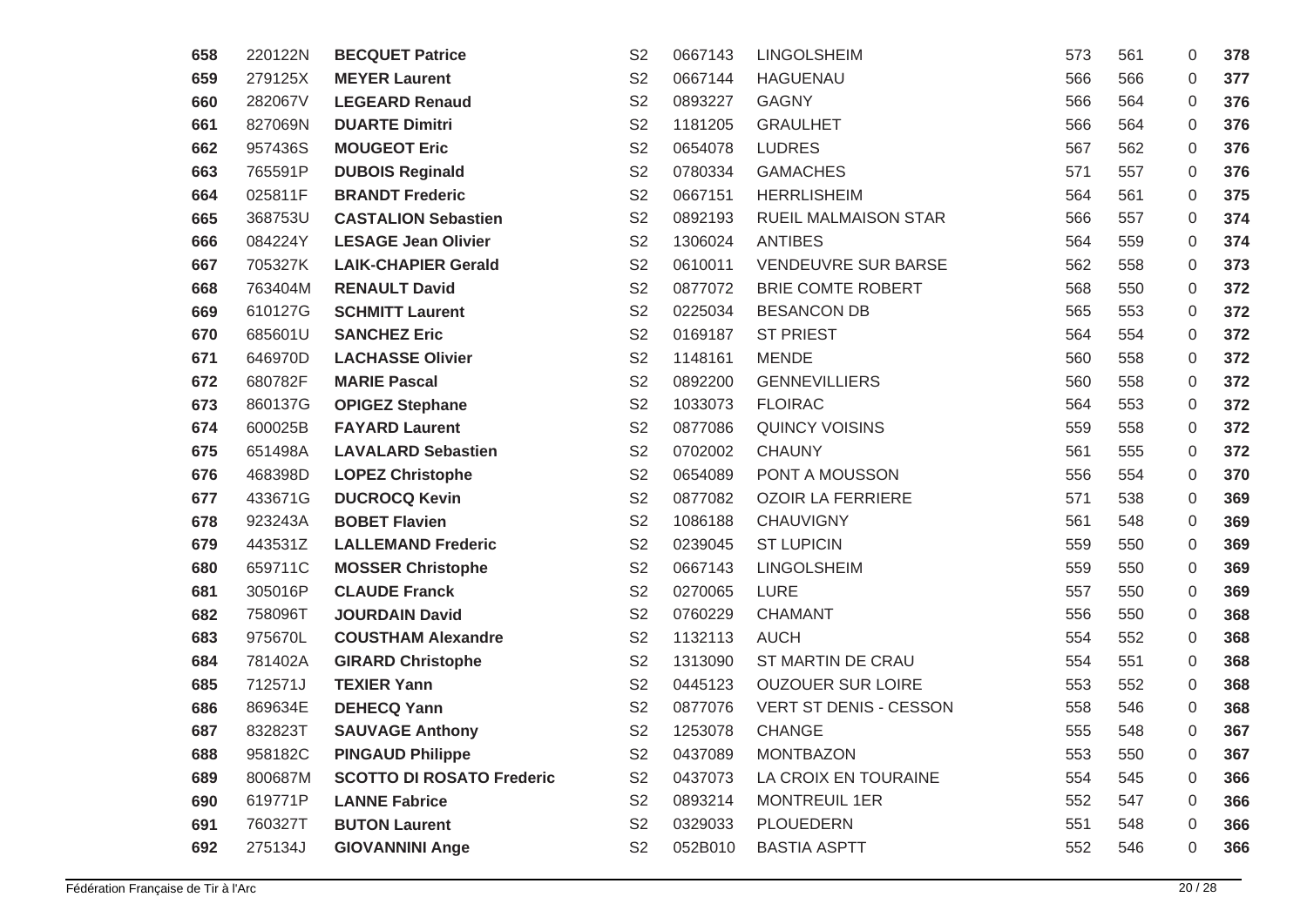| 658 | 220122N | <b>BECQUET Patrice</b>           | S <sub>2</sub> | 0667143 | <b>LINGOLSHEIM</b>         | 573 | 561 | 0              | 378 |
|-----|---------|----------------------------------|----------------|---------|----------------------------|-----|-----|----------------|-----|
| 659 | 279125X | <b>MEYER Laurent</b>             | S <sub>2</sub> | 0667144 | <b>HAGUENAU</b>            | 566 | 566 | 0              | 377 |
| 660 | 282067V | <b>LEGEARD Renaud</b>            | S <sub>2</sub> | 0893227 | <b>GAGNY</b>               | 566 | 564 | 0              | 376 |
| 661 | 827069N | <b>DUARTE Dimitri</b>            | S <sub>2</sub> | 1181205 | <b>GRAULHET</b>            | 566 | 564 | 0              | 376 |
| 662 | 957436S | <b>MOUGEOT Eric</b>              | S <sub>2</sub> | 0654078 | <b>LUDRES</b>              | 567 | 562 | 0              | 376 |
| 663 | 765591P | <b>DUBOIS Reginald</b>           | S <sub>2</sub> | 0780334 | <b>GAMACHES</b>            | 571 | 557 | 0              | 376 |
| 664 | 025811F | <b>BRANDT Frederic</b>           | S <sub>2</sub> | 0667151 | <b>HERRLISHEIM</b>         | 564 | 561 | 0              | 375 |
| 665 | 368753U | <b>CASTALION Sebastien</b>       | S <sub>2</sub> | 0892193 | RUEIL MALMAISON STAR       | 566 | 557 | 0              | 374 |
| 666 | 084224Y | <b>LESAGE Jean Olivier</b>       | S <sub>2</sub> | 1306024 | <b>ANTIBES</b>             | 564 | 559 | 0              | 374 |
| 667 | 705327K | <b>LAIK-CHAPIER Gerald</b>       | S <sub>2</sub> | 0610011 | <b>VENDEUVRE SUR BARSE</b> | 562 | 558 | $\overline{0}$ | 373 |
| 668 | 763404M | <b>RENAULT David</b>             | S <sub>2</sub> | 0877072 | <b>BRIE COMTE ROBERT</b>   | 568 | 550 | 0              | 372 |
| 669 | 610127G | <b>SCHMITT Laurent</b>           | S <sub>2</sub> | 0225034 | <b>BESANCON DB</b>         | 565 | 553 | 0              | 372 |
| 670 | 685601U | <b>SANCHEZ Eric</b>              | S <sub>2</sub> | 0169187 | <b>ST PRIEST</b>           | 564 | 554 | $\overline{0}$ | 372 |
| 671 | 646970D | <b>LACHASSE Olivier</b>          | S <sub>2</sub> | 1148161 | <b>MENDE</b>               | 560 | 558 | $\overline{0}$ | 372 |
| 672 | 680782F | <b>MARIE Pascal</b>              | S <sub>2</sub> | 0892200 | <b>GENNEVILLIERS</b>       | 560 | 558 | 0              | 372 |
| 673 | 860137G | <b>OPIGEZ Stephane</b>           | S <sub>2</sub> | 1033073 | <b>FLOIRAC</b>             | 564 | 553 | 0              | 372 |
| 674 | 600025B | <b>FAYARD Laurent</b>            | S <sub>2</sub> | 0877086 | <b>QUINCY VOISINS</b>      | 559 | 558 | 0              | 372 |
| 675 | 651498A | <b>LAVALARD Sebastien</b>        | S <sub>2</sub> | 0702002 | <b>CHAUNY</b>              | 561 | 555 | 0              | 372 |
| 676 | 468398D | <b>LOPEZ Christophe</b>          | S <sub>2</sub> | 0654089 | PONT A MOUSSON             | 556 | 554 | 0              | 370 |
| 677 | 433671G | <b>DUCROCQ Kevin</b>             | S <sub>2</sub> | 0877082 | <b>OZOIR LA FERRIERE</b>   | 571 | 538 | 0              | 369 |
| 678 | 923243A | <b>BOBET Flavien</b>             | S <sub>2</sub> | 1086188 | <b>CHAUVIGNY</b>           | 561 | 548 | 0              | 369 |
| 679 | 443531Z | <b>LALLEMAND Frederic</b>        | S <sub>2</sub> | 0239045 | <b>ST LUPICIN</b>          | 559 | 550 | 0              | 369 |
| 680 | 659711C | <b>MOSSER Christophe</b>         | S <sub>2</sub> | 0667143 | <b>LINGOLSHEIM</b>         | 559 | 550 | 0              | 369 |
| 681 | 305016P | <b>CLAUDE Franck</b>             | S <sub>2</sub> | 0270065 | <b>LURE</b>                | 557 | 550 | 0              | 369 |
| 682 | 758096T | <b>JOURDAIN David</b>            | S <sub>2</sub> | 0760229 | <b>CHAMANT</b>             | 556 | 550 | 0              | 368 |
| 683 | 975670L | <b>COUSTHAM Alexandre</b>        | S <sub>2</sub> | 1132113 | <b>AUCH</b>                | 554 | 552 | 0              | 368 |
| 684 | 781402A | <b>GIRARD Christophe</b>         | S <sub>2</sub> | 1313090 | ST MARTIN DE CRAU          | 554 | 551 | 0              | 368 |
| 685 | 712571J | <b>TEXIER Yann</b>               | S <sub>2</sub> | 0445123 | <b>OUZOUER SUR LOIRE</b>   | 553 | 552 | 0              | 368 |
| 686 | 869634E | <b>DEHECQ Yann</b>               | S <sub>2</sub> | 0877076 | VERT ST DENIS - CESSON     | 558 | 546 | 0              | 368 |
| 687 | 832823T | <b>SAUVAGE Anthony</b>           | S <sub>2</sub> | 1253078 | <b>CHANGE</b>              | 555 | 548 | 0              | 367 |
| 688 | 958182C | <b>PINGAUD Philippe</b>          | S <sub>2</sub> | 0437089 | <b>MONTBAZON</b>           | 553 | 550 | 0              | 367 |
| 689 | 800687M | <b>SCOTTO DI ROSATO Frederic</b> | S <sub>2</sub> | 0437073 | LA CROIX EN TOURAINE       | 554 | 545 | 0              | 366 |
| 690 | 619771P | <b>LANNE Fabrice</b>             | S <sub>2</sub> | 0893214 | <b>MONTREUIL 1ER</b>       | 552 | 547 | 0              | 366 |
| 691 | 760327T | <b>BUTON Laurent</b>             | S <sub>2</sub> | 0329033 | <b>PLOUEDERN</b>           | 551 | 548 | 0              | 366 |
| 692 | 275134J | <b>GIOVANNINI Ange</b>           | S <sub>2</sub> | 052B010 | <b>BASTIA ASPTT</b>        | 552 | 546 | 0              | 366 |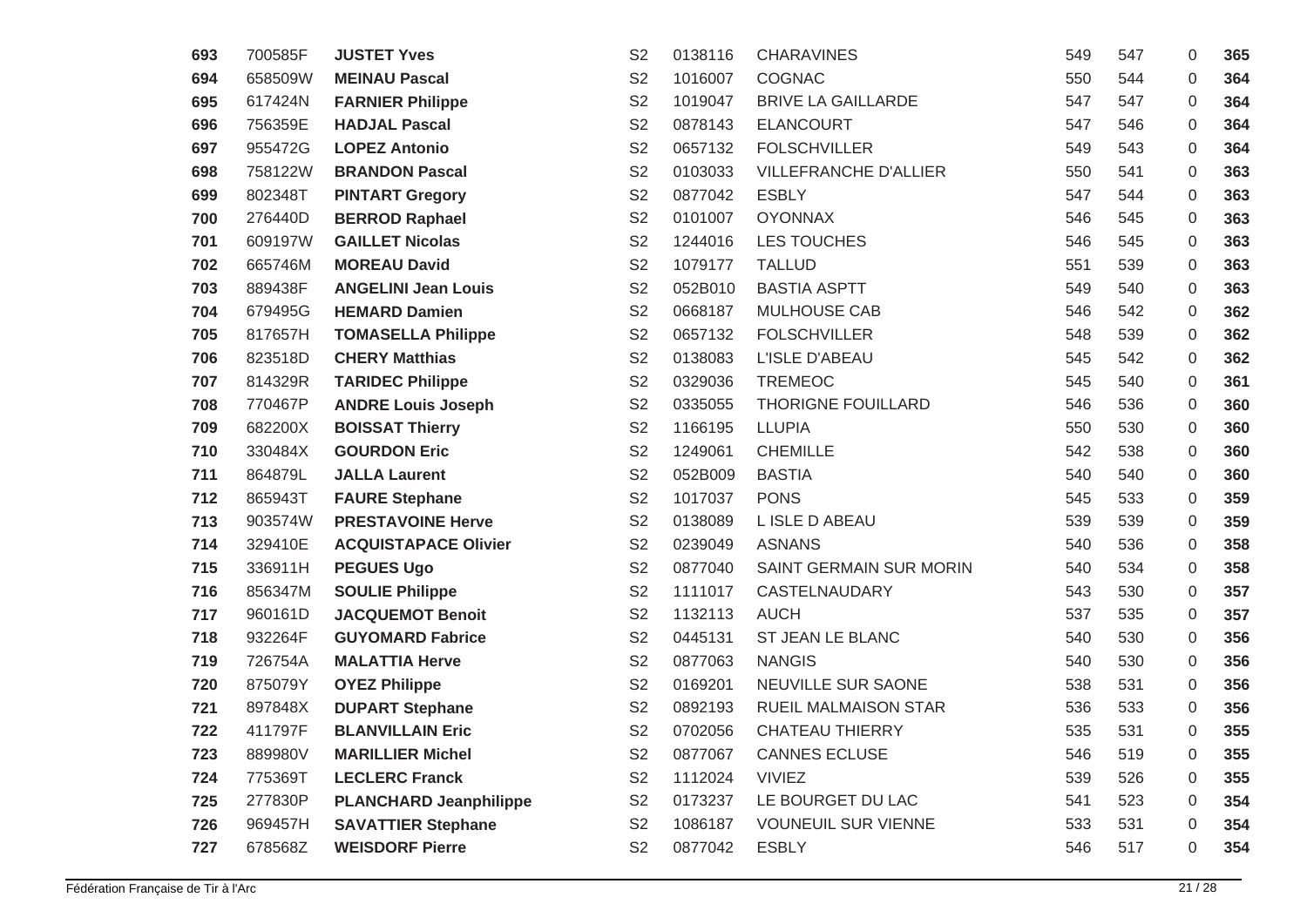| 693 | 700585F | <b>JUSTET Yves</b>            | S <sub>2</sub> | 0138116 | <b>CHARAVINES</b>          | 549 | 547 | 0            | 365 |
|-----|---------|-------------------------------|----------------|---------|----------------------------|-----|-----|--------------|-----|
| 694 | 658509W | <b>MEINAU Pascal</b>          | S <sub>2</sub> | 1016007 | <b>COGNAC</b>              | 550 | 544 | $\mathbf{0}$ | 364 |
| 695 | 617424N | <b>FARNIER Philippe</b>       | S <sub>2</sub> | 1019047 | <b>BRIVE LA GAILLARDE</b>  | 547 | 547 | 0            | 364 |
| 696 | 756359E | <b>HADJAL Pascal</b>          | S <sub>2</sub> | 0878143 | <b>ELANCOURT</b>           | 547 | 546 | 0            | 364 |
| 697 | 955472G | <b>LOPEZ Antonio</b>          | S <sub>2</sub> | 0657132 | <b>FOLSCHVILLER</b>        | 549 | 543 | $\mathbf{0}$ | 364 |
| 698 | 758122W | <b>BRANDON Pascal</b>         | S <sub>2</sub> | 0103033 | VILLEFRANCHE D'ALLIER      | 550 | 541 | $\mathbf{0}$ | 363 |
| 699 | 802348T | <b>PINTART Gregory</b>        | S <sub>2</sub> | 0877042 | <b>ESBLY</b>               | 547 | 544 | 0            | 363 |
| 700 | 276440D | <b>BERROD Raphael</b>         | S <sub>2</sub> | 0101007 | <b>OYONNAX</b>             | 546 | 545 | 0            | 363 |
| 701 | 609197W | <b>GAILLET Nicolas</b>        | S <sub>2</sub> | 1244016 | LES TOUCHES                | 546 | 545 | 0            | 363 |
| 702 | 665746M | <b>MOREAU David</b>           | S <sub>2</sub> | 1079177 | <b>TALLUD</b>              | 551 | 539 | 0            | 363 |
| 703 | 889438F | <b>ANGELINI Jean Louis</b>    | S <sub>2</sub> | 052B010 | <b>BASTIA ASPTT</b>        | 549 | 540 | 0            | 363 |
| 704 | 679495G | <b>HEMARD Damien</b>          | S <sub>2</sub> | 0668187 | <b>MULHOUSE CAB</b>        | 546 | 542 | 0            | 362 |
| 705 | 817657H | <b>TOMASELLA Philippe</b>     | S <sub>2</sub> | 0657132 | <b>FOLSCHVILLER</b>        | 548 | 539 | $\mathbf{0}$ | 362 |
| 706 | 823518D | <b>CHERY Matthias</b>         | S <sub>2</sub> | 0138083 | L'ISLE D'ABEAU             | 545 | 542 | $\mathbf{0}$ | 362 |
| 707 | 814329R | <b>TARIDEC Philippe</b>       | S <sub>2</sub> | 0329036 | <b>TREMEOC</b>             | 545 | 540 | 0            | 361 |
| 708 | 770467P | <b>ANDRE Louis Joseph</b>     | S <sub>2</sub> | 0335055 | THORIGNE FOUILLARD         | 546 | 536 | 0            | 360 |
| 709 | 682200X | <b>BOISSAT Thierry</b>        | S <sub>2</sub> | 1166195 | <b>LLUPIA</b>              | 550 | 530 | 0            | 360 |
| 710 | 330484X | <b>GOURDON Eric</b>           | S <sub>2</sub> | 1249061 | <b>CHEMILLE</b>            | 542 | 538 | 0            | 360 |
| 711 | 864879L | <b>JALLA Laurent</b>          | S <sub>2</sub> | 052B009 | <b>BASTIA</b>              | 540 | 540 | 0            | 360 |
| 712 | 865943T | <b>FAURE Stephane</b>         | S <sub>2</sub> | 1017037 | <b>PONS</b>                | 545 | 533 | 0            | 359 |
| 713 | 903574W | <b>PRESTAVOINE Herve</b>      | S <sub>2</sub> | 0138089 | L ISLE D ABEAU             | 539 | 539 | 0            | 359 |
| 714 | 329410E | <b>ACQUISTAPACE Olivier</b>   | S <sub>2</sub> | 0239049 | <b>ASNANS</b>              | 540 | 536 | 0            | 358 |
| 715 | 336911H | <b>PEGUES Ugo</b>             | S <sub>2</sub> | 0877040 | SAINT GERMAIN SUR MORIN    | 540 | 534 | 0            | 358 |
| 716 | 856347M | <b>SOULIE Philippe</b>        | S <sub>2</sub> | 1111017 | CASTELNAUDARY              | 543 | 530 | 0            | 357 |
| 717 | 960161D | <b>JACQUEMOT Benoit</b>       | S <sub>2</sub> | 1132113 | <b>AUCH</b>                | 537 | 535 | 0            | 357 |
| 718 | 932264F | <b>GUYOMARD Fabrice</b>       | S <sub>2</sub> | 0445131 | ST JEAN LE BLANC           | 540 | 530 | 0            | 356 |
| 719 | 726754A | <b>MALATTIA Herve</b>         | S <sub>2</sub> | 0877063 | <b>NANGIS</b>              | 540 | 530 | 0            | 356 |
| 720 | 875079Y | <b>OYEZ Philippe</b>          | S <sub>2</sub> | 0169201 | NEUVILLE SUR SAONE         | 538 | 531 | 0            | 356 |
| 721 | 897848X | <b>DUPART Stephane</b>        | S <sub>2</sub> | 0892193 | RUEIL MALMAISON STAR       | 536 | 533 | 0            | 356 |
| 722 | 411797F | <b>BLANVILLAIN Eric</b>       | S <sub>2</sub> | 0702056 | <b>CHATEAU THIERRY</b>     | 535 | 531 | 0            | 355 |
| 723 | 889980V | <b>MARILLIER Michel</b>       | S <sub>2</sub> | 0877067 | <b>CANNES ECLUSE</b>       | 546 | 519 | 0            | 355 |
| 724 | 775369T | <b>LECLERC Franck</b>         | S <sub>2</sub> | 1112024 | <b>VIVIEZ</b>              | 539 | 526 | 0            | 355 |
| 725 | 277830P | <b>PLANCHARD Jeanphilippe</b> | S <sub>2</sub> | 0173237 | LE BOURGET DU LAC          | 541 | 523 | 0            | 354 |
| 726 | 969457H | <b>SAVATTIER Stephane</b>     | S <sub>2</sub> | 1086187 | <b>VOUNEUIL SUR VIENNE</b> | 533 | 531 | 0            | 354 |
| 727 | 678568Z | <b>WEISDORF Pierre</b>        | S <sub>2</sub> | 0877042 | <b>ESBLY</b>               | 546 | 517 | 0            | 354 |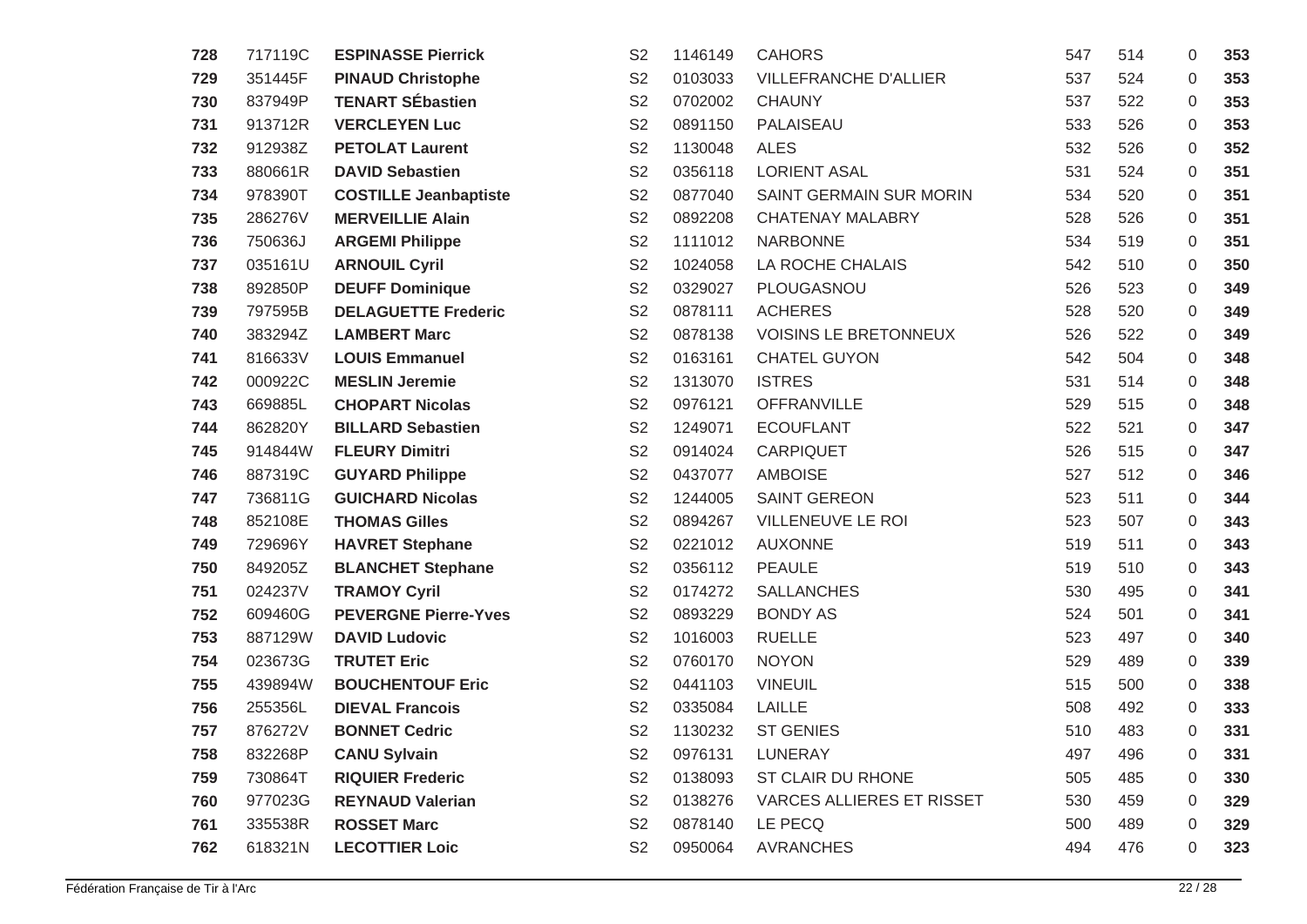| 728 | 717119C | <b>ESPINASSE Pierrick</b>    | S <sub>2</sub> | 1146149 | <b>CAHORS</b>                    | 547 | 514 | 0            | 353 |
|-----|---------|------------------------------|----------------|---------|----------------------------------|-----|-----|--------------|-----|
| 729 | 351445F | <b>PINAUD Christophe</b>     | S <sub>2</sub> | 0103033 | VILLEFRANCHE D'ALLIER            | 537 | 524 | $\mathbf{0}$ | 353 |
| 730 | 837949P | <b>TENART SÉbastien</b>      | S <sub>2</sub> | 0702002 | <b>CHAUNY</b>                    | 537 | 522 | 0            | 353 |
| 731 | 913712R | <b>VERCLEYEN Luc</b>         | S <sub>2</sub> | 0891150 | PALAISEAU                        | 533 | 526 | 0            | 353 |
| 732 | 912938Z | <b>PETOLAT Laurent</b>       | S <sub>2</sub> | 1130048 | <b>ALES</b>                      | 532 | 526 | $\mathbf{0}$ | 352 |
| 733 | 880661R | <b>DAVID Sebastien</b>       | S <sub>2</sub> | 0356118 | <b>LORIENT ASAL</b>              | 531 | 524 | $\mathbf{0}$ | 351 |
| 734 | 978390T | <b>COSTILLE Jeanbaptiste</b> | S <sub>2</sub> | 0877040 | SAINT GERMAIN SUR MORIN          | 534 | 520 | 0            | 351 |
| 735 | 286276V | <b>MERVEILLIE Alain</b>      | S <sub>2</sub> | 0892208 | <b>CHATENAY MALABRY</b>          | 528 | 526 | 0            | 351 |
| 736 | 750636J | <b>ARGEMI Philippe</b>       | S <sub>2</sub> | 1111012 | <b>NARBONNE</b>                  | 534 | 519 | $\mathbf{0}$ | 351 |
| 737 | 035161U | <b>ARNOUIL Cyril</b>         | S <sub>2</sub> | 1024058 | LA ROCHE CHALAIS                 | 542 | 510 | $\mathbf{0}$ | 350 |
| 738 | 892850P | <b>DEUFF Dominique</b>       | S <sub>2</sub> | 0329027 | PLOUGASNOU                       | 526 | 523 | 0            | 349 |
| 739 | 797595B | <b>DELAGUETTE Frederic</b>   | S <sub>2</sub> | 0878111 | <b>ACHERES</b>                   | 528 | 520 | 0            | 349 |
| 740 | 383294Z | <b>LAMBERT Marc</b>          | S <sub>2</sub> | 0878138 | <b>VOISINS LE BRETONNEUX</b>     | 526 | 522 | 0            | 349 |
| 741 | 816633V | <b>LOUIS Emmanuel</b>        | S <sub>2</sub> | 0163161 | <b>CHATEL GUYON</b>              | 542 | 504 | 0            | 348 |
| 742 | 000922C | <b>MESLIN Jeremie</b>        | S <sub>2</sub> | 1313070 | <b>ISTRES</b>                    | 531 | 514 | 0            | 348 |
| 743 | 669885L | <b>CHOPART Nicolas</b>       | S <sub>2</sub> | 0976121 | <b>OFFRANVILLE</b>               | 529 | 515 | 0            | 348 |
| 744 | 862820Y | <b>BILLARD Sebastien</b>     | S <sub>2</sub> | 1249071 | <b>ECOUFLANT</b>                 | 522 | 521 | 0            | 347 |
| 745 | 914844W | <b>FLEURY Dimitri</b>        | S <sub>2</sub> | 0914024 | <b>CARPIQUET</b>                 | 526 | 515 | 0            | 347 |
| 746 | 887319C | <b>GUYARD Philippe</b>       | S <sub>2</sub> | 0437077 | <b>AMBOISE</b>                   | 527 | 512 | 0            | 346 |
| 747 | 736811G | <b>GUICHARD Nicolas</b>      | S <sub>2</sub> | 1244005 | <b>SAINT GEREON</b>              | 523 | 511 | 0            | 344 |
| 748 | 852108E | <b>THOMAS Gilles</b>         | S <sub>2</sub> | 0894267 | <b>VILLENEUVE LE ROI</b>         | 523 | 507 | 0            | 343 |
| 749 | 729696Y | <b>HAVRET Stephane</b>       | S <sub>2</sub> | 0221012 | <b>AUXONNE</b>                   | 519 | 511 | 0            | 343 |
| 750 | 849205Z | <b>BLANCHET Stephane</b>     | S <sub>2</sub> | 0356112 | <b>PEAULE</b>                    | 519 | 510 | 0            | 343 |
| 751 | 024237V | <b>TRAMOY Cyril</b>          | S <sub>2</sub> | 0174272 | <b>SALLANCHES</b>                | 530 | 495 | 0            | 341 |
| 752 | 609460G | <b>PEVERGNE Pierre-Yves</b>  | S <sub>2</sub> | 0893229 | <b>BONDY AS</b>                  | 524 | 501 | 0            | 341 |
| 753 | 887129W | <b>DAVID Ludovic</b>         | S <sub>2</sub> | 1016003 | <b>RUELLE</b>                    | 523 | 497 | 0            | 340 |
| 754 | 023673G | <b>TRUTET Eric</b>           | S <sub>2</sub> | 0760170 | <b>NOYON</b>                     | 529 | 489 | 0            | 339 |
| 755 | 439894W | <b>BOUCHENTOUF Eric</b>      | S <sub>2</sub> | 0441103 | <b>VINEUIL</b>                   | 515 | 500 | 0            | 338 |
| 756 | 255356L | <b>DIEVAL Francois</b>       | S <sub>2</sub> | 0335084 | <b>LAILLE</b>                    | 508 | 492 | 0            | 333 |
| 757 | 876272V | <b>BONNET Cedric</b>         | S <sub>2</sub> | 1130232 | <b>ST GENIES</b>                 | 510 | 483 | $\Omega$     | 331 |
| 758 | 832268P | <b>CANU Sylvain</b>          | S <sub>2</sub> | 0976131 | LUNERAY                          | 497 | 496 | 0            | 331 |
| 759 | 730864T | <b>RIQUIER Frederic</b>      | S <sub>2</sub> | 0138093 | ST CLAIR DU RHONE                | 505 | 485 | 0            | 330 |
| 760 | 977023G | <b>REYNAUD Valerian</b>      | S <sub>2</sub> | 0138276 | <b>VARCES ALLIERES ET RISSET</b> | 530 | 459 | 0            | 329 |
| 761 | 335538R | <b>ROSSET Marc</b>           | S <sub>2</sub> | 0878140 | LE PECQ                          | 500 | 489 | 0            | 329 |
| 762 | 618321N | <b>LECOTTIER Loic</b>        | S <sub>2</sub> | 0950064 | <b>AVRANCHES</b>                 | 494 | 476 | 0            | 323 |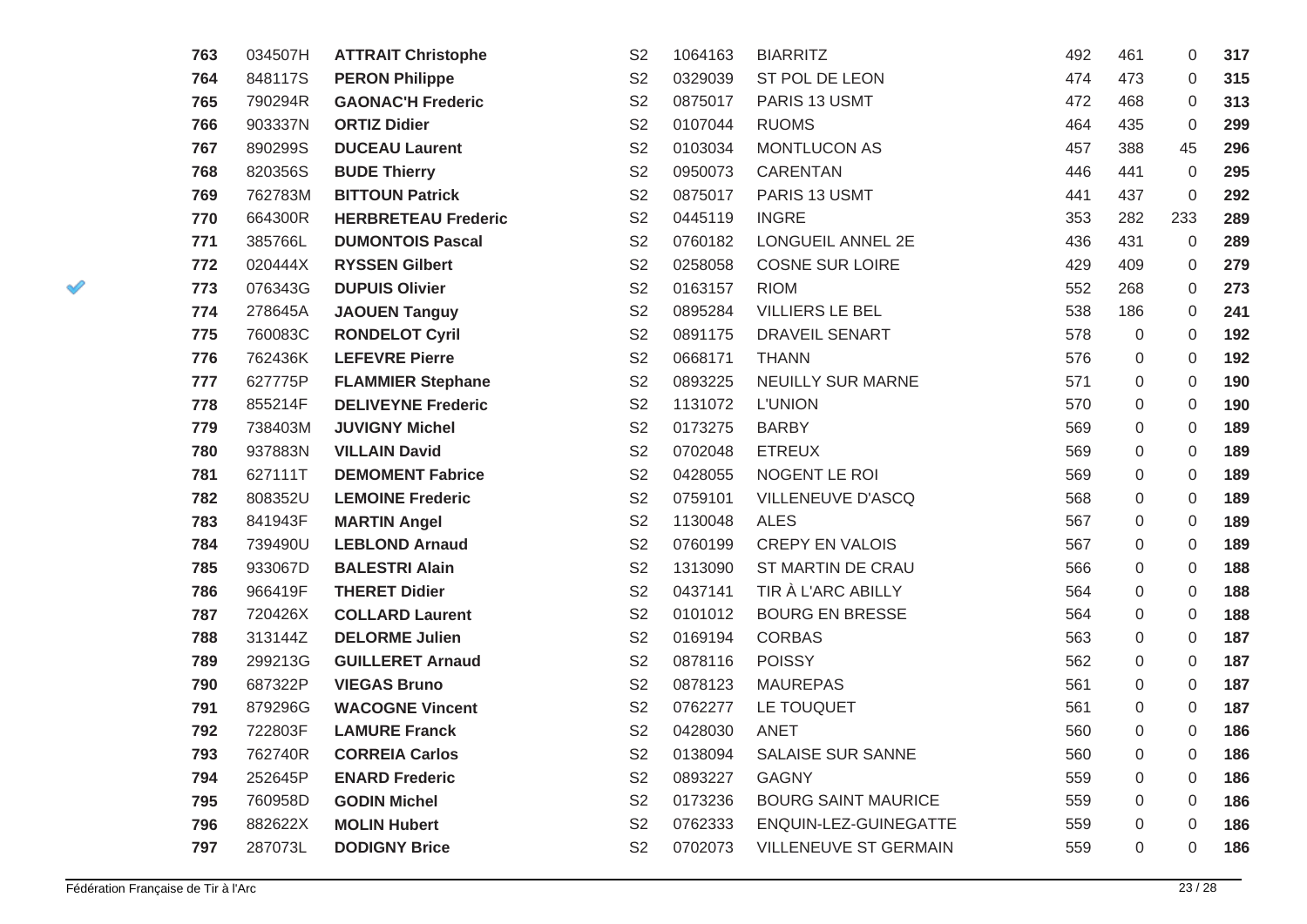| 763 | 034507H | <b>ATTRAIT Christophe</b>  | S <sub>2</sub> | 1064163 | <b>BIARRITZ</b>            | 492 | 461              | 0                | 317 |
|-----|---------|----------------------------|----------------|---------|----------------------------|-----|------------------|------------------|-----|
| 764 | 848117S | <b>PERON Philippe</b>      | S <sub>2</sub> | 0329039 | ST POL DE LEON             | 474 | 473              | 0                | 315 |
| 765 | 790294R | <b>GAONAC'H Frederic</b>   | S <sub>2</sub> | 0875017 | PARIS 13 USMT              | 472 | 468              | 0                | 313 |
| 766 | 903337N | <b>ORTIZ Didier</b>        | S <sub>2</sub> | 0107044 | <b>RUOMS</b>               | 464 | 435              | 0                | 299 |
| 767 | 890299S | <b>DUCEAU Laurent</b>      | S <sub>2</sub> | 0103034 | MONTLUCON AS               | 457 | 388              | 45               | 296 |
| 768 | 820356S | <b>BUDE Thierry</b>        | S <sub>2</sub> | 0950073 | <b>CARENTAN</b>            | 446 | 441              | $\overline{0}$   | 295 |
| 769 | 762783M | <b>BITTOUN Patrick</b>     | S <sub>2</sub> | 0875017 | PARIS 13 USMT              | 441 | 437              | 0                | 292 |
| 770 | 664300R | <b>HERBRETEAU Frederic</b> | S <sub>2</sub> | 0445119 | <b>INGRE</b>               | 353 | 282              | 233              | 289 |
| 771 | 385766L | <b>DUMONTOIS Pascal</b>    | S <sub>2</sub> | 0760182 | LONGUEIL ANNEL 2E          | 436 | 431              | 0                | 289 |
| 772 | 020444X | <b>RYSSEN Gilbert</b>      | S <sub>2</sub> | 0258058 | <b>COSNE SUR LOIRE</b>     | 429 | 409              | 0                | 279 |
| 773 | 076343G | <b>DUPUIS Olivier</b>      | S <sub>2</sub> | 0163157 | <b>RIOM</b>                | 552 | 268              | 0                | 273 |
| 774 | 278645A | <b>JAOUEN Tanguy</b>       | S <sub>2</sub> | 0895284 | <b>VILLIERS LE BEL</b>     | 538 | 186              | 0                | 241 |
| 775 | 760083C | <b>RONDELOT Cyril</b>      | S <sub>2</sub> | 0891175 | DRAVEIL SENART             | 578 | 0                | 0                | 192 |
| 776 | 762436K | <b>LEFEVRE Pierre</b>      | S <sub>2</sub> | 0668171 | <b>THANN</b>               | 576 | 0                | 0                | 192 |
| 777 | 627775P | <b>FLAMMIER Stephane</b>   | S <sub>2</sub> | 0893225 | <b>NEUILLY SUR MARNE</b>   | 571 | 0                | 0                | 190 |
| 778 | 855214F | <b>DELIVEYNE Frederic</b>  | S <sub>2</sub> | 1131072 | <b>L'UNION</b>             | 570 | 0                | 0                | 190 |
| 779 | 738403M | <b>JUVIGNY Michel</b>      | S <sub>2</sub> | 0173275 | <b>BARBY</b>               | 569 | 0                | 0                | 189 |
| 780 | 937883N | <b>VILLAIN David</b>       | S <sub>2</sub> | 0702048 | <b>ETREUX</b>              | 569 | 0                | 0                | 189 |
| 781 | 627111T | <b>DEMOMENT Fabrice</b>    | S <sub>2</sub> | 0428055 | NOGENT LE ROI              | 569 | 0                | 0                | 189 |
| 782 | 808352U | <b>LEMOINE Frederic</b>    | S <sub>2</sub> | 0759101 | VILLENEUVE D'ASCQ          | 568 | 0                | 0                | 189 |
| 783 | 841943F | <b>MARTIN Angel</b>        | S <sub>2</sub> | 1130048 | <b>ALES</b>                | 567 | 0                | 0                | 189 |
| 784 | 739490U | <b>LEBLOND Arnaud</b>      | S <sub>2</sub> | 0760199 | <b>CREPY EN VALOIS</b>     | 567 | $\boldsymbol{0}$ | 0                | 189 |
| 785 | 933067D | <b>BALESTRI Alain</b>      | S <sub>2</sub> | 1313090 | ST MARTIN DE CRAU          | 566 | 0                | 0                | 188 |
| 786 | 966419F | <b>THERET Didier</b>       | S <sub>2</sub> | 0437141 | TIR À L'ARC ABILLY         | 564 | 0                | 0                | 188 |
| 787 | 720426X | <b>COLLARD Laurent</b>     | S <sub>2</sub> | 0101012 | <b>BOURG EN BRESSE</b>     | 564 | $\mathbf 0$      | 0                | 188 |
| 788 | 313144Z | <b>DELORME Julien</b>      | S <sub>2</sub> | 0169194 | <b>CORBAS</b>              | 563 | 0                | 0                | 187 |
| 789 | 299213G | <b>GUILLERET Arnaud</b>    | S <sub>2</sub> | 0878116 | <b>POISSY</b>              | 562 | 0                | 0                | 187 |
| 790 | 687322P | <b>VIEGAS Bruno</b>        | S <sub>2</sub> | 0878123 | <b>MAUREPAS</b>            | 561 | 0                | $\boldsymbol{0}$ | 187 |
| 791 | 879296G | <b>WACOGNE Vincent</b>     | S <sub>2</sub> | 0762277 | LE TOUQUET                 | 561 | $\mathbf 0$      | $\Omega$         | 187 |
| 792 | 722803F | <b>LAMURE Franck</b>       | S <sub>2</sub> | 0428030 | <b>ANET</b>                | 560 | $\mathbf 0$      | 0                | 186 |
| 793 | 762740R | <b>CORREIA Carlos</b>      | S <sub>2</sub> | 0138094 | SALAISE SUR SANNE          | 560 | 0                | 0                | 186 |
| 794 | 252645P | <b>ENARD Frederic</b>      | S <sub>2</sub> | 0893227 | <b>GAGNY</b>               | 559 | 0                | 0                | 186 |
| 795 | 760958D | <b>GODIN Michel</b>        | S <sub>2</sub> | 0173236 | <b>BOURG SAINT MAURICE</b> | 559 | 0                | 0                | 186 |
| 796 | 882622X | <b>MOLIN Hubert</b>        | S <sub>2</sub> | 0762333 | ENQUIN-LEZ-GUINEGATTE      | 559 | 0                | 0                | 186 |
| 797 | 287073L | <b>DODIGNY Brice</b>       | S <sub>2</sub> | 0702073 | VILLENEUVE ST GERMAIN      | 559 | 0                | 0                | 186 |

 $\mathscr{O}$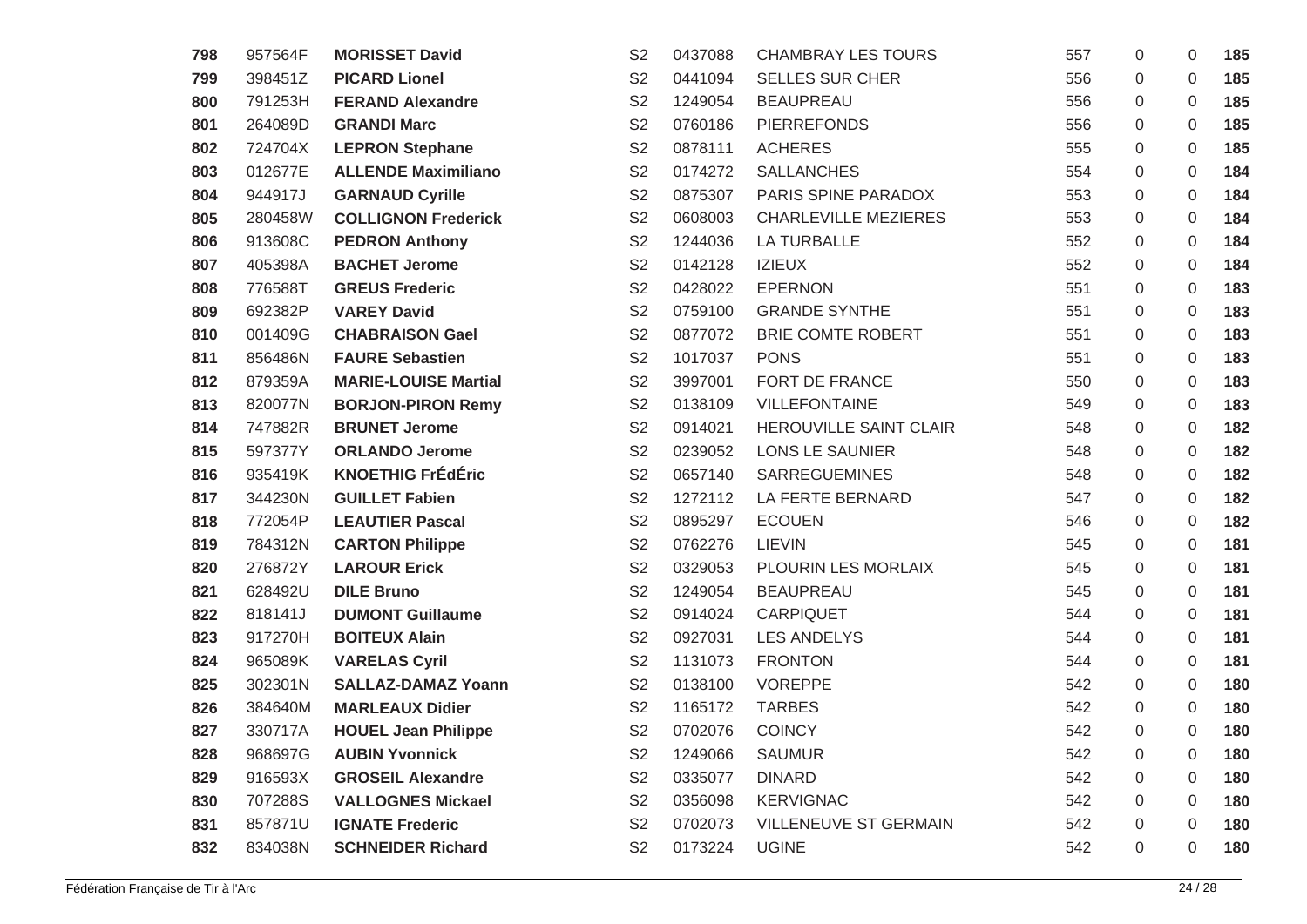| 798 | 957564F | <b>MORISSET David</b>       | S <sub>2</sub> | 0437088 | <b>CHAMBRAY LES TOURS</b>     | 557 | 0 | 0            | 185 |
|-----|---------|-----------------------------|----------------|---------|-------------------------------|-----|---|--------------|-----|
| 799 | 398451Z | <b>PICARD Lionel</b>        | S <sub>2</sub> | 0441094 | <b>SELLES SUR CHER</b>        | 556 | 0 | 0            | 185 |
| 800 | 791253H | <b>FERAND Alexandre</b>     | S <sub>2</sub> | 1249054 | <b>BEAUPREAU</b>              | 556 | 0 | 0            | 185 |
| 801 | 264089D | <b>GRANDI Marc</b>          | S <sub>2</sub> | 0760186 | <b>PIERREFONDS</b>            | 556 | 0 | 0            | 185 |
| 802 | 724704X | <b>LEPRON Stephane</b>      | S <sub>2</sub> | 0878111 | <b>ACHERES</b>                | 555 | 0 | 0            | 185 |
| 803 | 012677E | <b>ALLENDE Maximiliano</b>  | S <sub>2</sub> | 0174272 | <b>SALLANCHES</b>             | 554 | 0 | $\mathbf{0}$ | 184 |
| 804 | 944917J | <b>GARNAUD Cyrille</b>      | S <sub>2</sub> | 0875307 | PARIS SPINE PARADOX           | 553 | 0 | $\mathbf{0}$ | 184 |
| 805 | 280458W | <b>COLLIGNON Frederick</b>  | S <sub>2</sub> | 0608003 | <b>CHARLEVILLE MEZIERES</b>   | 553 | 0 | $\mathbf{0}$ | 184 |
| 806 | 913608C | <b>PEDRON Anthony</b>       | S <sub>2</sub> | 1244036 | <b>LA TURBALLE</b>            | 552 | 0 | $\mathbf{0}$ | 184 |
| 807 | 405398A | <b>BACHET Jerome</b>        | S <sub>2</sub> | 0142128 | <b>IZIEUX</b>                 | 552 | 0 | 0            | 184 |
| 808 | 776588T | <b>GREUS Frederic</b>       | S <sub>2</sub> | 0428022 | <b>EPERNON</b>                | 551 | 0 | $\mathbf{0}$ | 183 |
| 809 | 692382P | <b>VAREY David</b>          | S <sub>2</sub> | 0759100 | <b>GRANDE SYNTHE</b>          | 551 | 0 | $\mathbf{0}$ | 183 |
| 810 | 001409G | <b>CHABRAISON Gael</b>      | S <sub>2</sub> | 0877072 | <b>BRIE COMTE ROBERT</b>      | 551 | 0 | $\mathbf{0}$ | 183 |
| 811 | 856486N | <b>FAURE Sebastien</b>      | S <sub>2</sub> | 1017037 | <b>PONS</b>                   | 551 | 0 | $\mathbf{0}$ | 183 |
| 812 | 879359A | <b>MARIE-LOUISE Martial</b> | S <sub>2</sub> | 3997001 | FORT DE FRANCE                | 550 | 0 | $\mathbf{0}$ | 183 |
| 813 | 820077N | <b>BORJON-PIRON Remy</b>    | S <sub>2</sub> | 0138109 | <b>VILLEFONTAINE</b>          | 549 | 0 | $\mathbf{0}$ | 183 |
| 814 | 747882R | <b>BRUNET Jerome</b>        | S <sub>2</sub> | 0914021 | <b>HEROUVILLE SAINT CLAIR</b> | 548 | 0 | 0            | 182 |
| 815 | 597377Y | <b>ORLANDO Jerome</b>       | S <sub>2</sub> | 0239052 | LONS LE SAUNIER               | 548 | 0 | 0            | 182 |
| 816 | 935419K | <b>KNOETHIG FrÉdÉric</b>    | S <sub>2</sub> | 0657140 | <b>SARREGUEMINES</b>          | 548 | 0 | 0            | 182 |
| 817 | 344230N | <b>GUILLET Fabien</b>       | S <sub>2</sub> | 1272112 | LA FERTE BERNARD              | 547 | 0 | 0            | 182 |
| 818 | 772054P | <b>LEAUTIER Pascal</b>      | S <sub>2</sub> | 0895297 | <b>ECOUEN</b>                 | 546 | 0 | 0            | 182 |
| 819 | 784312N | <b>CARTON Philippe</b>      | S <sub>2</sub> | 0762276 | <b>LIEVIN</b>                 | 545 | 0 | 0            | 181 |
| 820 | 276872Y | <b>LAROUR Erick</b>         | S <sub>2</sub> | 0329053 | PLOURIN LES MORLAIX           | 545 | 0 | 0            | 181 |
| 821 | 628492U | <b>DILE Bruno</b>           | S <sub>2</sub> | 1249054 | <b>BEAUPREAU</b>              | 545 | 0 | 0            | 181 |
| 822 | 818141J | <b>DUMONT Guillaume</b>     | S <sub>2</sub> | 0914024 | <b>CARPIQUET</b>              | 544 | 0 | 0            | 181 |
| 823 | 917270H | <b>BOITEUX Alain</b>        | S <sub>2</sub> | 0927031 | <b>LES ANDELYS</b>            | 544 | 0 | 0            | 181 |
| 824 | 965089K | <b>VARELAS Cyril</b>        | S <sub>2</sub> | 1131073 | <b>FRONTON</b>                | 544 | 0 | 0            | 181 |
| 825 | 302301N | <b>SALLAZ-DAMAZ Yoann</b>   | S <sub>2</sub> | 0138100 | <b>VOREPPE</b>                | 542 | 0 | 0            | 180 |
| 826 | 384640M | <b>MARLEAUX Didier</b>      | S <sub>2</sub> | 1165172 | <b>TARBES</b>                 | 542 | 0 | $\mathbf{0}$ | 180 |
| 827 | 330717A | <b>HOUEL Jean Philippe</b>  | S <sub>2</sub> | 0702076 | <b>COINCY</b>                 | 542 | 0 | 0            | 180 |
| 828 | 968697G | <b>AUBIN Yvonnick</b>       | S <sub>2</sub> | 1249066 | <b>SAUMUR</b>                 | 542 | 0 | 0            | 180 |
| 829 | 916593X | <b>GROSEIL Alexandre</b>    | S <sub>2</sub> | 0335077 | <b>DINARD</b>                 | 542 | 0 | 0            | 180 |
| 830 | 707288S | <b>VALLOGNES Mickael</b>    | S <sub>2</sub> | 0356098 | <b>KERVIGNAC</b>              | 542 | 0 | 0            | 180 |
| 831 | 857871U | <b>IGNATE Frederic</b>      | S <sub>2</sub> | 0702073 | VILLENEUVE ST GERMAIN         | 542 | 0 | 0            | 180 |
| 832 | 834038N | <b>SCHNEIDER Richard</b>    | S <sub>2</sub> | 0173224 | <b>UGINE</b>                  | 542 | 0 | 0            | 180 |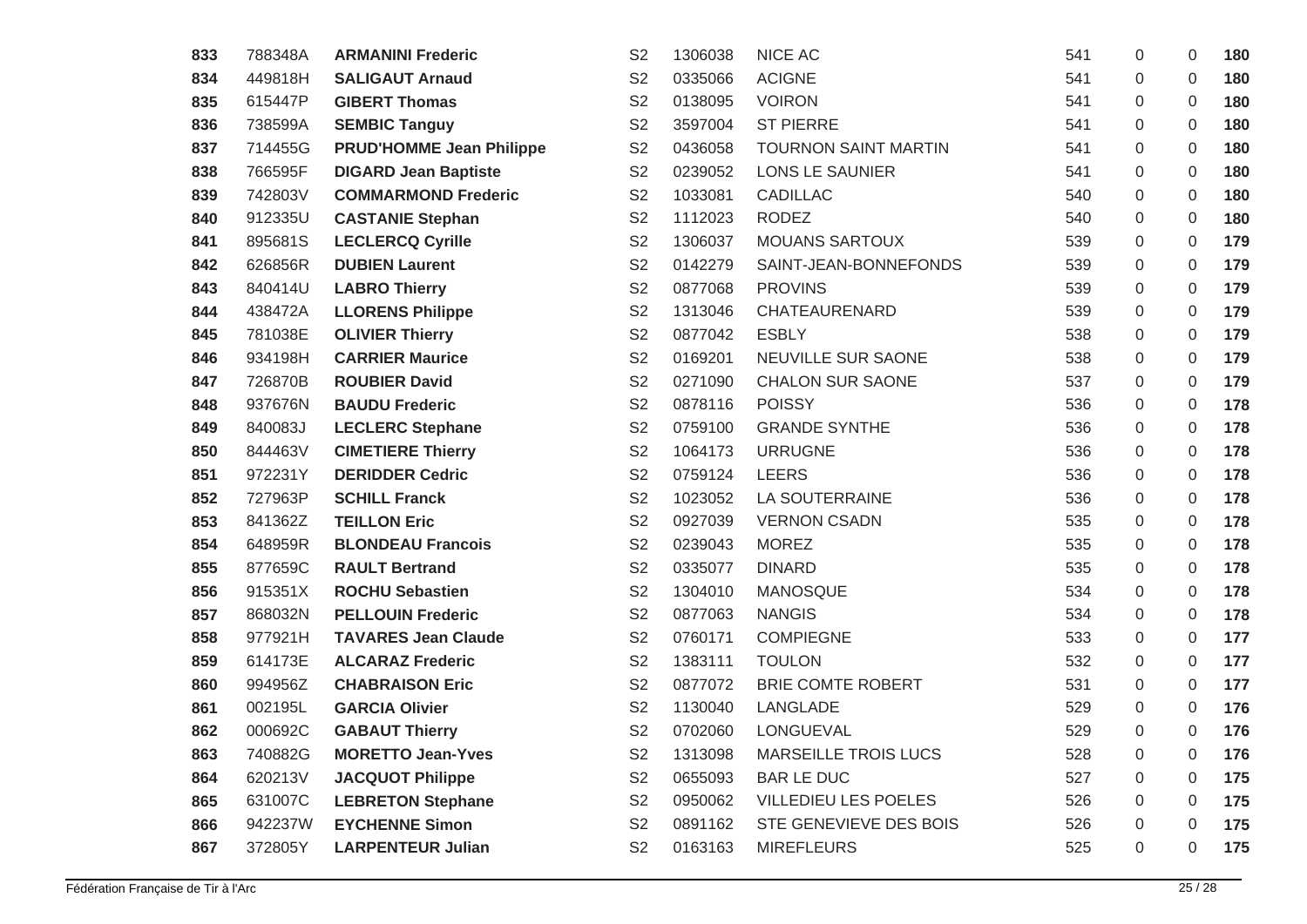| 833 | 788348A | <b>ARMANINI Frederic</b>        | S <sub>2</sub> | 1306038 | <b>NICE AC</b>              | 541 | $\boldsymbol{0}$ | 0            | 180 |
|-----|---------|---------------------------------|----------------|---------|-----------------------------|-----|------------------|--------------|-----|
| 834 | 449818H | <b>SALIGAUT Arnaud</b>          | S <sub>2</sub> | 0335066 | <b>ACIGNE</b>               | 541 | 0                | 0            | 180 |
| 835 | 615447P | <b>GIBERT Thomas</b>            | S <sub>2</sub> | 0138095 | <b>VOIRON</b>               | 541 | $\overline{0}$   | 0            | 180 |
| 836 | 738599A | <b>SEMBIC Tanguy</b>            | S <sub>2</sub> | 3597004 | <b>ST PIERRE</b>            | 541 | 0                | 0            | 180 |
| 837 | 714455G | <b>PRUD'HOMME Jean Philippe</b> | S <sub>2</sub> | 0436058 | <b>TOURNON SAINT MARTIN</b> | 541 | 0                | 0            | 180 |
| 838 | 766595F | <b>DIGARD Jean Baptiste</b>     | S <sub>2</sub> | 0239052 | LONS LE SAUNIER             | 541 | 0                | $\mathbf{0}$ | 180 |
| 839 | 742803V | <b>COMMARMOND Frederic</b>      | S <sub>2</sub> | 1033081 | <b>CADILLAC</b>             | 540 | $\boldsymbol{0}$ | $\mathbf 0$  | 180 |
| 840 | 912335U | <b>CASTANIE Stephan</b>         | S <sub>2</sub> | 1112023 | <b>RODEZ</b>                | 540 | $\boldsymbol{0}$ | $\mathsf 0$  | 180 |
| 841 | 895681S | <b>LECLERCQ Cyrille</b>         | S <sub>2</sub> | 1306037 | <b>MOUANS SARTOUX</b>       | 539 | $\boldsymbol{0}$ | 0            | 179 |
| 842 | 626856R | <b>DUBIEN Laurent</b>           | S <sub>2</sub> | 0142279 | SAINT-JEAN-BONNEFONDS       | 539 | 0                | $\mathbf{0}$ | 179 |
| 843 | 840414U | <b>LABRO Thierry</b>            | S <sub>2</sub> | 0877068 | <b>PROVINS</b>              | 539 | $\boldsymbol{0}$ | 0            | 179 |
| 844 | 438472A | <b>LLORENS Philippe</b>         | S <sub>2</sub> | 1313046 | CHATEAURENARD               | 539 | 0                | 0            | 179 |
| 845 | 781038E | <b>OLIVIER Thierry</b>          | S <sub>2</sub> | 0877042 | <b>ESBLY</b>                | 538 | 0                | $\Omega$     | 179 |
| 846 | 934198H | <b>CARRIER Maurice</b>          | S <sub>2</sub> | 0169201 | NEUVILLE SUR SAONE          | 538 | $\boldsymbol{0}$ | $\mathbf 0$  | 179 |
| 847 | 726870B | <b>ROUBIER David</b>            | S <sub>2</sub> | 0271090 | <b>CHALON SUR SAONE</b>     | 537 | $\boldsymbol{0}$ | $\mathbf 0$  | 179 |
| 848 | 937676N | <b>BAUDU Frederic</b>           | S <sub>2</sub> | 0878116 | <b>POISSY</b>               | 536 | 0                | 0            | 178 |
| 849 | 840083J | <b>LECLERC Stephane</b>         | S <sub>2</sub> | 0759100 | <b>GRANDE SYNTHE</b>        | 536 | 0                | $\Omega$     | 178 |
| 850 | 844463V | <b>CIMETIERE Thierry</b>        | S <sub>2</sub> | 1064173 | <b>URRUGNE</b>              | 536 | $\mathbf 0$      | 0            | 178 |
| 851 | 972231Y | <b>DERIDDER Cedric</b>          | S <sub>2</sub> | 0759124 | <b>LEERS</b>                | 536 | 0                | 0            | 178 |
| 852 | 727963P | <b>SCHILL Franck</b>            | S <sub>2</sub> | 1023052 | LA SOUTERRAINE              | 536 | $\boldsymbol{0}$ | $\Omega$     | 178 |
| 853 | 841362Z | <b>TEILLON Eric</b>             | S <sub>2</sub> | 0927039 | <b>VERNON CSADN</b>         | 535 | $\boldsymbol{0}$ | $\mathbf 0$  | 178 |
| 854 | 648959R | <b>BLONDEAU Francois</b>        | S <sub>2</sub> | 0239043 | <b>MOREZ</b>                | 535 | $\boldsymbol{0}$ | $\mathbf 0$  | 178 |
| 855 | 877659C | <b>RAULT Bertrand</b>           | S <sub>2</sub> | 0335077 | <b>DINARD</b>               | 535 | $\boldsymbol{0}$ | 0            | 178 |
| 856 | 915351X | <b>ROCHU Sebastien</b>          | S <sub>2</sub> | 1304010 | MANOSQUE                    | 534 | 0                | $\Omega$     | 178 |
| 857 | 868032N | <b>PELLOUIN Frederic</b>        | S <sub>2</sub> | 0877063 | <b>NANGIS</b>               | 534 | 0                | $\mathbf 0$  | 178 |
| 858 | 977921H | <b>TAVARES Jean Claude</b>      | S <sub>2</sub> | 0760171 | <b>COMPIEGNE</b>            | 533 | $\boldsymbol{0}$ | 0            | 177 |
| 859 | 614173E | <b>ALCARAZ Frederic</b>         | S <sub>2</sub> | 1383111 | <b>TOULON</b>               | 532 | 0                | 0            | 177 |
| 860 | 994956Z | <b>CHABRAISON Eric</b>          | S <sub>2</sub> | 0877072 | BRIE COMTE ROBERT           | 531 | $\boldsymbol{0}$ | $\mathbf 0$  | 177 |
| 861 | 002195L | <b>GARCIA Olivier</b>           | S <sub>2</sub> | 1130040 | LANGLADE                    | 529 | $\boldsymbol{0}$ | $\mathbf 0$  | 176 |
| 862 | 000692C | <b>GABAUT Thierry</b>           | S <sub>2</sub> | 0702060 | LONGUEVAL                   | 529 | 0                | 0            | 176 |
| 863 | 740882G | <b>MORETTO Jean-Yves</b>        | S <sub>2</sub> | 1313098 | <b>MARSEILLE TROIS LUCS</b> | 528 | 0                | $\Omega$     | 176 |
| 864 | 620213V | <b>JACQUOT Philippe</b>         | S <sub>2</sub> | 0655093 | <b>BAR LE DUC</b>           | 527 | 0                | $\Omega$     | 175 |
| 865 | 631007C | <b>LEBRETON Stephane</b>        | S <sub>2</sub> | 0950062 | VILLEDIEU LES POELES        | 526 | 0                | 0            | 175 |
| 866 | 942237W | <b>EYCHENNE Simon</b>           | S <sub>2</sub> | 0891162 | STE GENEVIEVE DES BOIS      | 526 | $\boldsymbol{0}$ | 0            | 175 |
| 867 | 372805Y | <b>LARPENTEUR Julian</b>        | S <sub>2</sub> | 0163163 | <b>MIREFLEURS</b>           | 525 | $\Omega$         | $\Omega$     | 175 |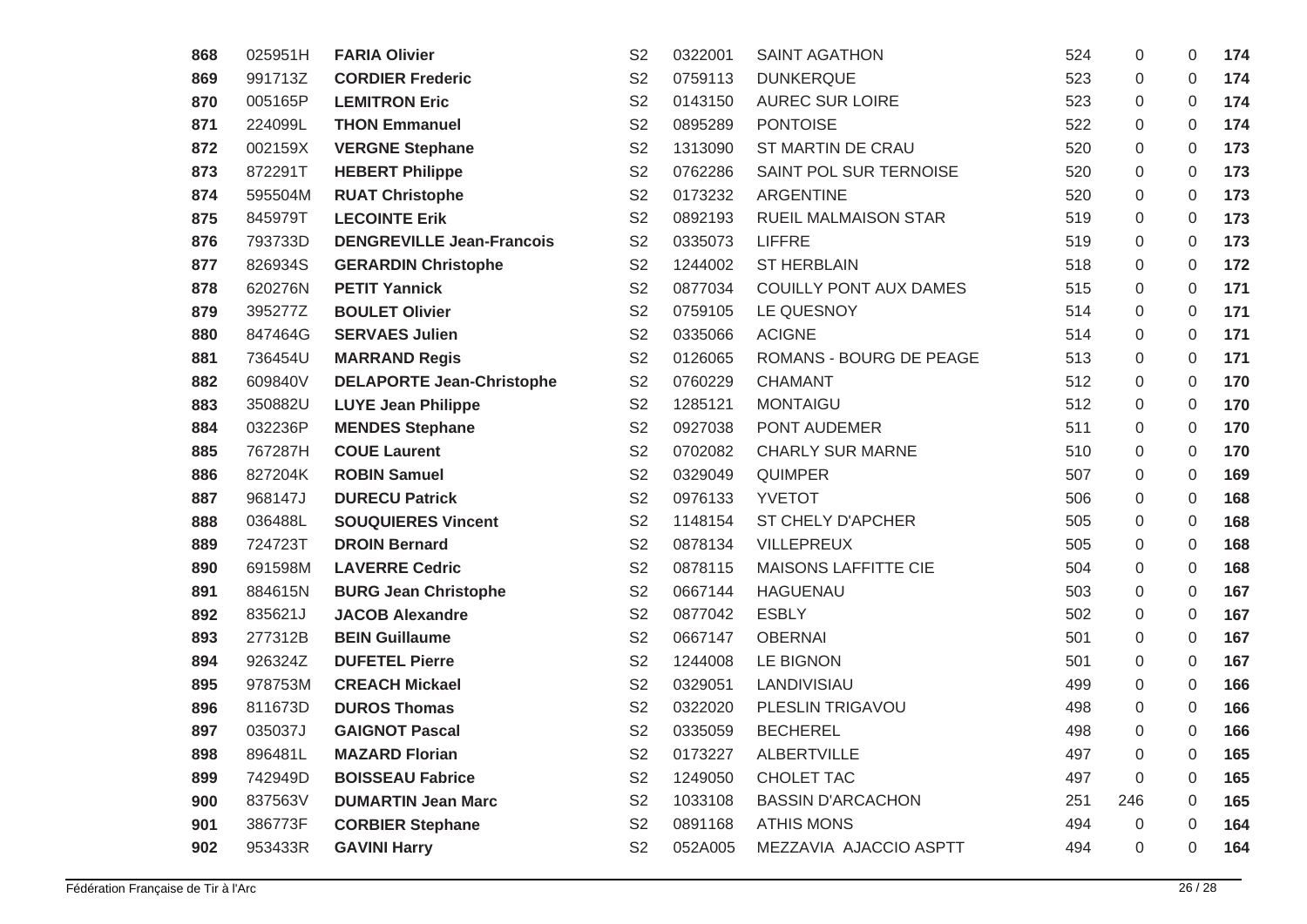| 868 | 025951H | <b>FARIA Olivier</b>             | S <sub>2</sub> | 0322001 | <b>SAINT AGATHON</b>          | 524 | 0                | 0            | 174 |
|-----|---------|----------------------------------|----------------|---------|-------------------------------|-----|------------------|--------------|-----|
| 869 | 991713Z | <b>CORDIER Frederic</b>          | S <sub>2</sub> | 0759113 | <b>DUNKERQUE</b>              | 523 | 0                | $\mathbf{0}$ | 174 |
| 870 | 005165P | <b>LEMITRON Eric</b>             | S <sub>2</sub> | 0143150 | <b>AUREC SUR LOIRE</b>        | 523 | 0                | 0            | 174 |
| 871 | 224099L | <b>THON Emmanuel</b>             | S <sub>2</sub> | 0895289 | <b>PONTOISE</b>               | 522 | 0                | $\mathbf{0}$ | 174 |
| 872 | 002159X | <b>VERGNE Stephane</b>           | S <sub>2</sub> | 1313090 | ST MARTIN DE CRAU             | 520 | 0                | $\mathbf{0}$ | 173 |
| 873 | 872291T | <b>HEBERT Philippe</b>           | S <sub>2</sub> | 0762286 | SAINT POL SUR TERNOISE        | 520 | 0                | $\mathbf{0}$ | 173 |
| 874 | 595504M | <b>RUAT Christophe</b>           | S <sub>2</sub> | 0173232 | <b>ARGENTINE</b>              | 520 | 0                | $\mathbf{0}$ | 173 |
| 875 | 845979T | <b>LECOINTE Erik</b>             | S <sub>2</sub> | 0892193 | <b>RUEIL MALMAISON STAR</b>   | 519 | 0                | $\mathbf{0}$ | 173 |
| 876 | 793733D | <b>DENGREVILLE Jean-Francois</b> | S <sub>2</sub> | 0335073 | <b>LIFFRE</b>                 | 519 | 0                | $\mathbf{0}$ | 173 |
| 877 | 826934S | <b>GERARDIN Christophe</b>       | S <sub>2</sub> | 1244002 | <b>ST HERBLAIN</b>            | 518 | 0                | $\mathbf{0}$ | 172 |
| 878 | 620276N | <b>PETIT Yannick</b>             | S <sub>2</sub> | 0877034 | <b>COUILLY PONT AUX DAMES</b> | 515 | 0                | $\mathbf{0}$ | 171 |
| 879 | 395277Z | <b>BOULET Olivier</b>            | S <sub>2</sub> | 0759105 | LE QUESNOY                    | 514 | 0                | $\mathbf{0}$ | 171 |
| 880 | 847464G | <b>SERVAES Julien</b>            | S <sub>2</sub> | 0335066 | <b>ACIGNE</b>                 | 514 | 0                | $\mathbf{0}$ | 171 |
| 881 | 736454U | <b>MARRAND Regis</b>             | S <sub>2</sub> | 0126065 | ROMANS - BOURG DE PEAGE       | 513 | 0                | 0            | 171 |
| 882 | 609840V | <b>DELAPORTE Jean-Christophe</b> | S <sub>2</sub> | 0760229 | <b>CHAMANT</b>                | 512 | 0                | $\mathbf{0}$ | 170 |
| 883 | 350882U | <b>LUYE Jean Philippe</b>        | S <sub>2</sub> | 1285121 | <b>MONTAIGU</b>               | 512 | 0                | $\mathbf{0}$ | 170 |
| 884 | 032236P | <b>MENDES Stephane</b>           | S <sub>2</sub> | 0927038 | PONT AUDEMER                  | 511 | 0                | $\mathbf{0}$ | 170 |
| 885 | 767287H | <b>COUE Laurent</b>              | S <sub>2</sub> | 0702082 | <b>CHARLY SUR MARNE</b>       | 510 | 0                | $\mathbf{0}$ | 170 |
| 886 | 827204K | <b>ROBIN Samuel</b>              | S <sub>2</sub> | 0329049 | <b>QUIMPER</b>                | 507 | 0                | 0            | 169 |
| 887 | 968147J | <b>DURECU Patrick</b>            | S <sub>2</sub> | 0976133 | <b>YVETOT</b>                 | 506 | 0                | $\mathbf{0}$ | 168 |
| 888 | 036488L | <b>SOUQUIERES Vincent</b>        | S <sub>2</sub> | 1148154 | ST CHELY D'APCHER             | 505 | 0                | 0            | 168 |
| 889 | 724723T | <b>DROIN Bernard</b>             | S <sub>2</sub> | 0878134 | <b>VILLEPREUX</b>             | 505 | 0                | 0            | 168 |
| 890 | 691598M | <b>LAVERRE Cedric</b>            | S <sub>2</sub> | 0878115 | <b>MAISONS LAFFITTE CIE</b>   | 504 | 0                | 0            | 168 |
| 891 | 884615N | <b>BURG Jean Christophe</b>      | S <sub>2</sub> | 0667144 | <b>HAGUENAU</b>               | 503 | 0                | 0            | 167 |
| 892 | 835621J | <b>JACOB Alexandre</b>           | S <sub>2</sub> | 0877042 | <b>ESBLY</b>                  | 502 | 0                | $\mathbf{0}$ | 167 |
| 893 | 277312B | <b>BEIN Guillaume</b>            | S <sub>2</sub> | 0667147 | <b>OBERNAI</b>                | 501 | 0                | 0            | 167 |
| 894 | 926324Z | <b>DUFETEL Pierre</b>            | S <sub>2</sub> | 1244008 | LE BIGNON                     | 501 | 0                | 0            | 167 |
| 895 | 978753M | <b>CREACH Mickael</b>            | S <sub>2</sub> | 0329051 | LANDIVISIAU                   | 499 | 0                | 0            | 166 |
| 896 | 811673D | <b>DUROS Thomas</b>              | S <sub>2</sub> | 0322020 | PLESLIN TRIGAVOU              | 498 | 0                | 0            | 166 |
| 897 | 035037J | <b>GAIGNOT Pascal</b>            | S <sub>2</sub> | 0335059 | <b>BECHEREL</b>               | 498 | 0                | 0            | 166 |
| 898 | 896481L | <b>MAZARD Florian</b>            | S <sub>2</sub> | 0173227 | <b>ALBERTVILLE</b>            | 497 | 0                | 0            | 165 |
| 899 | 742949D | <b>BOISSEAU Fabrice</b>          | S <sub>2</sub> | 1249050 | CHOLET TAC                    | 497 | 0                | 0            | 165 |
| 900 | 837563V | <b>DUMARTIN Jean Marc</b>        | S <sub>2</sub> | 1033108 | <b>BASSIN D'ARCACHON</b>      | 251 | 246              | 0            | 165 |
| 901 | 386773F | <b>CORBIER Stephane</b>          | S <sub>2</sub> | 0891168 | <b>ATHIS MONS</b>             | 494 | $\boldsymbol{0}$ | 0            | 164 |
| 902 | 953433R | <b>GAVINI Harry</b>              | S <sub>2</sub> | 052A005 | MEZZAVIA AJACCIO ASPTT        | 494 | 0                | 0            | 164 |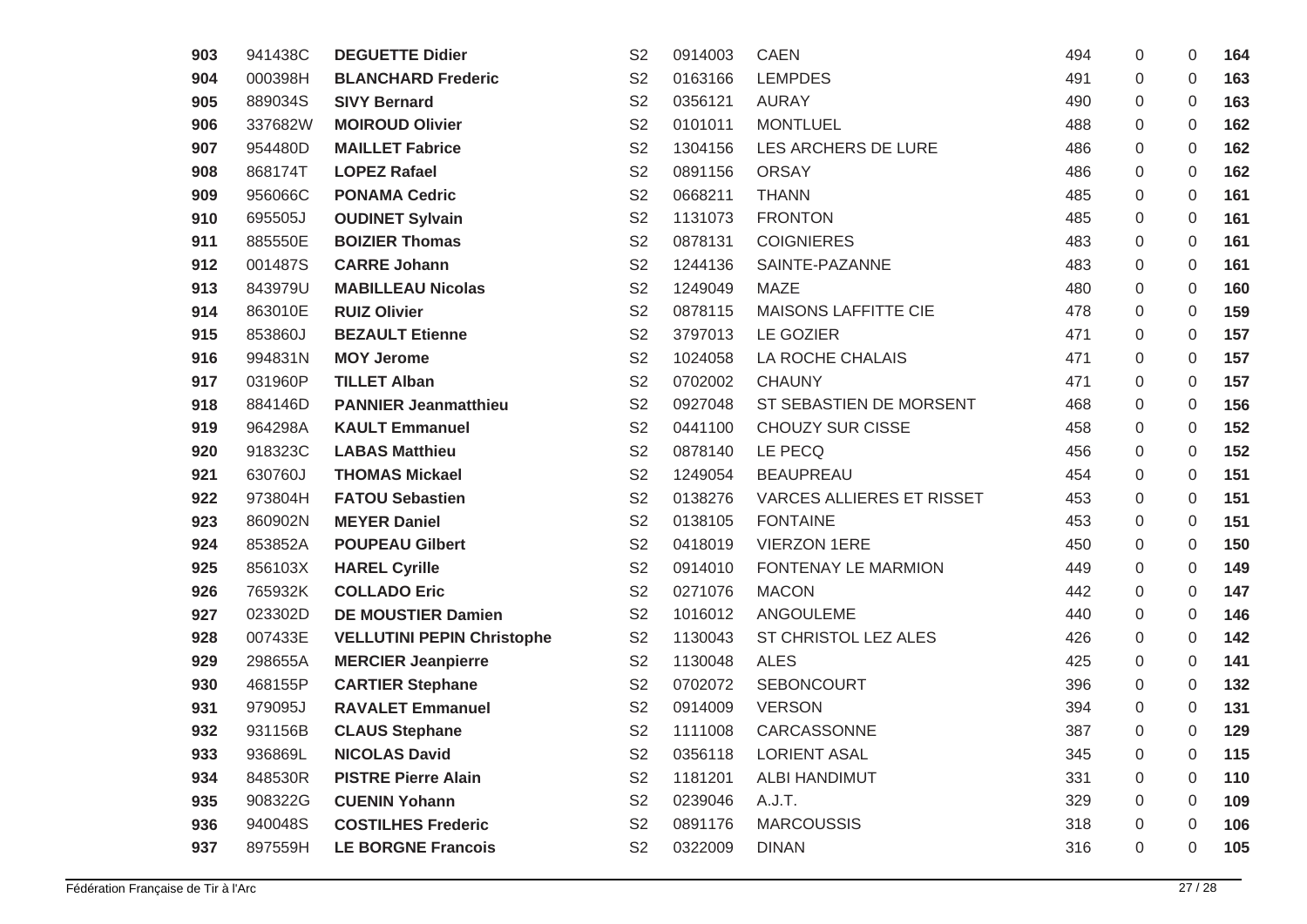| 903 | 941438C | <b>DEGUETTE Didier</b>            | S <sub>2</sub> | 0914003 | <b>CAEN</b>                      | 494 | 0 | 0            | 164 |
|-----|---------|-----------------------------------|----------------|---------|----------------------------------|-----|---|--------------|-----|
| 904 | 000398H | <b>BLANCHARD Frederic</b>         | S <sub>2</sub> | 0163166 | <b>LEMPDES</b>                   | 491 | 0 | $\mathbf{0}$ | 163 |
| 905 | 889034S | <b>SIVY Bernard</b>               | S <sub>2</sub> | 0356121 | <b>AURAY</b>                     | 490 | 0 | 0            | 163 |
| 906 | 337682W | <b>MOIROUD Olivier</b>            | S <sub>2</sub> | 0101011 | <b>MONTLUEL</b>                  | 488 | 0 | $\mathbf{0}$ | 162 |
| 907 | 954480D | <b>MAILLET Fabrice</b>            | S <sub>2</sub> | 1304156 | LES ARCHERS DE LURE              | 486 | 0 | $\mathbf{0}$ | 162 |
| 908 | 868174T | <b>LOPEZ Rafael</b>               | S <sub>2</sub> | 0891156 | <b>ORSAY</b>                     | 486 | 0 | $\mathbf{0}$ | 162 |
| 909 | 956066C | <b>PONAMA Cedric</b>              | S <sub>2</sub> | 0668211 | <b>THANN</b>                     | 485 | 0 | $\mathbf{0}$ | 161 |
| 910 | 695505J | <b>OUDINET Sylvain</b>            | S <sub>2</sub> | 1131073 | <b>FRONTON</b>                   | 485 | 0 | $\mathbf{0}$ | 161 |
| 911 | 885550E | <b>BOIZIER Thomas</b>             | S <sub>2</sub> | 0878131 | <b>COIGNIERES</b>                | 483 | 0 | $\mathbf{0}$ | 161 |
| 912 | 001487S | <b>CARRE Johann</b>               | S <sub>2</sub> | 1244136 | SAINTE-PAZANNE                   | 483 | 0 | 0            | 161 |
| 913 | 843979U | <b>MABILLEAU Nicolas</b>          | S <sub>2</sub> | 1249049 | <b>MAZE</b>                      | 480 | 0 | 0            | 160 |
| 914 | 863010E | <b>RUIZ Olivier</b>               | S <sub>2</sub> | 0878115 | <b>MAISONS LAFFITTE CIE</b>      | 478 | 0 | 0            | 159 |
| 915 | 853860J | <b>BEZAULT Etienne</b>            | S <sub>2</sub> | 3797013 | LE GOZIER                        | 471 | 0 | 0            | 157 |
| 916 | 994831N | <b>MOY Jerome</b>                 | S <sub>2</sub> | 1024058 | LA ROCHE CHALAIS                 | 471 | 0 | 0            | 157 |
| 917 | 031960P | <b>TILLET Alban</b>               | S <sub>2</sub> | 0702002 | <b>CHAUNY</b>                    | 471 | 0 | 0            | 157 |
| 918 | 884146D | <b>PANNIER Jeanmatthieu</b>       | S <sub>2</sub> | 0927048 | ST SEBASTIEN DE MORSENT          | 468 | 0 | 0            | 156 |
| 919 | 964298A | <b>KAULT Emmanuel</b>             | S <sub>2</sub> | 0441100 | <b>CHOUZY SUR CISSE</b>          | 458 | 0 | 0            | 152 |
| 920 | 918323C | <b>LABAS Matthieu</b>             | S <sub>2</sub> | 0878140 | LE PECQ                          | 456 | 0 | 0            | 152 |
| 921 | 630760J | <b>THOMAS Mickael</b>             | S <sub>2</sub> | 1249054 | <b>BEAUPREAU</b>                 | 454 | 0 | 0            | 151 |
| 922 | 973804H | <b>FATOU Sebastien</b>            | S <sub>2</sub> | 0138276 | <b>VARCES ALLIERES ET RISSET</b> | 453 | 0 | 0            | 151 |
| 923 | 860902N | <b>MEYER Daniel</b>               | S <sub>2</sub> | 0138105 | <b>FONTAINE</b>                  | 453 | 0 | $\mathbf{0}$ | 151 |
| 924 | 853852A | <b>POUPEAU Gilbert</b>            | S <sub>2</sub> | 0418019 | <b>VIERZON 1ERE</b>              | 450 | 0 | 0            | 150 |
| 925 | 856103X | <b>HAREL Cyrille</b>              | S <sub>2</sub> | 0914010 | FONTENAY LE MARMION              | 449 | 0 | $\mathbf{0}$ | 149 |
| 926 | 765932K | <b>COLLADO Eric</b>               | S <sub>2</sub> | 0271076 | <b>MACON</b>                     | 442 | 0 | 0            | 147 |
| 927 | 023302D | <b>DE MOUSTIER Damien</b>         | S <sub>2</sub> | 1016012 | ANGOULEME                        | 440 | 0 | $\mathbf{0}$ | 146 |
| 928 | 007433E | <b>VELLUTINI PEPIN Christophe</b> | S <sub>2</sub> | 1130043 | ST CHRISTOL LEZ ALES             | 426 | 0 | 0            | 142 |
| 929 | 298655A | <b>MERCIER Jeanpierre</b>         | S <sub>2</sub> | 1130048 | <b>ALES</b>                      | 425 | 0 | $\mathbf{0}$ | 141 |
| 930 | 468155P | <b>CARTIER Stephane</b>           | S <sub>2</sub> | 0702072 | <b>SEBONCOURT</b>                | 396 | 0 | 0            | 132 |
| 931 | 979095J | <b>RAVALET Emmanuel</b>           | S <sub>2</sub> | 0914009 | <b>VERSON</b>                    | 394 | 0 | 0            | 131 |
| 932 | 931156B | <b>CLAUS Stephane</b>             | S <sub>2</sub> | 1111008 | CARCASSONNE                      | 387 | 0 | 0            | 129 |
| 933 | 936869L | <b>NICOLAS David</b>              | S <sub>2</sub> | 0356118 | <b>LORIENT ASAL</b>              | 345 | 0 | 0            | 115 |
| 934 | 848530R | <b>PISTRE Pierre Alain</b>        | S <sub>2</sub> | 1181201 | <b>ALBI HANDIMUT</b>             | 331 | 0 | 0            | 110 |
| 935 | 908322G | <b>CUENIN Yohann</b>              | S <sub>2</sub> | 0239046 | A.J.T.                           | 329 | 0 | 0            | 109 |
| 936 | 940048S | <b>COSTILHES Frederic</b>         | S <sub>2</sub> | 0891176 | <b>MARCOUSSIS</b>                | 318 | 0 | 0            | 106 |
| 937 | 897559H | <b>LE BORGNE Francois</b>         | S <sub>2</sub> | 0322009 | <b>DINAN</b>                     | 316 | 0 | 0            | 105 |